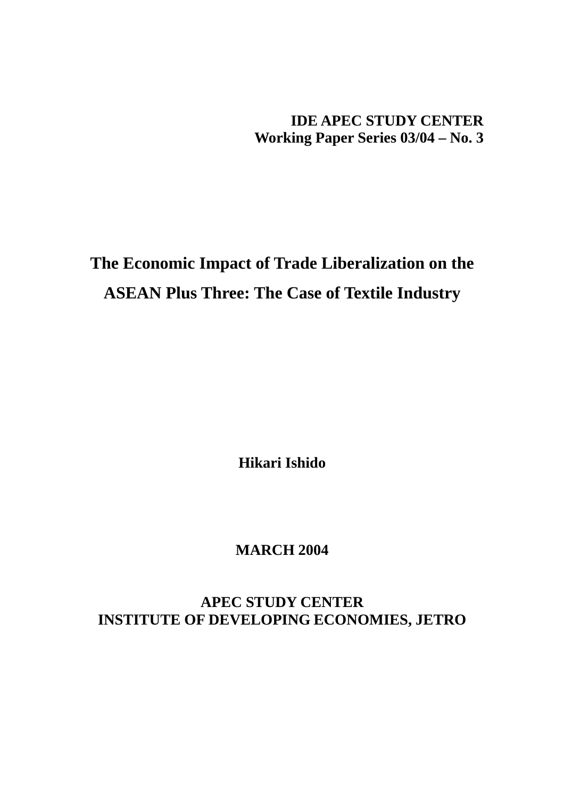**IDE APEC STUDY CENTER Working Paper Series 03/04 – No. 3** 

**The Economic Impact of Trade Liberalization on the ASEAN Plus Three: The Case of Textile Industry** 

**Hikari Ishido** 

**MARCH 2004** 

**APEC STUDY CENTER INSTITUTE OF DEVELOPING ECONOMIES, JETRO**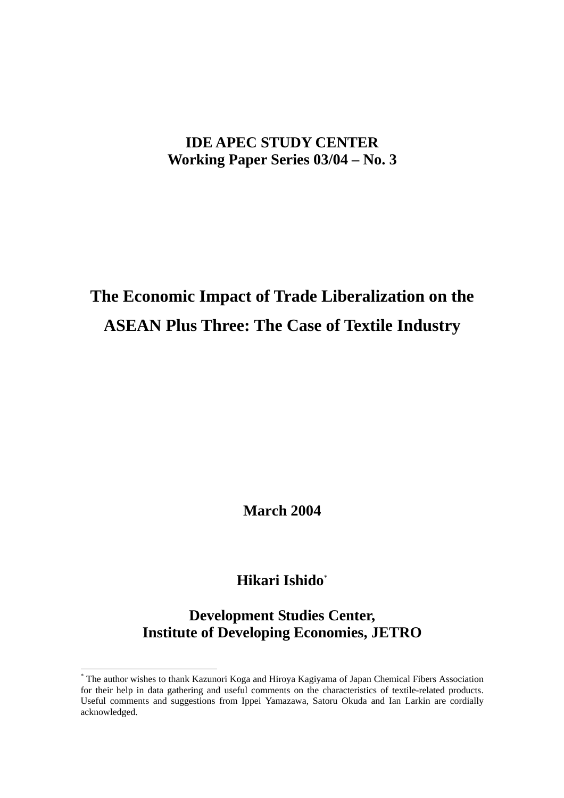# **IDE APEC STUDY CENTER Working Paper Series 03/04 – No. 3**

# **The Economic Impact of Trade Liberalization on the ASEAN Plus Three: The Case of Textile Industry**

**March 2004** 

# **Hikari Ishido**\*

**Development Studies Center, Institute of Developing Economies, JETRO** 

 $\overline{a}$ 

<sup>\*</sup> The author wishes to thank Kazunori Koga and Hiroya Kagiyama of Japan Chemical Fibers Association for their help in data gathering and useful comments on the characteristics of textile-related products. Useful comments and suggestions from Ippei Yamazawa, Satoru Okuda and Ian Larkin are cordially acknowledged.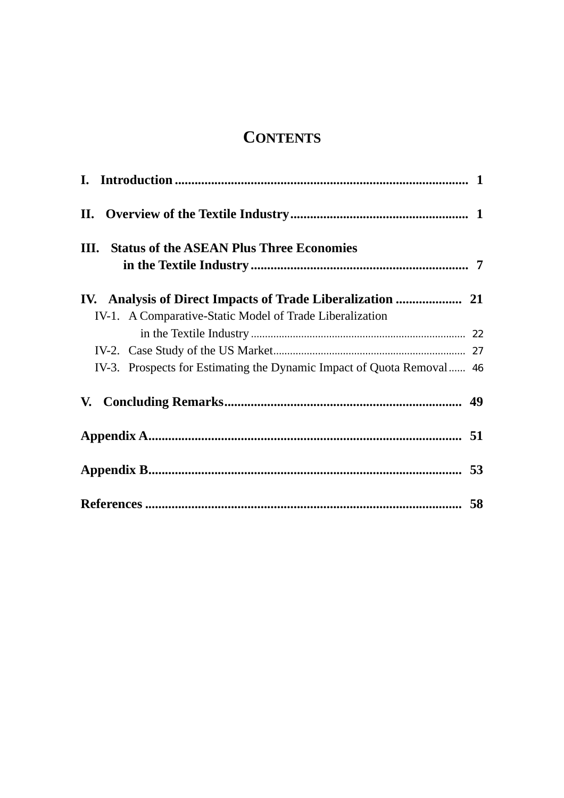# **CONTENTS**

| <b>III.</b> Status of the ASEAN Plus Three Economies                  |  |
|-----------------------------------------------------------------------|--|
|                                                                       |  |
| IV-1. A Comparative-Static Model of Trade Liberalization              |  |
|                                                                       |  |
|                                                                       |  |
| IV-3. Prospects for Estimating the Dynamic Impact of Quota Removal 46 |  |
|                                                                       |  |
|                                                                       |  |
|                                                                       |  |
|                                                                       |  |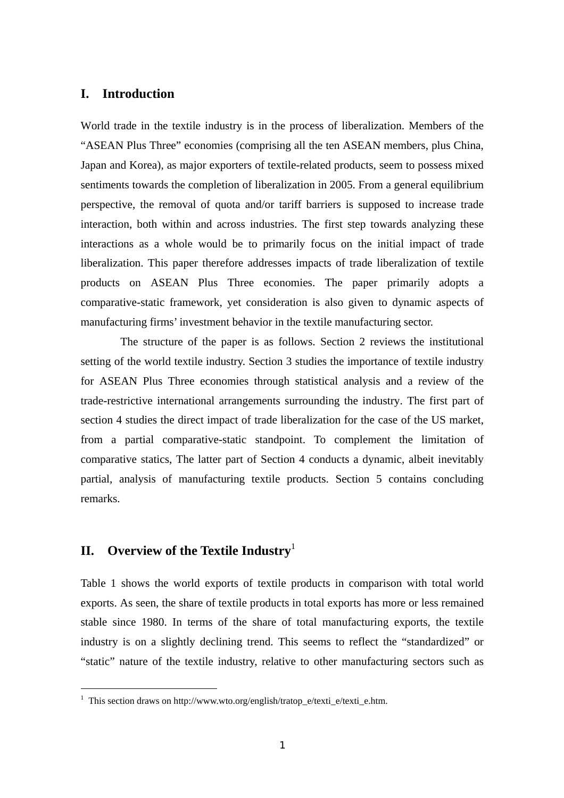# **I. Introduction**

World trade in the textile industry is in the process of liberalization. Members of the "ASEAN Plus Three" economies (comprising all the ten ASEAN members, plus China, Japan and Korea), as major exporters of textile-related products, seem to possess mixed sentiments towards the completion of liberalization in 2005. From a general equilibrium perspective, the removal of quota and/or tariff barriers is supposed to increase trade interaction, both within and across industries. The first step towards analyzing these interactions as a whole would be to primarily focus on the initial impact of trade liberalization. This paper therefore addresses impacts of trade liberalization of textile products on ASEAN Plus Three economies. The paper primarily adopts a comparative-static framework, yet consideration is also given to dynamic aspects of manufacturing firms' investment behavior in the textile manufacturing sector.

 The structure of the paper is as follows. Section 2 reviews the institutional setting of the world textile industry. Section 3 studies the importance of textile industry for ASEAN Plus Three economies through statistical analysis and a review of the trade-restrictive international arrangements surrounding the industry. The first part of section 4 studies the direct impact of trade liberalization for the case of the US market, from a partial comparative-static standpoint. To complement the limitation of comparative statics, The latter part of Section 4 conducts a dynamic, albeit inevitably partial, analysis of manufacturing textile products. Section 5 contains concluding remarks.

# **II. Overview of the Textile Industry**<sup>1</sup>

 $\overline{a}$ 

Table 1 shows the world exports of textile products in comparison with total world exports. As seen, the share of textile products in total exports has more or less remained stable since 1980. In terms of the share of total manufacturing exports, the textile industry is on a slightly declining trend. This seems to reflect the "standardized" or "static" nature of the textile industry, relative to other manufacturing sectors such as

<sup>&</sup>lt;sup>1</sup> This section draws on http://www.wto.org/english/tratop\_e/texti\_e/texti\_e.htm.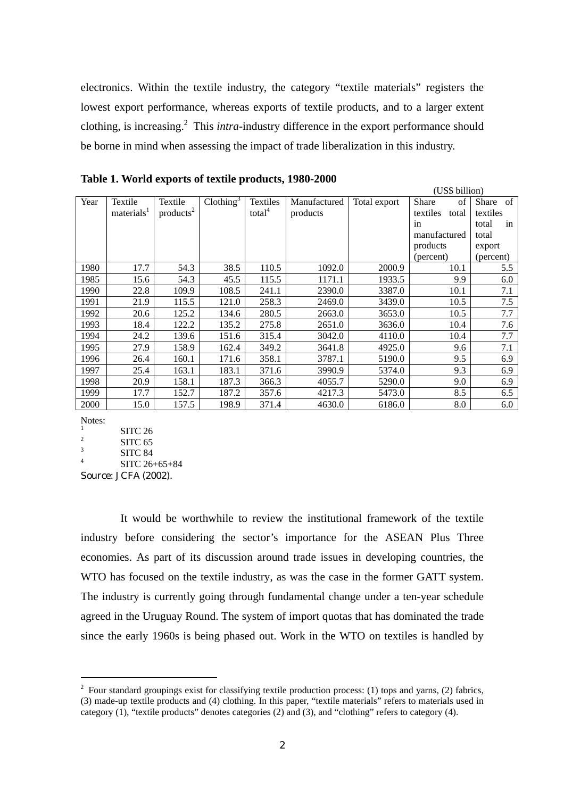electronics. Within the textile industry, the category "textile materials" registers the lowest export performance, whereas exports of textile products, and to a larger extent clothing, is increasing.<sup>2</sup> This *intra*-industry difference in the export performance should be borne in mind when assessing the impact of trade liberalization in this industry.

|      |                        |                       |                       |                    |              |              | (US\$ b1ll10n)    |                    |
|------|------------------------|-----------------------|-----------------------|--------------------|--------------|--------------|-------------------|--------------------|
| Year | Textile                | Textile               | Clothing <sup>3</sup> | Textiles           | Manufactured | Total export | Share<br>of       | <b>Share</b><br>of |
|      | materials <sup>1</sup> | products <sup>2</sup> |                       | total <sup>4</sup> | products     |              | textiles<br>total | textiles           |
|      |                        |                       |                       |                    |              |              | in                | total<br>in        |
|      |                        |                       |                       |                    |              |              | manufactured      | total              |
|      |                        |                       |                       |                    |              |              | products          | export             |
|      |                        |                       |                       |                    |              |              | (percent)         | (percent)          |
| 1980 | 17.7                   | 54.3                  | 38.5                  | 110.5              | 1092.0       | 2000.9       | 10.1              | 5.5                |
| 1985 | 15.6                   | 54.3                  | 45.5                  | 115.5              | 1171.1       | 1933.5       | 9.9               | 6.0                |
| 1990 | 22.8                   | 109.9                 | 108.5                 | 241.1              | 2390.0       | 3387.0       | 10.1              | 7.1                |
| 1991 | 21.9                   | 115.5                 | 121.0                 | 258.3              | 2469.0       | 3439.0       | 10.5              | 7.5                |
| 1992 | 20.6                   | 125.2                 | 134.6                 | 280.5              | 2663.0       | 3653.0       | 10.5              | 7.7                |
| 1993 | 18.4                   | 122.2                 | 135.2                 | 275.8              | 2651.0       | 3636.0       | 10.4              | 7.6                |
| 1994 | 24.2                   | 139.6                 | 151.6                 | 315.4              | 3042.0       | 4110.0       | 10.4              | 7.7                |
| 1995 | 27.9                   | 158.9                 | 162.4                 | 349.2              | 3641.8       | 4925.0       | 9.6               | 7.1                |
| 1996 | 26.4                   | 160.1                 | 171.6                 | 358.1              | 3787.1       | 5190.0       | 9.5               | 6.9                |
| 1997 | 25.4                   | 163.1                 | 183.1                 | 371.6              | 3990.9       | 5374.0       | 9.3               | 6.9                |
| 1998 | 20.9                   | 158.1                 | 187.3                 | 366.3              | 4055.7       | 5290.0       | 9.0               | 6.9                |
| 1999 | 17.7                   | 152.7                 | 187.2                 | 357.6              | 4217.3       | 5473.0       | 8.5               | 6.5                |
| 2000 | 15.0                   | 157.5                 | 198.9                 | 371.4              | 4630.0       | 6186.0       | 8.0               | 6.0                |

 $(T \times B)$  billion)

**Table 1. World exports of textile products, 1980-2000** 

Notes:

 $\overline{a}$ 

1 SITC 26

2 SITC 65 3

 SITC 84 4

SITC 26+65+84

Source: JCFA (2002).

 It would be worthwhile to review the institutional framework of the textile industry before considering the sector's importance for the ASEAN Plus Three economies. As part of its discussion around trade issues in developing countries, the WTO has focused on the textile industry, as was the case in the former GATT system. The industry is currently going through fundamental change under a ten-year schedule agreed in the Uruguay Round. The system of import quotas that has dominated the trade since the early 1960s is being phased out. Work in the WTO on textiles is handled by

 $2^2$  Four standard groupings exist for classifying textile production process: (1) tops and yarns, (2) fabrics, (3) made-up textile products and (4) clothing. In this paper, "textile materials" refers to materials used in category (1), "textile products" denotes categories (2) and (3), and "clothing" refers to category (4).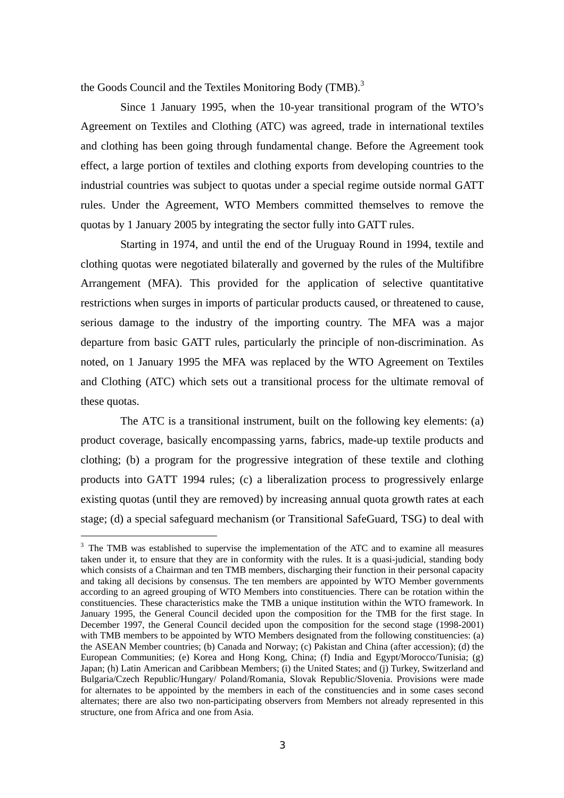the Goods Council and the Textiles Monitoring Body (TMB).<sup>3</sup>

Since 1 January 1995, when the 10-year transitional program of the WTO's Agreement on Textiles and Clothing (ATC) was agreed, trade in international textiles and clothing has been going through fundamental change. Before the Agreement took effect, a large portion of textiles and clothing exports from developing countries to the industrial countries was subject to quotas under a special regime outside normal GATT rules. Under the Agreement, WTO Members committed themselves to remove the quotas by 1 January 2005 by integrating the sector fully into GATT rules.

Starting in 1974, and until the end of the Uruguay Round in 1994, textile and clothing quotas were negotiated bilaterally and governed by the rules of the Multifibre Arrangement (MFA). This provided for the application of selective quantitative restrictions when surges in imports of particular products caused, or threatened to cause, serious damage to the industry of the importing country. The MFA was a major departure from basic GATT rules, particularly the principle of non-discrimination. As noted, on 1 January 1995 the MFA was replaced by the WTO Agreement on Textiles and Clothing (ATC) which sets out a transitional process for the ultimate removal of these quotas.

The ATC is a transitional instrument, built on the following key elements: (a) product coverage, basically encompassing yarns, fabrics, made-up textile products and clothing; (b) a program for the progressive integration of these textile and clothing products into GATT 1994 rules; (c) a liberalization process to progressively enlarge existing quotas (until they are removed) by increasing annual quota growth rates at each stage; (d) a special safeguard mechanism (or Transitional SafeGuard, TSG) to deal with

 $\overline{a}$ 

<sup>&</sup>lt;sup>3</sup> The TMB was established to supervise the implementation of the ATC and to examine all measures taken under it, to ensure that they are in conformity with the rules. It is a quasi-judicial, standing body which consists of a Chairman and ten TMB members, discharging their function in their personal capacity and taking all decisions by consensus. The ten members are appointed by WTO Member governments according to an agreed grouping of WTO Members into constituencies. There can be rotation within the constituencies. These characteristics make the TMB a unique institution within the WTO framework. In January 1995, the General Council decided upon the composition for the TMB for the first stage. In December 1997, the General Council decided upon the composition for the second stage (1998-2001) with TMB members to be appointed by WTO Members designated from the following constituencies: (a) the ASEAN Member countries; (b) Canada and Norway; (c) Pakistan and China (after accession); (d) the European Communities; (e) Korea and Hong Kong, China; (f) India and Egypt/Morocco/Tunisia; (g) Japan; (h) Latin American and Caribbean Members; (i) the United States; and (j) Turkey, Switzerland and Bulgaria/Czech Republic/Hungary/ Poland/Romania, Slovak Republic/Slovenia. Provisions were made for alternates to be appointed by the members in each of the constituencies and in some cases second alternates; there are also two non-participating observers from Members not already represented in this structure, one from Africa and one from Asia.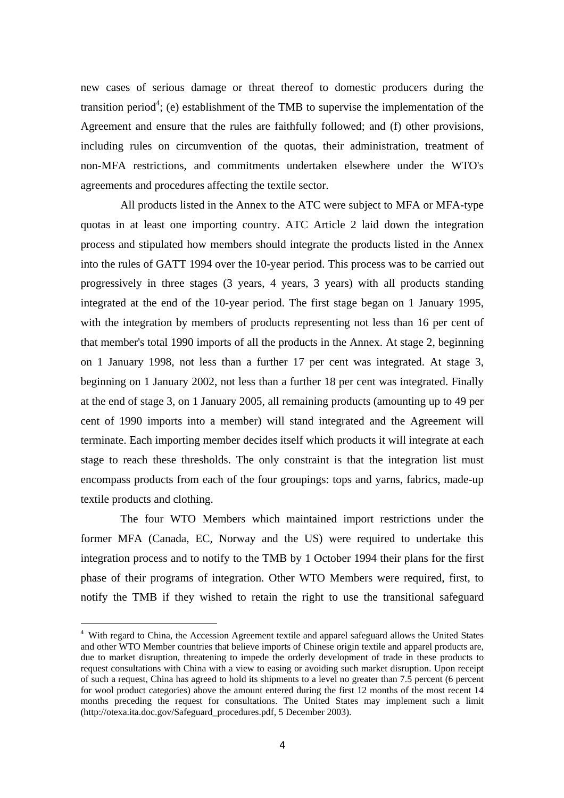new cases of serious damage or threat thereof to domestic producers during the transition period<sup>4</sup>; (e) establishment of the TMB to supervise the implementation of the Agreement and ensure that the rules are faithfully followed; and (f) other provisions, including rules on circumvention of the quotas, their administration, treatment of non-MFA restrictions, and commitments undertaken elsewhere under the WTO's agreements and procedures affecting the textile sector.

All products listed in the Annex to the ATC were subject to MFA or MFA-type quotas in at least one importing country. ATC Article 2 laid down the integration process and stipulated how members should integrate the products listed in the Annex into the rules of GATT 1994 over the 10-year period. This process was to be carried out progressively in three stages (3 years, 4 years, 3 years) with all products standing integrated at the end of the 10-year period. The first stage began on 1 January 1995, with the integration by members of products representing not less than 16 per cent of that member's total 1990 imports of all the products in the Annex. At stage 2, beginning on 1 January 1998, not less than a further 17 per cent was integrated. At stage 3, beginning on 1 January 2002, not less than a further 18 per cent was integrated. Finally at the end of stage 3, on 1 January 2005, all remaining products (amounting up to 49 per cent of 1990 imports into a member) will stand integrated and the Agreement will terminate. Each importing member decides itself which products it will integrate at each stage to reach these thresholds. The only constraint is that the integration list must encompass products from each of the four groupings: tops and yarns, fabrics, made-up textile products and clothing.

The four WTO Members which maintained import restrictions under the former MFA (Canada, EC, Norway and the US) were required to undertake this integration process and to notify to the TMB by 1 October 1994 their plans for the first phase of their programs of integration. Other WTO Members were required, first, to notify the TMB if they wished to retain the right to use the transitional safeguard

 $\overline{a}$ 

<sup>&</sup>lt;sup>4</sup> With regard to China, the Accession Agreement textile and apparel safeguard allows the United States and other WTO Member countries that believe imports of Chinese origin textile and apparel products are, due to market disruption, threatening to impede the orderly development of trade in these products to request consultations with China with a view to easing or avoiding such market disruption. Upon receipt of such a request, China has agreed to hold its shipments to a level no greater than 7.5 percent (6 percent for wool product categories) above the amount entered during the first 12 months of the most recent 14 months preceding the request for consultations. The United States may implement such a limit (http://otexa.ita.doc.gov/Safeguard\_procedures.pdf, 5 December 2003).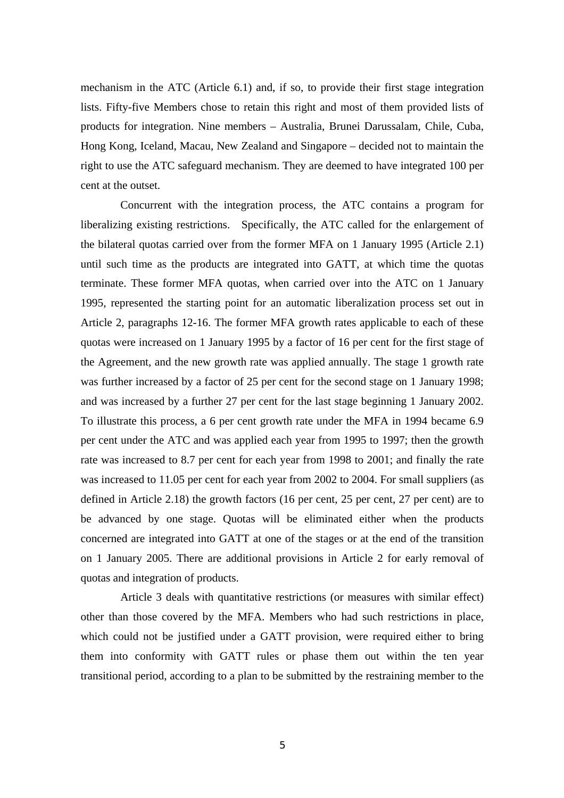mechanism in the ATC (Article 6.1) and, if so, to provide their first stage integration lists. Fifty-five Members chose to retain this right and most of them provided lists of products for integration. Nine members – Australia, Brunei Darussalam, Chile, Cuba, Hong Kong, Iceland, Macau, New Zealand and Singapore – decided not to maintain the right to use the ATC safeguard mechanism. They are deemed to have integrated 100 per cent at the outset.

Concurrent with the integration process, the ATC contains a program for liberalizing existing restrictions. Specifically, the ATC called for the enlargement of the bilateral quotas carried over from the former MFA on 1 January 1995 (Article 2.1) until such time as the products are integrated into GATT, at which time the quotas terminate. These former MFA quotas, when carried over into the ATC on 1 January 1995, represented the starting point for an automatic liberalization process set out in Article 2, paragraphs 12-16. The former MFA growth rates applicable to each of these quotas were increased on 1 January 1995 by a factor of 16 per cent for the first stage of the Agreement, and the new growth rate was applied annually. The stage 1 growth rate was further increased by a factor of 25 per cent for the second stage on 1 January 1998; and was increased by a further 27 per cent for the last stage beginning 1 January 2002. To illustrate this process, a 6 per cent growth rate under the MFA in 1994 became 6.9 per cent under the ATC and was applied each year from 1995 to 1997; then the growth rate was increased to 8.7 per cent for each year from 1998 to 2001; and finally the rate was increased to 11.05 per cent for each year from 2002 to 2004. For small suppliers (as defined in Article 2.18) the growth factors (16 per cent, 25 per cent, 27 per cent) are to be advanced by one stage. Quotas will be eliminated either when the products concerned are integrated into GATT at one of the stages or at the end of the transition on 1 January 2005. There are additional provisions in Article 2 for early removal of quotas and integration of products.

Article 3 deals with quantitative restrictions (or measures with similar effect) other than those covered by the MFA. Members who had such restrictions in place, which could not be justified under a GATT provision, were required either to bring them into conformity with GATT rules or phase them out within the ten year transitional period, according to a plan to be submitted by the restraining member to the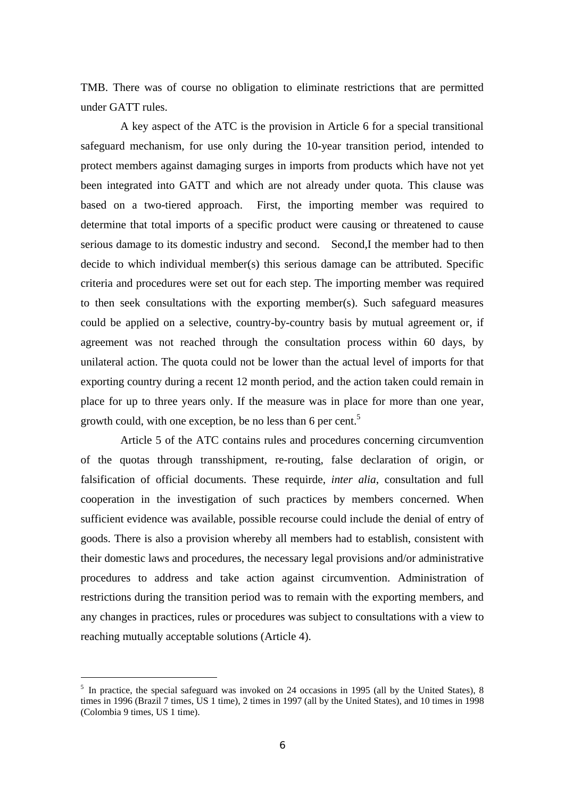TMB. There was of course no obligation to eliminate restrictions that are permitted under GATT rules.

A key aspect of the ATC is the provision in Article 6 for a special transitional safeguard mechanism, for use only during the 10-year transition period, intended to protect members against damaging surges in imports from products which have not yet been integrated into GATT and which are not already under quota. This clause was based on a two-tiered approach. First, the importing member was required to determine that total imports of a specific product were causing or threatened to cause serious damage to its domestic industry and second. Second,I the member had to then decide to which individual member(s) this serious damage can be attributed. Specific criteria and procedures were set out for each step. The importing member was required to then seek consultations with the exporting member(s). Such safeguard measures could be applied on a selective, country-by-country basis by mutual agreement or, if agreement was not reached through the consultation process within 60 days, by unilateral action. The quota could not be lower than the actual level of imports for that exporting country during a recent 12 month period, and the action taken could remain in place for up to three years only. If the measure was in place for more than one year, growth could, with one exception, be no less than 6 per cent.<sup>5</sup>

Article 5 of the ATC contains rules and procedures concerning circumvention of the quotas through transshipment, re-routing, false declaration of origin, or falsification of official documents. These requirde, *inter alia*, consultation and full cooperation in the investigation of such practices by members concerned. When sufficient evidence was available, possible recourse could include the denial of entry of goods. There is also a provision whereby all members had to establish, consistent with their domestic laws and procedures, the necessary legal provisions and/or administrative procedures to address and take action against circumvention. Administration of restrictions during the transition period was to remain with the exporting members, and any changes in practices, rules or procedures was subject to consultations with a view to reaching mutually acceptable solutions (Article 4).

 $\overline{a}$ 

<sup>&</sup>lt;sup>5</sup> In practice, the special safeguard was invoked on 24 occasions in 1995 (all by the United States), 8 times in 1996 (Brazil 7 times, US 1 time), 2 times in 1997 (all by the United States), and 10 times in 1998 (Colombia 9 times, US 1 time).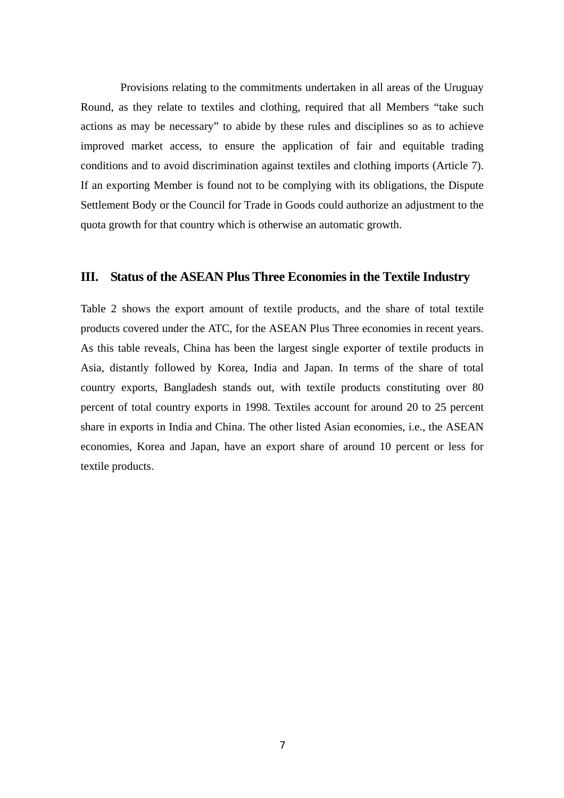Provisions relating to the commitments undertaken in all areas of the Uruguay Round, as they relate to textiles and clothing, required that all Members "take such actions as may be necessary" to abide by these rules and disciplines so as to achieve improved market access, to ensure the application of fair and equitable trading conditions and to avoid discrimination against textiles and clothing imports (Article 7). If an exporting Member is found not to be complying with its obligations, the Dispute Settlement Body or the Council for Trade in Goods could authorize an adjustment to the quota growth for that country which is otherwise an automatic growth.

# **III. Status of the ASEAN Plus Three Economies in the Textile Industry**

Table 2 shows the export amount of textile products, and the share of total textile products covered under the ATC, for the ASEAN Plus Three economies in recent years. As this table reveals, China has been the largest single exporter of textile products in Asia, distantly followed by Korea, India and Japan. In terms of the share of total country exports, Bangladesh stands out, with textile products constituting over 80 percent of total country exports in 1998. Textiles account for around 20 to 25 percent share in exports in India and China. The other listed Asian economies, i.e., the ASEAN economies, Korea and Japan, have an export share of around 10 percent or less for textile products.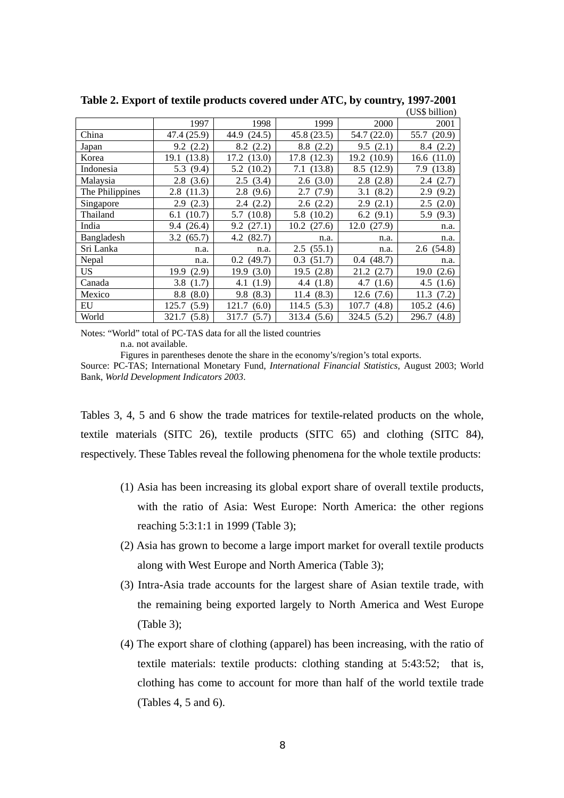|                 |               |              |             |              | (US\$ b1ll10n) |
|-----------------|---------------|--------------|-------------|--------------|----------------|
|                 | 1997          | 1998         | 1999        | 2000         | 2001           |
| China           | 47.4 (25.9)   | 44.9 (24.5)  | 45.8(23.5)  | 54.7 (22.0)  | 55.7 (20.9)    |
| Japan           | 9.2(2.2)      | 8.2(2.2)     | 8.8(2.2)    | 9.5(2.1)     | 8.4 (2.2)      |
| Korea           | 19.1 (13.8)   | 17.2 (13.0)  | 17.8 (12.3) | 19.2 (10.9)  | 16.6(11.0)     |
| Indonesia       | 5.3 (9.4)     | 5.2(10.2)    | 7.1 (13.8)  | 8.5 (12.9)   | 7.9 (13.8)     |
| Malaysia        | 2.8(3.6)      | 2.5(3.4)     | 2.6(3.0)    | 2.8(2.8)     | 2.4(2.7)       |
| The Philippines | 2.8(11.3)     | 2.8(9.6)     | 2.7(7.9)    | (8.2)<br>3.1 | 2.9<br>(9.2)   |
| Singapore       | 2.9(2.3)      | 2.4(2.2)     | 2.6(2.2)    | 2.9<br>(2.1) | 2.5(2.0)       |
| Thailand        | 6.1(10.7)     | 5.7 (10.8)   | 5.8 (10.2)  | 6.2 $(9.1)$  | 5.9 (9.3)      |
| India           | 9.4 (26.4)    | 9.2(27.1)    | 10.2(27.6)  | 12.0(27.9)   | n.a.           |
| Bangladesh      | 3.2(65.7)     | 4.2(82.7)    | n.a.        | n.a.         | n.a.           |
| Sri Lanka       | n.a.          | n.a.         | 2.5(55.1)   | n.a.         | 2.6(54.8)      |
| Nepal           | n.a.          | 0.2(49.7)    | 0.3(51.7)   | 0.4(48.7)    | n.a.           |
| US              | (2.9)<br>19.9 | 19.9(3.0)    | 19.5(2.8)   | 21.2 (2.7)   | (2.6)<br>19.0  |
| Canada          | 3.8<br>(1.7)  | (1.9)<br>4.1 | 4.4 (1.8)   | 4.7<br>(1.6) | 4.5 $(1.6)$    |
| Mexico          | (8.0)<br>8.8  | 9.8<br>(8.3) | 11.4(8.3)   | 12.6(7.6)    | 11.3<br>(7.2)  |
| EU              | 125.7 (5.9)   | 121.7(6.0)   | 114.5(5.3)  | 107.7 (4.8)  | 105.2(4.6)     |
| World           | 321.7 (5.8)   | 317.7 (5.7)  | 313.4 (5.6) | 324.5 (5.2)  | 296.7 (4.8)    |

**Table 2. Export of textile products covered under ATC, by country, 1997-2001**  (US\$ billion)

Notes: "World" total of PC-TAS data for all the listed countries

n.a. not available.

Figures in parentheses denote the share in the economy's/region's total exports.

Source: PC-TAS; International Monetary Fund, *International Financial Statistics*, August 2003; World Bank, *World Development Indicators 2003*.

Tables 3, 4, 5 and 6 show the trade matrices for textile-related products on the whole, textile materials (SITC 26), textile products (SITC 65) and clothing (SITC 84), respectively. These Tables reveal the following phenomena for the whole textile products:

- (1) Asia has been increasing its global export share of overall textile products, with the ratio of Asia: West Europe: North America: the other regions reaching 5:3:1:1 in 1999 (Table 3);
- (2) Asia has grown to become a large import market for overall textile products along with West Europe and North America (Table 3);
- (3) Intra-Asia trade accounts for the largest share of Asian textile trade, with the remaining being exported largely to North America and West Europe (Table 3);
- (4) The export share of clothing (apparel) has been increasing, with the ratio of textile materials: textile products: clothing standing at 5:43:52; that is, clothing has come to account for more than half of the world textile trade (Tables 4, 5 and 6).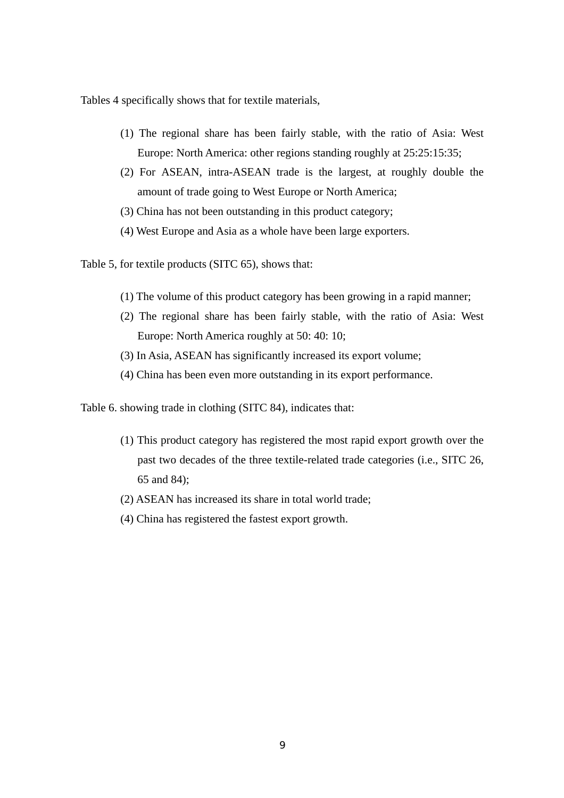Tables 4 specifically shows that for textile materials,

- (1) The regional share has been fairly stable, with the ratio of Asia: West Europe: North America: other regions standing roughly at 25:25:15:35;
- (2) For ASEAN, intra-ASEAN trade is the largest, at roughly double the amount of trade going to West Europe or North America;
- (3) China has not been outstanding in this product category;
- (4) West Europe and Asia as a whole have been large exporters.

Table 5, for textile products (SITC 65), shows that:

- (1) The volume of this product category has been growing in a rapid manner;
- (2) The regional share has been fairly stable, with the ratio of Asia: West Europe: North America roughly at 50: 40: 10;
- (3) In Asia, ASEAN has significantly increased its export volume;
- (4) China has been even more outstanding in its export performance.

Table 6. showing trade in clothing (SITC 84), indicates that:

- (1) This product category has registered the most rapid export growth over the past two decades of the three textile-related trade categories (i.e., SITC 26, 65 and 84);
- (2) ASEAN has increased its share in total world trade;
- (4) China has registered the fastest export growth.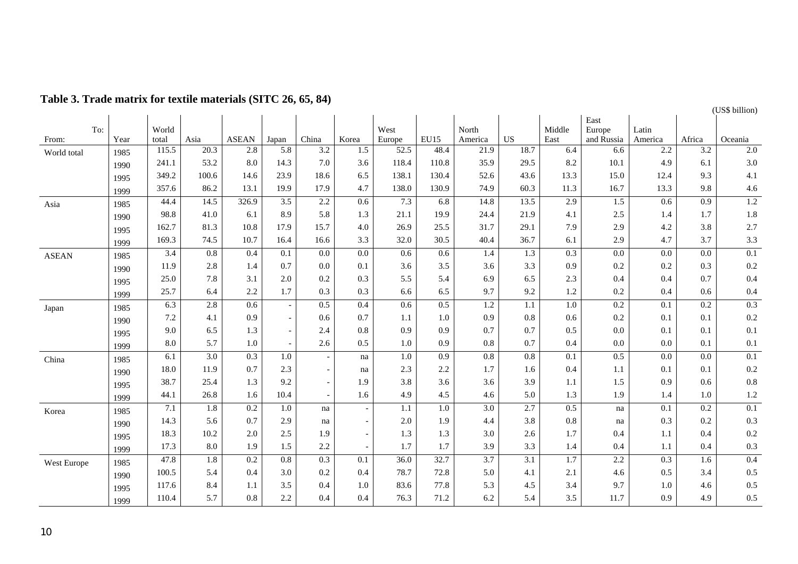|              |     |      |       |                  |                  |                          |                          |                          |                  |                  |                  |                  |                  |                  |                  |                  | (US\$ billion) |
|--------------|-----|------|-------|------------------|------------------|--------------------------|--------------------------|--------------------------|------------------|------------------|------------------|------------------|------------------|------------------|------------------|------------------|----------------|
|              |     |      |       |                  |                  |                          |                          |                          |                  |                  |                  |                  |                  | East             |                  |                  |                |
|              | To: |      | World |                  |                  |                          |                          |                          | West             |                  | North            |                  | Middle           | Europe           | Latin            |                  |                |
| From:        |     | Year | total | Asia             | <b>ASEAN</b>     | Japan                    | China                    | Korea                    | Europe           | <b>EU15</b>      | America          | US               | East             | and Russia       | America          | Africa           | Oceania        |
| World total  |     | 1985 | 115.5 | 20.3             | 2.8              | 5.8                      | 3.2                      | 1.5                      | 52.5             | 48.4             | 21.9             | 18.7             | 6.4              | 6.6              | 2.2              | 3.2              | 2.0            |
|              |     | 1990 | 241.1 | 53.2             | 8.0              | 14.3                     | 7.0                      | 3.6                      | 118.4            | 110.8            | 35.9             | 29.5             | 8.2              | 10.1             | 4.9              | 6.1              | 3.0            |
|              |     | 1995 | 349.2 | 100.6            | 14.6             | 23.9                     | 18.6                     | 6.5                      | 138.1            | 130.4            | 52.6             | 43.6             | 13.3             | 15.0             | 12.4             | 9.3              | 4.1            |
|              |     | 1999 | 357.6 | 86.2             | 13.1             | 19.9                     | 17.9                     | 4.7                      | 138.0            | 130.9            | 74.9             | 60.3             | 11.3             | 16.7             | 13.3             | 9.8              | 4.6            |
| Asia         |     | 1985 | 44.4  | 14.5             | 326.9            | $\overline{3.5}$         | 2.2                      | 0.6                      | 7.3              | 6.8              | 14.8             | 13.5             | 2.9              | $\overline{1.5}$ | 0.6              | $\overline{0.9}$ | 1.2            |
|              |     | 1990 | 98.8  | 41.0             | 6.1              | 8.9                      | 5.8                      | 1.3                      | 21.1             | 19.9             | 24.4             | 21.9             | 4.1              | 2.5              | 1.4              | 1.7              | 1.8            |
|              |     | 1995 | 162.7 | 81.3             | 10.8             | 17.9                     | 15.7                     | 4.0                      | 26.9             | 25.5             | 31.7             | 29.1             | 7.9              | 2.9              | 4.2              | 3.8              | 2.7            |
|              |     | 1999 | 169.3 | 74.5             | 10.7             | 16.4                     | 16.6                     | 3.3                      | 32.0             | 30.5             | 40.4             | 36.7             | 6.1              | 2.9              | 4.7              | 3.7              | 3.3            |
| <b>ASEAN</b> |     | 1985 | 3.4   | 0.8              | 0.4              | 0.1                      | 0.0                      | 0.0                      | 0.6              | 0.6              | 1.4              | 1.3              | 0.3              | 0.0              | 0.0              | 0.0              | 0.1            |
|              |     | 1990 | 11.9  | 2.8              | 1.4              | 0.7                      | 0.0                      | 0.1                      | 3.6              | 3.5              | 3.6              | 3.3              | 0.9              | 0.2              | 0.2              | 0.3              | 0.2            |
|              |     | 1995 | 25.0  | 7.8              | 3.1              | 2.0                      | 0.2                      | 0.3                      | 5.5              | 5.4              | 6.9              | 6.5              | 2.3              | 0.4              | 0.4              | 0.7              | 0.4            |
|              |     | 1999 | 25.7  | 6.4              | 2.2              | 1.7                      | 0.3                      | 0.3                      | 6.6              | 6.5              | 9.7              | 9.2              | 1.2              | 0.2              | 0.4              | 0.6              | 0.4            |
| Japan        |     | 1985 | 6.3   | 2.8              | 0.6              | $\overline{\phantom{a}}$ | 0.5                      | 0.4                      | 0.6              | 0.5              | 1.2              | 1.1              | 1.0              | 0.2              | 0.1              | 0.2              | 0.3            |
|              |     | 1990 | 7.2   | 4.1              | 0.9              | $\sim$                   | 0.6                      | 0.7                      | 1.1              | 1.0              | 0.9              | 0.8              | 0.6              | 0.2              | 0.1              | 0.1              | 0.2            |
|              |     | 1995 | 9.0   | 6.5              | 1.3              | $\overline{\phantom{a}}$ | 2.4                      | 0.8                      | 0.9              | 0.9              | 0.7              | 0.7              | 0.5              | 0.0              | 0.1              | 0.1              | 0.1            |
|              |     | 1999 | 8.0   | 5.7              | 1.0              | $\sim$                   | 2.6                      | 0.5                      | 1.0              | 0.9              | 0.8              | 0.7              | 0.4              | 0.0              | 0.0              | 0.1              | 0.1            |
| China        |     | 1985 | 6.1   | $\overline{3.0}$ | $\overline{0.3}$ | 1.0                      | $\overline{\phantom{a}}$ | na                       | $\overline{1.0}$ | $\overline{0.9}$ | $\overline{0.8}$ | 0.8              | $\overline{0.1}$ | 0.5              | $\overline{0.0}$ | 0.0              | 0.1            |
|              |     | 1990 | 18.0  | 11.9             | 0.7              | 2.3                      | $\overline{\phantom{a}}$ | na                       | 2.3              | 2.2              | 1.7              | 1.6              | 0.4              | 1.1              | 0.1              | 0.1              | 0.2            |
|              |     | 1995 | 38.7  | 25.4             | 1.3              | 9.2                      | $\overline{\phantom{a}}$ | 1.9                      | 3.8              | 3.6              | 3.6              | 3.9              | 1.1              | 1.5              | 0.9              | 0.6              | 0.8            |
|              |     | 1999 | 44.1  | 26.8             | 1.6              | 10.4                     | $\overline{\phantom{a}}$ | 1.6                      | 4.9              | 4.5              | 4.6              | 5.0              | 1.3              | 1.9              | 1.4              | 1.0              | 1.2            |
| Korea        |     | 1985 | 7.1   | 1.8              | 0.2              | 1.0                      | na                       | $\overline{\phantom{a}}$ | 1.1              | $1.0\,$          | 3.0              | 2.7              | 0.5              | na               | 0.1              | 0.2              | 0.1            |
|              |     | 1990 | 14.3  | 5.6              | 0.7              | 2.9                      | na                       | $\overline{\phantom{a}}$ | 2.0              | 1.9              | 4.4              | 3.8              | 0.8              | na               | 0.3              | 0.2              | 0.3            |
|              |     | 1995 | 18.3  | 10.2             | $2.0\,$          | 2.5                      | 1.9                      | $\sim$                   | 1.3              | 1.3              | 3.0              | 2.6              | 1.7              | 0.4              | 1.1              | 0.4              | 0.2            |
|              |     | 1999 | 17.3  | 8.0              | 1.9              | 1.5                      | 2.2                      | $\sim$                   | 1.7              | 1.7              | 3.9              | 3.3              | 1.4              | 0.4              | 1.1              | 0.4              | 0.3            |
| West Europe  |     | 1985 | 47.8  | 1.8              | 0.2              | $\overline{0.8}$         | $\overline{0.3}$         | 0.1                      | 36.0             | 32.7             | $\overline{3.7}$ | $\overline{3.1}$ | $\overline{1.7}$ | 2.2              | $\overline{0.3}$ | $\overline{1.6}$ | 0.4            |
|              |     | 1990 | 100.5 | 5.4              | 0.4              | 3.0                      | 0.2                      | 0.4                      | 78.7             | 72.8             | 5.0              | 4.1              | 2.1              | 4.6              | 0.5              | 3.4              | 0.5            |
|              |     | 1995 | 117.6 | 8.4              | 1.1              | 3.5                      | 0.4                      | 1.0                      | 83.6             | 77.8             | 5.3              | 4.5              | 3.4              | 9.7              | 1.0              | 4.6              | 0.5            |
|              |     | 1999 | 110.4 | 5.7              | $0.8\,$          | 2.2                      | 0.4                      | 0.4                      | 76.3             | 71.2             | 6.2              | 5.4              | 3.5              | 11.7             | 0.9              | 4.9              | 0.5            |
|              |     |      |       |                  |                  |                          |                          |                          |                  |                  |                  |                  |                  |                  |                  |                  |                |

# **Table 3. Trade matrix for textile materials (SITC 26, 65, 84)**

(US\$ billion)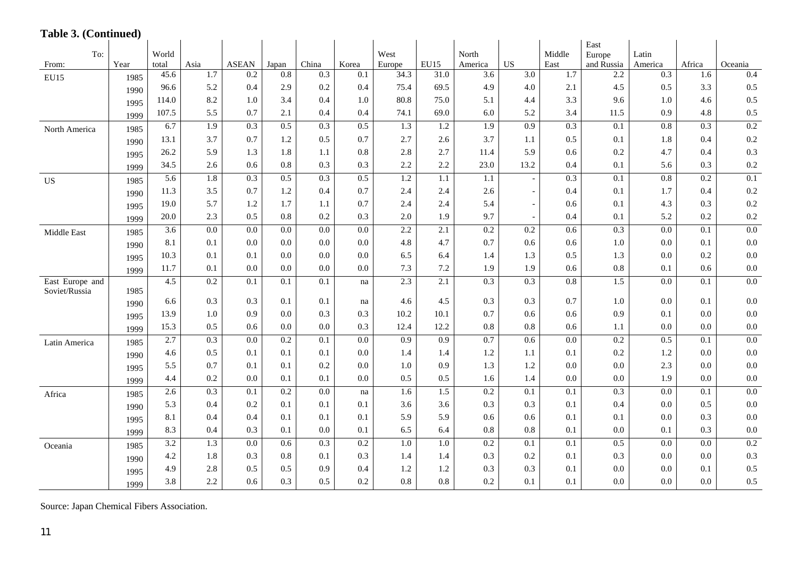# **Table 3. (Continued)**

|                                  |      |                  |                  |                  |                  |                  |                  |        |                  |                  |                          |                  | East             |                  |                  |                  |
|----------------------------------|------|------------------|------------------|------------------|------------------|------------------|------------------|--------|------------------|------------------|--------------------------|------------------|------------------|------------------|------------------|------------------|
| To:                              |      | World            |                  |                  |                  |                  |                  | West   |                  | North            |                          | Middle           | Europe           | Latin            |                  |                  |
| From:                            | Year | total            | Asia             | <b>ASEAN</b>     | Japan            | China            | Korea            | Europe | EU15             | America          | <b>US</b>                | East             | and Russia       | America          | Africa           | Oceania          |
| EU15                             | 1985 | 45.6             | $\overline{1.7}$ | 0.2              | $\overline{0.8}$ | $\overline{0.3}$ | 0.1              | 34.3   | 31.0             | $\overline{3.6}$ | $\overline{3.0}$         | 1.7              | 2.2              | 0.3              | 1.6              | 0.4              |
|                                  | 1990 | 96.6             | 5.2              | 0.4              | 2.9              | 0.2              | 0.4              | 75.4   | 69.5             | 4.9              | 4.0                      | 2.1              | 4.5              | 0.5              | 3.3              | 0.5              |
|                                  | 1995 | 114.0            | 8.2              | 1.0              | 3.4              | 0.4              | 1.0              | 80.8   | 75.0             | 5.1              | 4.4                      | 3.3              | 9.6              | 1.0              | 4.6              | 0.5              |
|                                  | 1999 | 107.5            | 5.5              | 0.7              | 2.1              | 0.4              | 0.4              | 74.1   | 69.0             | 6.0              | 5.2                      | 3.4              | 11.5             | 0.9              | 4.8              | 0.5              |
| North America                    | 1985 | 6.7              | $\overline{1.9}$ | $\overline{0.3}$ | 0.5              | $\overline{0.3}$ | 0.5              | 1.3    | $1.2\,$          | $\overline{1.9}$ | $\overline{0.9}$         | $\overline{0.3}$ | 0.1              | $\overline{0.8}$ | $\overline{0.3}$ | 0.2              |
|                                  | 1990 | 13.1             | 3.7              | 0.7              | 1.2              | 0.5              | 0.7              | 2.7    | 2.6              | 3.7              | 1.1                      | 0.5              | 0.1              | 1.8              | 0.4              | 0.2              |
|                                  | 1995 | 26.2             | 5.9              | 1.3              | 1.8              | 1.1              | 0.8              | 2.8    | 2.7              | 11.4             | 5.9                      | 0.6              | 0.2              | 4.7              | 0.4              | 0.3              |
|                                  | 1999 | 34.5             | 2.6              | 0.6              | 0.8              | 0.3              | 0.3              | 2.2    | 2.2              | 23.0             | 13.2                     | 0.4              | 0.1              | 5.6              | 0.3              | 0.2              |
| <b>US</b>                        | 1985 | $\overline{5.6}$ | 1.8              | $\overline{0.3}$ | 0.5              | $\overline{0.3}$ | 0.5              | 1.2    | 1.1              | 1.1              | $\overline{\phantom{a}}$ | 0.3              | 0.1              | $\overline{0.8}$ | 0.2              | 0.1              |
|                                  | 1990 | 11.3             | 3.5              | 0.7              | 1.2              | 0.4              | 0.7              | 2.4    | 2.4              | 2.6              |                          | 0.4              | 0.1              | 1.7              | 0.4              | 0.2              |
|                                  | 1995 | 19.0             | 5.7              | 1.2              | 1.7              | 1.1              | 0.7              | 2.4    | 2.4              | 5.4              | $\overline{a}$           | 0.6              | 0.1              | 4.3              | 0.3              | 0.2              |
|                                  | 1999 | 20.0             | 2.3              | 0.5              | 0.8              | 0.2              | 0.3              | 2.0    | 1.9              | 9.7              | $\overline{\phantom{a}}$ | 0.4              | 0.1              | 5.2              | 0.2              | 0.2              |
| Middle East                      | 1985 | $\overline{3.6}$ | 0.0              | $\overline{0.0}$ | $\overline{0.0}$ | $\overline{0.0}$ | $\overline{0.0}$ | 2.2    | $\overline{2.1}$ | $\overline{0.2}$ | $\overline{0.2}$         | 0.6              | $\overline{0.3}$ | 0.0              | 0.1              | 0.0              |
|                                  | 1990 | 8.1              | 0.1              | 0.0              | 0.0              | 0.0              | 0.0              | 4.8    | 4.7              | 0.7              | 0.6                      | 0.6              | 1.0              | 0.0              | 0.1              | 0.0              |
|                                  | 1995 | 10.3             | 0.1              | 0.1              | 0.0              | 0.0              | 0.0              | 6.5    | 6.4              | 1.4              | 1.3                      | 0.5              | 1.3              | 0.0              | 0.2              | 0.0              |
|                                  | 1999 | 11.7             | 0.1              | 0.0              | 0.0              | 0.0              | 0.0              | 7.3    | $7.2\,$          | 1.9              | 1.9                      | 0.6              | 0.8              | 0.1              | 0.6              | 0.0              |
| East Europe and<br>Soviet/Russia | 1985 | 4.5              | 0.2              | 0.1              | 0.1              | 0.1              | na               | 2.3    | $\overline{2.1}$ | 0.3              | 0.3                      | 0.8              | 1.5              | $0.0\,$          | 0.1              | $\overline{0.0}$ |
|                                  | 1990 | 6.6              | 0.3              | 0.3              | 0.1              | 0.1              | na               | 4.6    | 4.5              | 0.3              | 0.3                      | 0.7              | 1.0              | 0.0              | 0.1              | 0.0              |
|                                  | 1995 | 13.9             | 1.0              | 0.9              | 0.0              | 0.3              | 0.3              | 10.2   | 10.1             | 0.7              | 0.6                      | 0.6              | 0.9              | 0.1              | 0.0              | 0.0              |
|                                  | 1999 | 15.3             | 0.5              | 0.6              | 0.0              | 0.0              | 0.3              | 12.4   | 12.2             | 0.8              | 0.8                      | 0.6              | 1.1              | 0.0              | 0.0              | 0.0              |
| Latin America                    | 1985 | 2.7              | 0.3              | 0.0              | 0.2              | $\overline{0.1}$ | 0.0              | 0.9    | 0.9              | 0.7              | 0.6                      | 0.0              | $\overline{0.2}$ | 0.5              | 0.1              | 0.0              |
|                                  | 1990 | 4.6              | 0.5              | 0.1              | 0.1              | 0.1              | 0.0              | 1.4    | 1.4              | 1.2              | 1.1                      | 0.1              | 0.2              | 1.2              | 0.0              | 0.0              |
|                                  | 1995 | 5.5              | 0.7              | 0.1              | 0.1              | 0.2              | 0.0              | 1.0    | 0.9              | 1.3              | 1.2                      | 0.0              | 0.0              | 2.3              | 0.0              | 0.0              |
|                                  | 1999 | 4.4              | 0.2              | 0.0              | 0.1              | 0.1              | 0.0              | 0.5    | 0.5              | 1.6              | 1.4                      | 0.0              | 0.0              | 1.9              | 0.0              | 0.0              |
| Africa                           | 1985 | 2.6              | 0.3              | 0.1              | 0.2              | 0.0              | na               | 1.6    | 1.5              | 0.2              | 0.1                      | 0.1              | 0.3              | $0.0\,$          | 0.1              | 0.0              |
|                                  | 1990 | 5.3              | 0.4              | 0.2              | 0.1              | 0.1              | 0.1              | 3.6    | 3.6              | 0.3              | 0.3                      | 0.1              | 0.4              | 0.0              | 0.5              | 0.0              |
|                                  | 1995 | 8.1              | 0.4              | 0.4              | 0.1              | 0.1              | 0.1              | 5.9    | 5.9              | 0.6              | 0.6                      | 0.1              | 0.1              | 0.0              | 0.3              | 0.0              |
|                                  | 1999 | 8.3              | 0.4              | 0.3              | 0.1              | 0.0              | 0.1              | 6.5    | 6.4              | 0.8              | 0.8                      | 0.1              | 0.0              | 0.1              | 0.3              | 0.0              |
| Oceania                          | 1985 | 3.2              | 1.3              | 0.0              | 0.6              | 0.3              | 0.2              | 1.0    | 1.0              | 0.2              | $\overline{0.1}$         | 0.1              | 0.5              | 0.0              | 0.0              | 0.2              |
|                                  | 1990 | 4.2              | 1.8              | 0.3              | 0.8              | 0.1              | 0.3              | 1.4    | 1.4              | 0.3              | 0.2                      | 0.1              | 0.3              | 0.0              | 0.0              | 0.3              |
|                                  | 1995 | 4.9              | 2.8              | 0.5              | 0.5              | 0.9              | 0.4              | 1.2    | 1.2              | 0.3              | 0.3                      | 0.1              | 0.0              | 0.0              | 0.1              | 0.5              |
|                                  | 1999 | 3.8              | 2.2              | 0.6              | 0.3              | 0.5              | 0.2              | 0.8    | 0.8              | 0.2              | 0.1                      | 0.1              | 0.0              | 0.0              | 0.0              | 0.5              |

Source: Japan Chemical Fibers Association.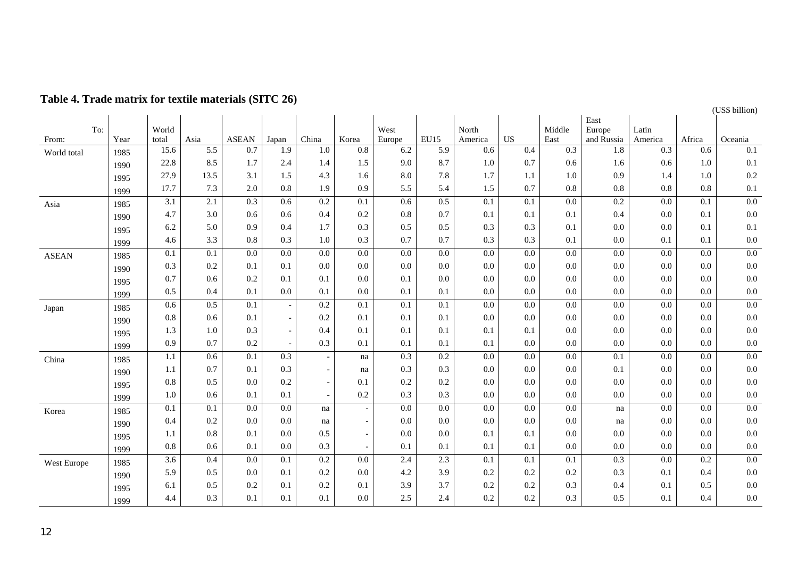|              |              |                  |      |                  |                  |                  |                          |                |                  |                  |     |                | East                 |                  |        |                  |
|--------------|--------------|------------------|------|------------------|------------------|------------------|--------------------------|----------------|------------------|------------------|-----|----------------|----------------------|------------------|--------|------------------|
| To:<br>From: | Year         | World<br>total   | Asia | <b>ASEAN</b>     | Japan            | China            | Korea                    | West<br>Europe | <b>EU15</b>      | North<br>America | US  | Middle<br>East | Europe<br>and Russia | Latin<br>America | Africa | Oceania          |
| World total  |              | 15.6             | 5.5  | 0.7              | 1.9              | 1.0              | 0.8                      | 6.2            | 5.9              | 0.6              | 0.4 | 0.3            | 1.8                  | 0.3              | 0.6    | 0.1              |
|              | 1985<br>1990 | 22.8             | 8.5  | 1.7              | 2.4              | 1.4              | 1.5                      | 9.0            | 8.7              | 1.0              | 0.7 | 0.6            | 1.6                  | 0.6              | 1.0    | 0.1              |
|              |              | 27.9             | 13.5 | 3.1              | 1.5              | 4.3              | 1.6                      | 8.0            | 7.8              | 1.7              | 1.1 | 1.0            | 0.9                  | 1.4              | 1.0    | 0.2              |
|              | 1995<br>1999 | 17.7             | 7.3  | 2.0              | 0.8              | 1.9              | 0.9                      | 5.5            | 5.4              | 1.5              | 0.7 | 0.8            | 0.8                  | 0.8              | 0.8    | 0.1              |
| Asia         | 1985         | 3.1              | 2.1  | 0.3              | 0.6              | 0.2              | 0.1                      | 0.6            | 0.5              | 0.1              | 0.1 | 0.0            | 0.2                  | 0.0              | 0.1    | $\overline{0.0}$ |
|              | 1990         | 4.7              | 3.0  | 0.6              | 0.6              | 0.4              | 0.2                      | 0.8            | 0.7              | 0.1              | 0.1 | 0.1            | 0.4                  | 0.0              | 0.1    | 0.0              |
|              | 1995         | 6.2              | 5.0  | 0.9              | 0.4              | 1.7              | 0.3                      | 0.5            | 0.5              | 0.3              | 0.3 | 0.1            | 0.0                  | 0.0              | 0.1    | 0.1              |
|              | 1999         | 4.6              | 3.3  | 0.8              | 0.3              | 1.0              | 0.3                      | 0.7            | 0.7              | 0.3              | 0.3 | 0.1            | 0.0                  | 0.1              | 0.1    | 0.0              |
| <b>ASEAN</b> | 1985         | 0.1              | 0.1  | $0.0\,$          | $0.0\,$          | 0.0              | 0.0                      | 0.0            | $0.0\,$          | 0.0              | 0.0 | 0.0            | 0.0                  | 0.0              | 0.0    | 0.0              |
|              | 1990         | 0.3              | 0.2  | 0.1              | 0.1              | 0.0              | 0.0                      | 0.0            | 0.0              | 0.0              | 0.0 | 0.0            | 0.0                  | 0.0              | 0.0    | 0.0              |
|              | 1995         | 0.7              | 0.6  | 0.2              | 0.1              | 0.1              | 0.0                      | 0.1            | 0.0              | 0.0              | 0.0 | 0.0            | 0.0                  | 0.0              | 0.0    | 0.0              |
|              | 1999         | 0.5              | 0.4  | 0.1              | 0.0              | 0.1              | 0.0                      | 0.1            | 0.1              | 0.0              | 0.0 | 0.0            | 0.0                  | 0.0              | 0.0    | 0.0              |
| Japan        | 1985         | 0.6              | 0.5  | $\overline{0.1}$ |                  | 0.2              | 0.1                      | 0.1            | 0.1              | $\overline{0.0}$ | 0.0 | 0.0            | 0.0                  | 0.0              | 0.0    | $\overline{0.0}$ |
|              | 1990         | 0.8              | 0.6  | 0.1              |                  | 0.2              | 0.1                      | 0.1            | 0.1              | 0.0              | 0.0 | 0.0            | 0.0                  | 0.0              | 0.0    | 0.0              |
|              | 1995         | 1.3              | 1.0  | 0.3              |                  | 0.4              | 0.1                      | 0.1            | 0.1              | 0.1              | 0.1 | 0.0            | 0.0                  | 0.0              | 0.0    | 0.0              |
|              | 1999         | 0.9              | 0.7  | 0.2              |                  | 0.3              | 0.1                      | 0.1            | 0.1              | 0.1              | 0.0 | 0.0            | 0.0                  | 0.0              | 0.0    | 0.0              |
| China        | 1985         | 1.1              | 0.6  | 0.1              | $\overline{0.3}$ |                  | na                       | 0.3            | 0.2              | $\overline{0.0}$ | 0.0 | 0.0            | 0.1                  | 0.0              | 0.0    | $\overline{0.0}$ |
|              | 1990         | 1.1              | 0.7  | 0.1              | 0.3              | $\blacksquare$   | na                       | 0.3            | 0.3              | 0.0              | 0.0 | 0.0            | 0.1                  | 0.0              | 0.0    | 0.0              |
|              | 1995         | 0.8              | 0.5  | 0.0              | 0.2              | $\blacksquare$   | 0.1                      | 0.2            | 0.2              | 0.0              | 0.0 | 0.0            | 0.0                  | 0.0              | 0.0    | 0.0              |
|              | 1999         | 1.0              | 0.6  | 0.1              | 0.1              | $\blacksquare$   | 0.2                      | 0.3            | 0.3              | 0.0              | 0.0 | 0.0            | $0.0\,$              | 0.0              | 0.0    | 0.0              |
| Korea        | 1985         | 0.1              | 0.1  | $0.0\,$          | $0.0\,$          | na               | $\overline{\phantom{a}}$ | 0.0            | $0.0\,$          | 0.0              | 0.0 | 0.0            | na                   | $0.0\,$          | 0.0    | 0.0              |
|              | 1990         | 0.4              | 0.2  | 0.0              | 0.0              | na               | $\overline{\phantom{a}}$ | 0.0            | 0.0              | 0.0              | 0.0 | 0.0            | na                   | 0.0              | 0.0    | 0.0              |
|              | 1995         | 1.1              | 0.8  | 0.1              | 0.0              | 0.5              | $\overline{\phantom{a}}$ | 0.0            | 0.0              | 0.1              | 0.1 | 0.0            | 0.0                  | 0.0              | 0.0    | 0.0              |
|              | 1999         | 0.8              | 0.6  | 0.1              | 0.0              | 0.3              | $\overline{\phantom{a}}$ | 0.1            | 0.1              | 0.1              | 0.1 | 0.0            | 0.0                  | 0.0              | 0.0    | 0.0              |
| West Europe  | 1985         | $\overline{3.6}$ | 0.4  | $\overline{0.0}$ | $\overline{0.1}$ | $\overline{0.2}$ | 0.0                      | 2.4            | $\overline{2.3}$ | 0.1              | 0.1 | 0.1            | $\overline{0.3}$     | 0.0              | 0.2    | $\overline{0.0}$ |
|              | 1990         | 5.9              | 0.5  | 0.0              | 0.1              | 0.2              | 0.0                      | 4.2            | 3.9              | 0.2              | 0.2 | 0.2            | 0.3                  | 0.1              | 0.4    | 0.0              |
|              | 1995         | 6.1              | 0.5  | 0.2              | 0.1              | 0.2              | 0.1                      | 3.9            | 3.7              | 0.2              | 0.2 | 0.3            | 0.4                  | 0.1              | 0.5    | 0.0              |
|              | 1999         | 4.4              | 0.3  | 0.1              | 0.1              | 0.1              | 0.0                      | 2.5            | 2.4              | 0.2              | 0.2 | 0.3            | 0.5                  | 0.1              | 0.4    | 0.0              |

(US\$ billion)

# **Table 4. Trade matrix for textile materials (SITC 26)**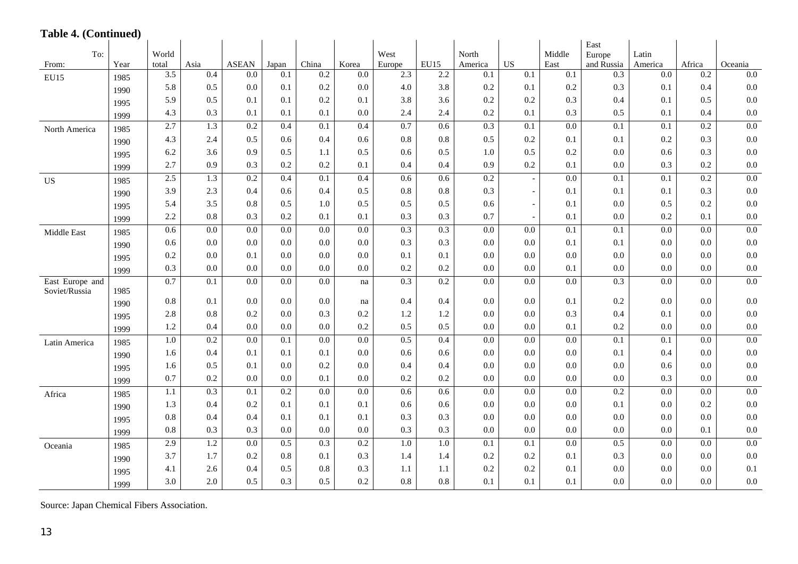### **Table 4. (Continued)**

|                 |              |                  |                  |                  |                  |       |       |                  |             |                  |                          |                  | East             |                  |                  |                  |
|-----------------|--------------|------------------|------------------|------------------|------------------|-------|-------|------------------|-------------|------------------|--------------------------|------------------|------------------|------------------|------------------|------------------|
| To:             |              | World            |                  |                  |                  |       |       | West             |             | North            |                          | Middle           | Europe           | Latin            |                  |                  |
| From:           | Year         | total            | Asia             | <b>ASEAN</b>     | Japan            | China | Korea | Europe           | <b>EU15</b> | America          | <b>US</b>                | East             | and Russia       | America          | Africa           | Oceania          |
| <b>EU15</b>     | 1985         | $\overline{3.5}$ | 0.4              | 0.0              | 0.1              | 0.2   | 0.0   | 2.3              | 2.2         | 0.1              | $\overline{0.1}$         | $\overline{0.1}$ | 0.3              | $0.0\,$          | $\overline{0.2}$ | $\overline{0.0}$ |
|                 | 1990         | 5.8              | 0.5              | 0.0              | 0.1              | 0.2   | 0.0   | 4.0              | 3.8         | 0.2              | 0.1                      | $0.2\,$          | 0.3              | 0.1              | 0.4              | 0.0              |
|                 | 1995         | 5.9              | 0.5              | 0.1              | 0.1              | 0.2   | 0.1   | 3.8              | 3.6         | 0.2              | 0.2                      | 0.3              | 0.4              | 0.1              | 0.5              | 0.0              |
|                 | 1999         | 4.3              | 0.3              | 0.1              | 0.1              | 0.1   | 0.0   | 2.4              | 2.4         | 0.2              | 0.1                      | 0.3              | 0.5              | 0.1              | 0.4              | 0.0              |
| North America   | 1985         | 2.7              | 1.3              | 0.2              | 0.4              | 0.1   | 0.4   | 0.7              | 0.6         | $\overline{0.3}$ | 0.1                      | 0.0              | 0.1              | 0.1              | 0.2              | 0.0              |
|                 | 1990         | 4.3              | 2.4              | 0.5              | 0.6              | 0.4   | 0.6   | 0.8              | 0.8         | 0.5              | 0.2                      | 0.1              | 0.1              | 0.2              | 0.3              | 0.0              |
|                 | 1995         | 6.2              | 3.6              | 0.9              | 0.5              | 1.1   | 0.5   | 0.6              | 0.5         | 1.0              | 0.5                      | 0.2              | 0.0              | 0.6              | 0.3              | 0.0              |
|                 | 1999         | 2.7              | 0.9              | 0.3              | 0.2              | 0.2   | 0.1   | 0.4              | 0.4         | 0.9              | 0.2                      | 0.1              | 0.0              | 0.3              | 0.2              | $0.0\,$          |
| <b>US</b>       | 1985         | 2.5              | 1.3              | 0.2              | 0.4              | 0.1   | 0.4   | 0.6              | 0.6         | 0.2              | $\overline{\phantom{a}}$ | 0.0              | 0.1              | 0.1              | 0.2              | 0.0              |
|                 | 1990         | 3.9              | 2.3              | 0.4              | 0.6              | 0.4   | 0.5   | 0.8              | 0.8         | 0.3              |                          | 0.1              | 0.1              | 0.1              | 0.3              | 0.0              |
|                 | 1995         | 5.4              | 3.5              | 0.8              | 0.5              | 1.0   | 0.5   | 0.5              | 0.5         | 0.6              | $\overline{a}$           | 0.1              | 0.0              | 0.5              | 0.2              | 0.0              |
|                 | 1999         | 2.2              | 0.8              | 0.3              | 0.2              | 0.1   | 0.1   | 0.3              | 0.3         | 0.7              |                          | 0.1              | 0.0              | 0.2              | 0.1              | 0.0              |
| Middle East     | 1985         | 0.6              | $\overline{0.0}$ | $\overline{0.0}$ | $\overline{0.0}$ | 0.0   | 0.0   | 0.3              | 0.3         | $\overline{0.0}$ | 0.0                      | 0.1              | 0.1              | $\overline{0.0}$ | 0.0              | $\overline{0.0}$ |
|                 | 1990         | 0.6              | 0.0              | 0.0              | 0.0              | 0.0   | 0.0   | 0.3              | 0.3         | 0.0              | 0.0                      | 0.1              | 0.1              | 0.0              | 0.0              | 0.0              |
|                 | 1995         | 0.2              | 0.0              | 0.1              | 0.0              | 0.0   | 0.0   | 0.1              | 0.1         | 0.0              | 0.0                      | 0.0              | 0.0              | 0.0              | 0.0              | 0.0              |
|                 | 1999         | 0.3              | 0.0              | 0.0              | 0.0              | 0.0   | 0.0   | 0.2              | 0.2         | 0.0              | 0.0                      | 0.1              | 0.0              | 0.0              | 0.0              | 0.0              |
| East Europe and |              | 0.7              | 0.1              | 0.0              | 0.0              | 0.0   | na    | $\overline{0.3}$ | 0.2         | 0.0              | 0.0                      | 0.0              | $\overline{0.3}$ | 0.0              | 0.0              | $\overline{0.0}$ |
| Soviet/Russia   | 1985         | 0.8              | 0.1              | 0.0              | 0.0              | 0.0   | na    | 0.4              | 0.4         | 0.0              | 0.0                      | 0.1              | 0.2              | 0.0              | 0.0              | $0.0\,$          |
|                 | 1990         | 2.8              | 0.8              | 0.2              | 0.0              | 0.3   | 0.2   | 1.2              | 1.2         | 0.0              | 0.0                      | 0.3              | 0.4              | 0.1              | 0.0              | 0.0              |
|                 | 1995<br>1999 | 1.2              | 0.4              | 0.0              | 0.0              | 0.0   | 0.2   | 0.5              | 0.5         | 0.0              | 0.0                      | 0.1              | 0.2              | 0.0              | 0.0              | 0.0              |
| Latin America   | 1985         | 1.0              | 0.2              | 0.0              | 0.1              | 0.0   | 0.0   | 0.5              | 0.4         | 0.0              | 0.0                      | 0.0              | 0.1              | 0.1              | 0.0              | 0.0              |
|                 | 1990         | 1.6              | 0.4              | 0.1              | 0.1              | 0.1   | 0.0   | 0.6              | 0.6         | 0.0              | 0.0                      | 0.0              | 0.1              | 0.4              | 0.0              | 0.0              |
|                 | 1995         | 1.6              | 0.5              | 0.1              | 0.0              | 0.2   | 0.0   | 0.4              | 0.4         | 0.0              | 0.0                      | 0.0              | 0.0              | 0.6              | 0.0              | 0.0              |
|                 | 1999         | 0.7              | 0.2              | 0.0              | 0.0              | 0.1   | 0.0   | 0.2              | 0.2         | 0.0              | 0.0                      | 0.0              | 0.0              | 0.3              | 0.0              | 0.0              |
| Africa          | 1985         | 1.1              | 0.3              | 0.1              | 0.2              | 0.0   | 0.0   | 0.6              | 0.6         | 0.0              | 0.0                      | 0.0              | 0.2              | 0.0              | 0.0              | 0.0              |
|                 | 1990         | 1.3              | 0.4              | 0.2              | 0.1              | 0.1   | 0.1   | 0.6              | 0.6         | 0.0              | 0.0                      | 0.0              | 0.1              | 0.0              | 0.2              | 0.0              |
|                 | 1995         | 0.8              | 0.4              | 0.4              | 0.1              | 0.1   | 0.1   | 0.3              | 0.3         | 0.0              | 0.0                      | 0.0              | 0.0              | 0.0              | 0.0              | 0.0              |
|                 | 1999         | 0.8              | 0.3              | 0.3              | 0.0              | 0.0   | 0.0   | 0.3              | 0.3         | 0.0              | 0.0                      | 0.0              | 0.0              | 0.0              | 0.1              | 0.0              |
| Oceania         | 1985         | 2.9              | 1.2              | $\overline{0.0}$ | 0.5              | 0.3   | 0.2   | 1.0              | 1.0         | $\overline{0.1}$ | $\overline{0.1}$         | 0.0              | 0.5              | 0.0              | 0.0              | 0.0              |
|                 | 1990         | 3.7              | 1.7              | 0.2              | 0.8              | 0.1   | 0.3   | 1.4              | 1.4         | 0.2              | 0.2                      | 0.1              | 0.3              | $0.0\,$          | 0.0              | 0.0              |
|                 | 1995         | 4.1              | 2.6              | 0.4              | 0.5              | 0.8   | 0.3   | 1.1              | 1.1         | 0.2              | 0.2                      | 0.1              | 0.0              | 0.0              | 0.0              | 0.1              |
|                 | 1999         | 3.0              | 2.0              | 0.5              | 0.3              | 0.5   | 0.2   | 0.8              | 0.8         | 0.1              | 0.1                      | 0.1              | 0.0              | 0.0              | 0.0              | $0.0\,$          |

Source: Japan Chemical Fibers Association.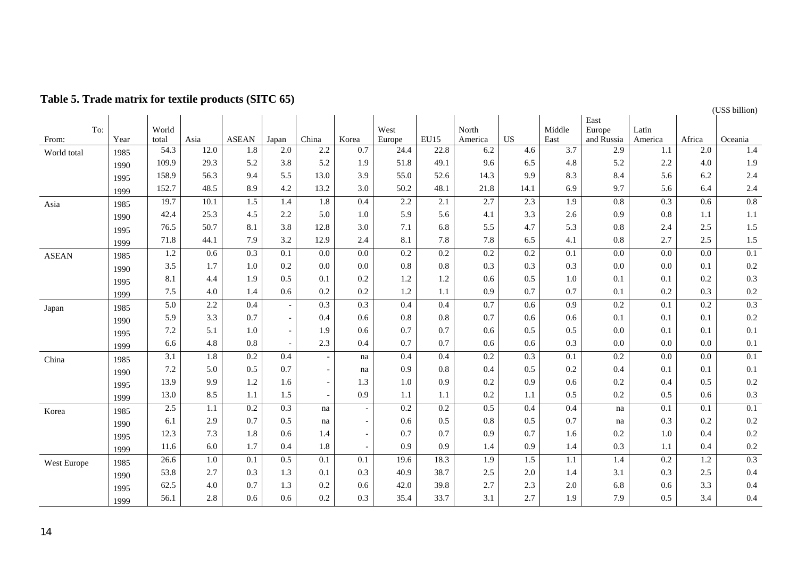|              |      |                  |                  |                  |                          |                          |                          |        |             |                  |                  |                  |                      |                  |                  | (US\$ billion)   |
|--------------|------|------------------|------------------|------------------|--------------------------|--------------------------|--------------------------|--------|-------------|------------------|------------------|------------------|----------------------|------------------|------------------|------------------|
| To:          |      | World            |                  |                  |                          |                          |                          | West   |             | North            |                  | Middle           | East                 | Latin            |                  |                  |
| From:        | Year | total            | Asia             | <b>ASEAN</b>     | Japan                    | China                    | Korea                    | Europe | <b>EU15</b> | America          | <b>US</b>        | East             | Europe<br>and Russia | America          | Africa           | Oceania          |
| World total  | 1985 | 54.3             | 12.0             | $1.8\,$          | $2.0\,$                  | 2.2                      | 0.7                      | 24.4   | 22.8        | 6.2              | 4.6              | $\overline{3.7}$ | 2.9                  | 1.1              | 2.0              | 1.4              |
|              | 1990 | 109.9            | 29.3             | 5.2              | 3.8                      | 5.2                      | 1.9                      | 51.8   | 49.1        | 9.6              | 6.5              | 4.8              | 5.2                  | 2.2              | 4.0              | 1.9              |
|              | 1995 | 158.9            | 56.3             | 9.4              | 5.5                      | 13.0                     | 3.9                      | 55.0   | 52.6        | 14.3             | 9.9              | 8.3              | 8.4                  | 5.6              | 6.2              | 2.4              |
|              | 1999 | 152.7            | 48.5             | 8.9              | 4.2                      | 13.2                     | 3.0                      | 50.2   | 48.1        | 21.8             | 14.1             | 6.9              | 9.7                  | 5.6              | 6.4              | 2.4              |
| Asia         | 1985 | 19.7             | 10.1             | 1.5              | 1.4                      | 1.8                      | 0.4                      | 2.2    | 2.1         | 2.7              | 2.3              | 1.9              | 0.8                  | 0.3              | 0.6              | $\overline{0.8}$ |
|              | 1990 | 42.4             | 25.3             | 4.5              | 2.2                      | 5.0                      | 1.0                      | 5.9    | 5.6         | 4.1              | 3.3              | 2.6              | 0.9                  | 0.8              | 1.1              | 1.1              |
|              | 1995 | 76.5             | 50.7             | 8.1              | 3.8                      | 12.8                     | 3.0                      | 7.1    | 6.8         | 5.5              | 4.7              | 5.3              | 0.8                  | 2.4              | 2.5              | 1.5              |
|              | 1999 | 71.8             | 44.1             | 7.9              | 3.2                      | 12.9                     | 2.4                      | 8.1    | 7.8         | 7.8              | 6.5              | 4.1              | $0.8\,$              | 2.7              | 2.5              | 1.5              |
| <b>ASEAN</b> | 1985 | 1.2              | 0.6              | 0.3              | 0.1                      | 0.0                      | 0.0                      | 0.2    | 0.2         | 0.2              | 0.2              | 0.1              | 0.0                  | 0.0              | 0.0              | $\overline{0.1}$ |
|              | 1990 | 3.5              | 1.7              | $1.0\,$          | 0.2                      | 0.0                      | 0.0                      | 0.8    | $0.8\,$     | 0.3              | 0.3              | 0.3              | 0.0                  | 0.0              | 0.1              | 0.2              |
|              | 1995 | 8.1              | 4.4              | 1.9              | 0.5                      | 0.1                      | 0.2                      | 1.2    | 1.2         | 0.6              | 0.5              | 1.0              | 0.1                  | 0.1              | 0.2              | 0.3              |
|              | 1999 | 7.5              | 4.0              | 1.4              | 0.6                      | 0.2                      | 0.2                      | 1.2    | 1.1         | 0.9              | 0.7              | 0.7              | 0.1                  | 0.2              | 0.3              | 0.2              |
| Japan        | 1985 | $\overline{5.0}$ | 2.2              | 0.4              | $\overline{\phantom{a}}$ | 0.3                      | 0.3                      | 0.4    | 0.4         | 0.7              | 0.6              | 0.9              | 0.2                  | 0.1              | $\overline{0.2}$ | 0.3              |
|              | 1990 | 5.9              | 3.3              | 0.7              | $\overline{\phantom{a}}$ | 0.4                      | 0.6                      | 0.8    | 0.8         | 0.7              | 0.6              | 0.6              | 0.1                  | 0.1              | 0.1              | 0.2              |
|              | 1995 | 7.2              | 5.1              | 1.0              | $\overline{\phantom{a}}$ | 1.9                      | 0.6                      | 0.7    | 0.7         | 0.6              | 0.5              | 0.5              | 0.0                  | 0.1              | 0.1              | 0.1              |
|              | 1999 | 6.6              | 4.8              | 0.8              |                          | 2.3                      | 0.4                      | 0.7    | 0.7         | 0.6              | 0.6              | 0.3              | 0.0                  | 0.0              | 0.0              | 0.1              |
| China        | 1985 | $\overline{3.1}$ | $\overline{1.8}$ | $\overline{0.2}$ | 0.4                      | $\overline{\phantom{a}}$ | na                       | 0.4    | 0.4         | 0.2              | $\overline{0.3}$ | $\overline{0.1}$ | $\overline{0.2}$     | $\overline{0.0}$ | 0.0              | $\overline{0.1}$ |
|              | 1990 | 7.2              | 5.0              | 0.5              | 0.7                      | $\overline{\phantom{a}}$ | na                       | 0.9    | 0.8         | 0.4              | 0.5              | 0.2              | 0.4                  | 0.1              | 0.1              | 0.1              |
|              | 1995 | 13.9             | 9.9              | 1.2              | 1.6                      | $\overline{\phantom{a}}$ | 1.3                      | 1.0    | 0.9         | 0.2              | 0.9              | 0.6              | 0.2                  | 0.4              | 0.5              | 0.2              |
|              | 1999 | 13.0             | 8.5              | 1.1              | 1.5                      | $\overline{a}$           | 0.9                      | 1.1    | 1.1         | 0.2              | 1.1              | 0.5              | 0.2                  | 0.5              | 0.6              | 0.3              |
| Korea        | 1985 | 2.5              | 1.1              | 0.2              | 0.3                      | na                       | $\overline{a}$           | 0.2    | 0.2         | 0.5              | 0.4              | 0.4              | na                   | 0.1              | 0.1              | 0.1              |
|              | 1990 | 6.1              | 2.9              | 0.7              | 0.5                      | na                       | $\overline{\phantom{a}}$ | 0.6    | 0.5         | 0.8              | 0.5              | 0.7              | na                   | 0.3              | 0.2              | 0.2              |
|              | 1995 | 12.3             | 7.3              | 1.8              | 0.6                      | 1.4                      | $\overline{\phantom{a}}$ | 0.7    | 0.7         | 0.9              | 0.7              | 1.6              | 0.2                  | 1.0              | 0.4              | 0.2              |
|              | 1999 | 11.6             | 6.0              | 1.7              | 0.4                      | 1.8                      | $\sim$                   | 0.9    | 0.9         | 1.4              | 0.9              | 1.4              | 0.3                  | 1.1              | 0.4              | 0.2              |
| West Europe  | 1985 | 26.6             | $\overline{1.0}$ | 0.1              | 0.5                      | 0.1                      | 0.1                      | 19.6   | 18.3        | $\overline{1.9}$ | $\overline{1.5}$ | 1.1              | 1.4                  | $\overline{0.2}$ | 1.2              | $\overline{0.3}$ |
|              | 1990 | 53.8             | 2.7              | 0.3              | 1.3                      | 0.1                      | 0.3                      | 40.9   | 38.7        | 2.5              | 2.0              | 1.4              | 3.1                  | 0.3              | 2.5              | 0.4              |
|              | 1995 | 62.5             | 4.0              | 0.7              | 1.3                      | 0.2                      | 0.6                      | 42.0   | 39.8        | 2.7              | 2.3              | 2.0              | 6.8                  | 0.6              | 3.3              | 0.4              |
|              | 1999 | 56.1             | 2.8              | 0.6              | 0.6                      | 0.2                      | 0.3                      | 35.4   | 33.7        | 3.1              | 2.7              | 1.9              | 7.9                  | 0.5              | 3.4              | 0.4              |

# **Table 5. Trade matrix for textile products (SITC 65)**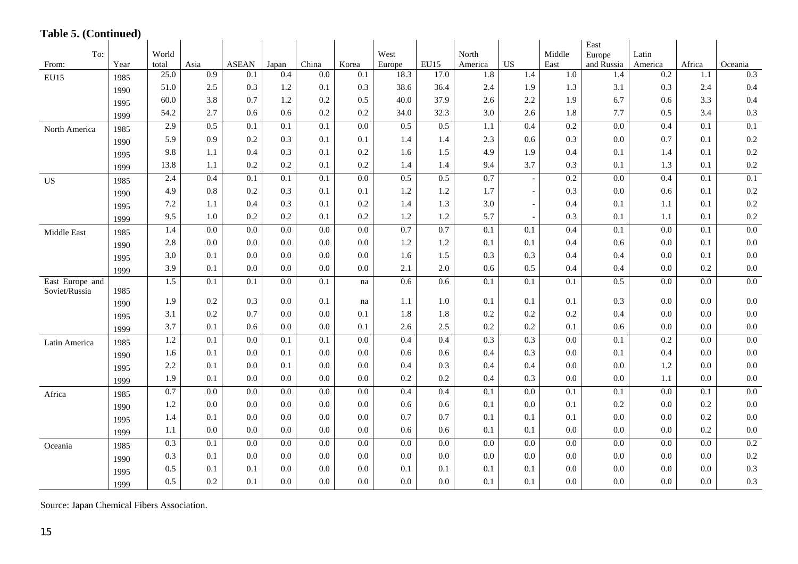# **Table 5. (Continued)**

|                                  |      |                  |                  |                  |                  |                  |                  |        |         |                  |                          |        | East             |                  |        |                  |
|----------------------------------|------|------------------|------------------|------------------|------------------|------------------|------------------|--------|---------|------------------|--------------------------|--------|------------------|------------------|--------|------------------|
| To:                              |      | World            |                  |                  |                  |                  |                  | West   |         | North            |                          | Middle | Europe           | Latin            |        |                  |
| From:                            | Year | total            | Asia             | <b>ASEAN</b>     | Japan            | China            | Korea            | Europe | EU15    | America          | <b>US</b>                | East   | and Russia       | America          | Africa | Oceania          |
| EU15                             | 1985 | 25.0             | $\overline{0.9}$ | 0.1              | $\overline{0.4}$ | $\overline{0.0}$ | 0.1              | 18.3   | 17.0    | 1.8              | 1.4                      | 1.0    | 1.4              | 0.2              | 1.1    | 0.3              |
|                                  | 1990 | 51.0             | 2.5              | 0.3              | 1.2              | 0.1              | 0.3              | 38.6   | 36.4    | 2.4              | 1.9                      | 1.3    | 3.1              | 0.3              | 2.4    | 0.4              |
|                                  | 1995 | 60.0             | 3.8              | 0.7              | 1.2              | 0.2              | 0.5              | 40.0   | 37.9    | 2.6              | 2.2                      | 1.9    | 6.7              | 0.6              | 3.3    | 0.4              |
|                                  | 1999 | 54.2             | 2.7              | 0.6              | 0.6              | 0.2              | 0.2              | 34.0   | 32.3    | 3.0              | 2.6                      | 1.8    | 7.7              | 0.5              | 3.4    | 0.3              |
| North America                    | 1985 | 2.9              | 0.5              | 0.1              | 0.1              | 0.1              | 0.0              | 0.5    | 0.5     | 1.1              | 0.4                      | 0.2    | 0.0              | 0.4              | 0.1    | $\overline{0.1}$ |
|                                  | 1990 | 5.9              | 0.9              | 0.2              | 0.3              | 0.1              | 0.1              | 1.4    | 1.4     | 2.3              | 0.6                      | 0.3    | 0.0              | 0.7              | 0.1    | 0.2              |
|                                  | 1995 | 9.8              | 1.1              | 0.4              | 0.3              | 0.1              | 0.2              | 1.6    | 1.5     | 4.9              | 1.9                      | 0.4    | 0.1              | 1.4              | 0.1    | 0.2              |
|                                  | 1999 | 13.8             | 1.1              | 0.2              | 0.2              | 0.1              | 0.2              | 1.4    | 1.4     | 9.4              | 3.7                      | 0.3    | 0.1              | 1.3              | 0.1    | 0.2              |
| <b>US</b>                        | 1985 | 2.4              | 0.4              | $\overline{0.1}$ | 0.1              | 0.1              | $\overline{0.0}$ | 0.5    | 0.5     | 0.7              | $\blacksquare$           | 0.2    | $\overline{0.0}$ | 0.4              | 0.1    | 0.1              |
|                                  | 1990 | 4.9              | $0.8\,$          | 0.2              | 0.3              | 0.1              | 0.1              | 1.2    | 1.2     | 1.7              | $\overline{a}$           | 0.3    | 0.0              | 0.6              | 0.1    | 0.2              |
|                                  | 1995 | 7.2              | 1.1              | 0.4              | 0.3              | 0.1              | 0.2              | 1.4    | 1.3     | 3.0              | $\overline{a}$           | 0.4    | 0.1              | 1.1              | 0.1    | 0.2              |
|                                  | 1999 | 9.5              | 1.0              | 0.2              | 0.2              | 0.1              | 0.2              | 1.2    | 1.2     | 5.7              | $\overline{\phantom{a}}$ | 0.3    | 0.1              | 1.1              | 0.1    | 0.2              |
| Middle East                      | 1985 | $\overline{1.4}$ | $\overline{0.0}$ | $\overline{0.0}$ | $\overline{0.0}$ | $\overline{0.0}$ | $\overline{0.0}$ | 0.7    | 0.7     | $\overline{0.1}$ | $\overline{0.1}$         | 0.4    | $\overline{0.1}$ | $\overline{0.0}$ | 0.1    | 0.0              |
|                                  | 1990 | 2.8              | 0.0              | 0.0              | 0.0              | 0.0              | 0.0              | 1.2    | 1.2     | 0.1              | 0.1                      | 0.4    | 0.6              | 0.0              | 0.1    | 0.0              |
|                                  | 1995 | 3.0              | 0.1              | 0.0              | 0.0              | 0.0              | 0.0              | 1.6    | 1.5     | 0.3              | 0.3                      | 0.4    | 0.4              | 0.0              | 0.1    | 0.0              |
|                                  | 1999 | 3.9              | 0.1              | 0.0              | 0.0              | 0.0              | 0.0              | 2.1    | $2.0\,$ | 0.6              | 0.5                      | 0.4    | 0.4              | 0.0              | 0.2    | 0.0              |
| East Europe and<br>Soviet/Russia | 1985 | 1.5              | 0.1              | 0.1              | 0.0              | 0.1              | na               | 0.6    | 0.6     | 0.1              | 0.1                      | 0.1    | 0.5              | $0.0\,$          | 0.0    | $\overline{0.0}$ |
|                                  | 1990 | 1.9              | 0.2              | 0.3              | 0.0              | 0.1              | na               | 1.1    | 1.0     | 0.1              | 0.1                      | 0.1    | 0.3              | 0.0              | 0.0    | 0.0              |
|                                  | 1995 | 3.1              | 0.2              | 0.7              | 0.0              | 0.0              | 0.1              | 1.8    | 1.8     | 0.2              | 0.2                      | 0.2    | 0.4              | 0.0              | 0.0    | 0.0              |
|                                  | 1999 | 3.7              | 0.1              | 0.6              | 0.0              | 0.0              | 0.1              | 2.6    | 2.5     | 0.2              | 0.2                      | 0.1    | 0.6              | 0.0              | 0.0    | 0.0              |
| Latin America                    | 1985 | 1.2              | 0.1              | 0.0              | 0.1              | $\overline{0.1}$ | $\overline{0.0}$ | 0.4    | 0.4     | 0.3              | 0.3                      | 0.0    | $\overline{0.1}$ | 0.2              | 0.0    | 0.0              |
|                                  | 1990 | 1.6              | 0.1              | 0.0              | 0.1              | 0.0              | 0.0              | 0.6    | 0.6     | 0.4              | 0.3                      | 0.0    | 0.1              | 0.4              | 0.0    | 0.0              |
|                                  | 1995 | 2.2              | 0.1              | 0.0              | 0.1              | 0.0              | 0.0              | 0.4    | 0.3     | 0.4              | 0.4                      | 0.0    | 0.0              | 1.2              | 0.0    | 0.0              |
|                                  | 1999 | 1.9              | 0.1              | 0.0              | 0.0              | 0.0              | 0.0              | 0.2    | 0.2     | 0.4              | 0.3                      | 0.0    | 0.0              | 1.1              | 0.0    | 0.0              |
| Africa                           | 1985 | 0.7              | $0.0\,$          | 0.0              | 0.0              | 0.0              | 0.0              | 0.4    | 0.4     | 0.1              | 0.0                      | 0.1    | 0.1              | $0.0\,$          | 0.1    | 0.0              |
|                                  | 1990 | 1.2              | $0.0\,$          | 0.0              | 0.0              | 0.0              | 0.0              | 0.6    | 0.6     | 0.1              | 0.0                      | 0.1    | 0.2              | 0.0              | 0.2    | 0.0              |
|                                  | 1995 | 1.4              | 0.1              | 0.0              | 0.0              | 0.0              | 0.0              | 0.7    | 0.7     | 0.1              | 0.1                      | 0.1    | 0.0              | 0.0              | 0.2    | 0.0              |
|                                  | 1999 | 1.1              | 0.0              | 0.0              | 0.0              | 0.0              | 0.0              | 0.6    | 0.6     | 0.1              | 0.1                      | 0.0    | 0.0              | 0.0              | 0.2    | 0.0              |
| Oceania                          | 1985 | 0.3              | 0.1              | 0.0              | $\overline{0.0}$ | $\overline{0.0}$ | $\overline{0.0}$ | 0.0    | 0.0     | 0.0              | 0.0                      | 0.0    | $\overline{0.0}$ | 0.0              | 0.0    | 0.2              |
|                                  | 1990 | 0.3              | 0.1              | 0.0              | $0.0\,$          | 0.0              | 0.0              | 0.0    | 0.0     | 0.0              | 0.0                      | 0.0    | 0.0              | 0.0              | 0.0    | 0.2              |
|                                  | 1995 | 0.5              | 0.1              | 0.1              | 0.0              | 0.0              | 0.0              | 0.1    | 0.1     | 0.1              | 0.1                      | 0.0    | 0.0              | 0.0              | 0.0    | 0.3              |
|                                  | 1999 | 0.5              | 0.2              | 0.1              | 0.0              | 0.0              | 0.0              | 0.0    | 0.0     | 0.1              | 0.1                      | 0.0    | 0.0              | 0.0              | 0.0    | 0.3              |

Source: Japan Chemical Fibers Association.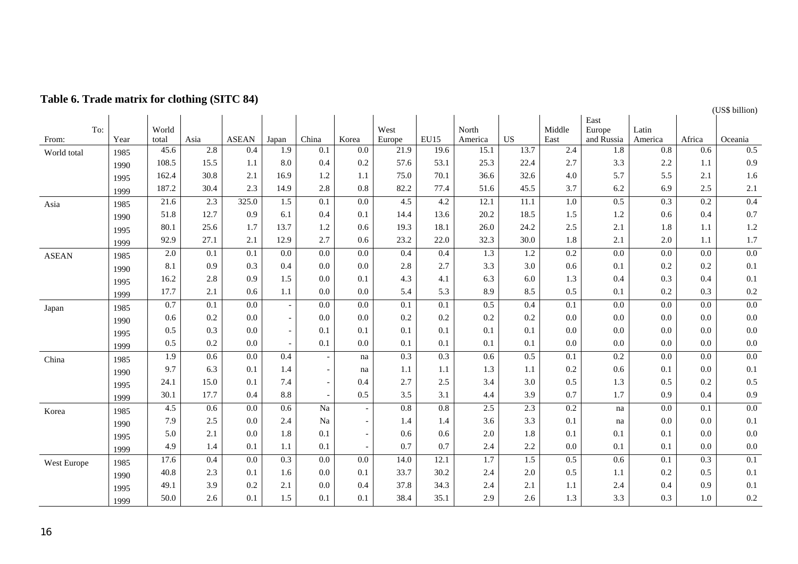|              |             |                  | o                |                  |                          |                          |                          |                  |      |                  |                  |                  |                      |                  |                  | (US\$ billion)   |
|--------------|-------------|------------------|------------------|------------------|--------------------------|--------------------------|--------------------------|------------------|------|------------------|------------------|------------------|----------------------|------------------|------------------|------------------|
|              |             | World            |                  |                  |                          |                          |                          |                  |      |                  |                  |                  | East                 |                  |                  |                  |
| From:        | To:<br>Year | total            | Asia             | <b>ASEAN</b>     | Japan                    | China                    | Korea                    | West<br>Europe   | EU15 | North<br>America | <b>US</b>        | Middle<br>East   | Europe<br>and Russia | Latin<br>America | Africa           | Oceania          |
| World total  | 1985        | 45.6             | 2.8              | 0.4              | 1.9                      | 0.1                      | 0.0                      | 21.9             | 19.6 | 15.1             | 13.7             | 2.4              | $1.8\,$              | 0.8              | 0.6              | 0.5              |
|              | 1990        | 108.5            | 15.5             | 1.1              | 8.0                      | 0.4                      | 0.2                      | 57.6             | 53.1 | 25.3             | 22.4             | 2.7              | 3.3                  | 2.2              | 1.1              | 0.9              |
|              | 1995        | 162.4            | 30.8             | 2.1              | 16.9                     | 1.2                      | 1.1                      | 75.0             | 70.1 | 36.6             | 32.6             | 4.0              | 5.7                  | 5.5              | 2.1              | 1.6              |
|              | 1999        | 187.2            | 30.4             | 2.3              | 14.9                     | 2.8                      | 0.8                      | 82.2             | 77.4 | 51.6             | 45.5             | 3.7              | 6.2                  | 6.9              | 2.5              | 2.1              |
| Asia         | 1985        | 21.6             | 2.3              | 325.0            | 1.5                      | 0.1                      | $\overline{0.0}$         | 4.5              | 4.2  | 12.1             | 11.1             | $1.0\,$          | 0.5                  | $\overline{0.3}$ | $\overline{0.2}$ | 0.4              |
|              | 1990        | 51.8             | 12.7             | 0.9              | 6.1                      | 0.4                      | 0.1                      | 14.4             | 13.6 | 20.2             | 18.5             | 1.5              | 1.2                  | 0.6              | 0.4              | 0.7              |
|              | 1995        | 80.1             | 25.6             | 1.7              | 13.7                     | 1.2                      | 0.6                      | 19.3             | 18.1 | 26.0             | 24.2             | 2.5              | 2.1                  | 1.8              | 1.1              | 1.2              |
|              | 1999        | 92.9             | 27.1             | 2.1              | 12.9                     | 2.7                      | 0.6                      | 23.2             | 22.0 | 32.3             | 30.0             | 1.8              | 2.1                  | 2.0              | 1.1              | 1.7              |
| <b>ASEAN</b> | 1985        | 2.0              | 0.1              | 0.1              | 0.0                      | $0.0\,$                  | $0.0\,$                  | 0.4              | 0.4  | 1.3              | $1.2\,$          | 0.2              | 0.0                  | 0.0              | 0.0              | $0.0\,$          |
|              | 1990        | 8.1              | 0.9              | 0.3              | 0.4                      | 0.0                      | 0.0                      | 2.8              | 2.7  | 3.3              | 3.0              | 0.6              | 0.1                  | 0.2              | 0.2              | 0.1              |
|              | 1995        | 16.2             | 2.8              | 0.9              | 1.5                      | 0.0                      | 0.1                      | 4.3              | 4.1  | 6.3              | 6.0              | 1.3              | 0.4                  | 0.3              | 0.4              | 0.1              |
|              | 1999        | 17.7             | 2.1              | 0.6              | 1.1                      | 0.0                      | 0.0                      | 5.4              | 5.3  | 8.9              | 8.5              | 0.5              | 0.1                  | 0.2              | 0.3              | 0.2              |
| Japan        | 1985        | 0.7              | $\overline{0.1}$ | $\overline{0.0}$ | $\overline{\phantom{a}}$ | $\overline{0.0}$         | 0.0                      | $\overline{0.1}$ | 0.1  | 0.5              | 0.4              | $\overline{0.1}$ | 0.0                  | 0.0              | 0.0              | 0.0              |
|              | 1990        | 0.6              | 0.2              | 0.0              | $\overline{\phantom{a}}$ | 0.0                      | 0.0                      | 0.2              | 0.2  | 0.2              | 0.2              | 0.0              | 0.0                  | 0.0              | 0.0              | 0.0              |
|              | 1995        | 0.5              | 0.3              | 0.0              | $\sim$                   | 0.1                      | 0.1                      | 0.1              | 0.1  | 0.1              | 0.1              | 0.0              | 0.0                  | 0.0              | 0.0              | 0.0              |
|              | 1999        | 0.5              | 0.2              | 0.0              | $\sim$                   | 0.1                      | 0.0                      | 0.1              | 0.1  | 0.1              | 0.1              | 0.0              | 0.0                  | 0.0              | 0.0              | 0.0              |
| China        | 1985        | $\overline{1.9}$ | 0.6              | $0.0\,$          | 0.4                      | $\overline{\phantom{a}}$ | na                       | 0.3              | 0.3  | 0.6              | 0.5              | $\overline{0.1}$ | $\overline{0.2}$     | 0.0              | 0.0              | 0.0              |
|              | 1990        | 9.7              | 6.3              | 0.1              | 1.4                      | $\overline{\phantom{a}}$ | na                       | 1.1              | 1.1  | 1.3              | 1.1              | 0.2              | 0.6                  | 0.1              | 0.0              | 0.1              |
|              | 1995        | 24.1             | 15.0             | 0.1              | 7.4                      | $\overline{\phantom{a}}$ | 0.4                      | 2.7              | 2.5  | 3.4              | 3.0              | 0.5              | 1.3                  | 0.5              | 0.2              | 0.5              |
|              | 1999        | 30.1             | 17.7             | 0.4              | 8.8                      | $\overline{\phantom{a}}$ | 0.5                      | 3.5              | 3.1  | 4.4              | 3.9              | 0.7              | 1.7                  | 0.9              | 0.4              | 0.9              |
| Korea        | 1985        | 4.5              | 0.6              | 0.0              | 0.6                      | Na                       | $\overline{\phantom{a}}$ | 0.8              | 0.8  | 2.5              | 2.3              | 0.2              | na                   | 0.0              | 0.1              | 0.0              |
|              | 1990        | 7.9              | 2.5              | 0.0              | 2.4                      | Na                       | $\sim$                   | 1.4              | 1.4  | 3.6              | 3.3              | 0.1              | na                   | $0.0\,$          | 0.0              | 0.1              |
|              | 1995        | 5.0              | 2.1              | 0.0              | 1.8                      | 0.1                      |                          | 0.6              | 0.6  | 2.0              | 1.8              | 0.1              | 0.1                  | 0.1              | 0.0              | 0.0              |
|              | 1999        | 4.9              | 1.4              | 0.1              | 1.1                      | 0.1                      |                          | 0.7              | 0.7  | 2.4              | 2.2              | 0.0              | 0.1                  | 0.1              | 0.0              | 0.0              |
| West Europe  | 1985        | 17.6             | 0.4              | $\overline{0.0}$ | $\overline{0.3}$         | $\overline{0.0}$         | $\overline{0.0}$         | 14.0             | 12.1 | $\overline{1.7}$ | $\overline{1.5}$ | 0.5              | 0.6                  | 0.1              | 0.3              | $\overline{0.1}$ |
|              | 1990        | 40.8             | 2.3              | 0.1              | 1.6                      | 0.0                      | 0.1                      | 33.7             | 30.2 | 2.4              | 2.0              | 0.5              | 1.1                  | 0.2              | 0.5              | 0.1              |
|              | 1995        | 49.1             | 3.9              | 0.2              | 2.1                      | 0.0                      | 0.4                      | 37.8             | 34.3 | 2.4              | 2.1              | 1.1              | 2.4                  | 0.4              | 0.9              | 0.1              |
|              | 1999        | 50.0             | 2.6              | 0.1              | 1.5                      | 0.1                      | 0.1                      | 38.4             | 35.1 | 2.9              | 2.6              | 1.3              | 3.3                  | 0.3              | 1.0              | 0.2              |

# **Table 6. Trade matrix for clothing (SITC 84)**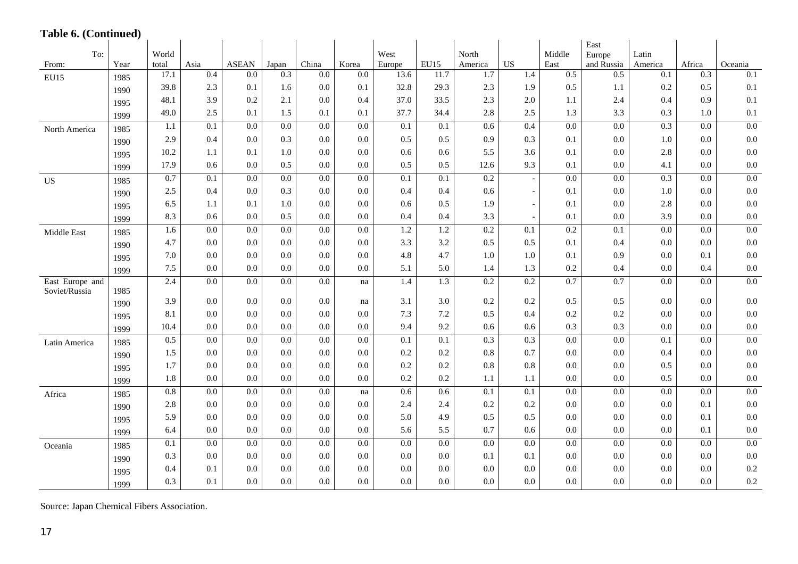# **Table 6. (Continued)**

| $1$ avit $0.$ (Continued)        |      |                |                  |                  |                  |                  |                  |                  |                  |                  |                          |                  | East                 |                  |                  |                  |
|----------------------------------|------|----------------|------------------|------------------|------------------|------------------|------------------|------------------|------------------|------------------|--------------------------|------------------|----------------------|------------------|------------------|------------------|
| To:<br>From:                     | Year | World<br>total | Asia             | <b>ASEAN</b>     | Japan            | China            | Korea            | West<br>Europe   | EU15             | North<br>America | <b>US</b>                | Middle<br>East   | Europe<br>and Russia | Latin<br>America | Africa           | Oceania          |
| <b>EU15</b>                      | 1985 | 17.1           | 0.4              | 0.0              | 0.3              | 0.0              | 0.0              | 13.6             | 11.7             | 1.7              | 1.4                      | 0.5              | 0.5                  | $\overline{0.1}$ | 0.3              | $\overline{0.1}$ |
|                                  | 1990 | 39.8           | 2.3              | 0.1              | 1.6              | 0.0              | 0.1              | 32.8             | 29.3             | 2.3              | 1.9                      | 0.5              | 1.1                  | 0.2              | 0.5              | 0.1              |
|                                  | 1995 | 48.1           | 3.9              | 0.2              | 2.1              | 0.0              | 0.4              | 37.0             | 33.5             | 2.3              | 2.0                      | 1.1              | 2.4                  | 0.4              | 0.9              | 0.1              |
|                                  | 1999 | 49.0           | 2.5              | 0.1              | 1.5              | 0.1              | 0.1              | 37.7             | 34.4             | $2.8\,$          | 2.5                      | 1.3              | 3.3                  | 0.3              | 1.0              | 0.1              |
| North America                    | 1985 | 1.1            | 0.1              | 0.0              | $0.0\,$          | 0.0              | 0.0              | 0.1              | 0.1              | 0.6              | 0.4                      | 0.0              | 0.0                  | 0.3              | 0.0              | $0.0\,$          |
|                                  | 1990 | 2.9            | 0.4              | 0.0              | 0.3              | 0.0              | 0.0              | 0.5              | 0.5              | 0.9              | 0.3                      | 0.1              | 0.0                  | $1.0\,$          | 0.0              | $0.0\,$          |
|                                  | 1995 | 10.2           | 1.1              | 0.1              | 1.0              | 0.0              | 0.0              | 0.6              | 0.6              | 5.5              | 3.6                      | 0.1              | 0.0                  | 2.8              | 0.0              | $0.0\,$          |
|                                  | 1999 | 17.9           | 0.6              | 0.0              | 0.5              | 0.0              | 0.0              | 0.5              | 0.5              | 12.6             | 9.3                      | 0.1              | 0.0                  | 4.1              | 0.0              | 0.0              |
| <b>US</b>                        | 1985 | 0.7            | $\overline{0.1}$ | $\overline{0.0}$ | 0.0              | 0.0              | 0.0              | $\overline{0.1}$ | $\overline{0.1}$ | 0.2              |                          | 0.0              | $\overline{0.0}$     | 0.3              | 0.0              | 0.0              |
|                                  | 1990 | 2.5            | 0.4              | 0.0              | 0.3              | 0.0              | 0.0              | 0.4              | 0.4              | 0.6              | $\sim$                   | 0.1              | 0.0                  | $1.0\,$          | 0.0              | $0.0\,$          |
|                                  | 1995 | 6.5            | 1.1              | 0.1              | 1.0              | 0.0              | 0.0              | 0.6              | 0.5              | 1.9              | $\overline{\phantom{a}}$ | 0.1              | 0.0                  | 2.8              | 0.0              | 0.0              |
|                                  | 1999 | 8.3            | 0.6              | 0.0              | 0.5              | 0.0              | 0.0              | 0.4              | 0.4              | 3.3              |                          | 0.1              | 0.0                  | 3.9              | 0.0              | 0.0              |
| Middle East                      | 1985 | 1.6            | 0.0              | 0.0              | 0.0              | $\overline{0.0}$ | 0.0              | 1.2              | 1.2              | 0.2              | $\overline{0.1}$         | 0.2              | $\overline{0.1}$     | 0.0              | 0.0              | 0.0              |
|                                  | 1990 | 4.7            | 0.0              | 0.0              | 0.0              | 0.0              | 0.0              | 3.3              | 3.2              | 0.5              | 0.5                      | 0.1              | 0.4                  | 0.0              | 0.0              | $0.0\,$          |
|                                  | 1995 | 7.0            | 0.0              | 0.0              | 0.0              | 0.0              | 0.0              | 4.8              | 4.7              | 1.0              | 1.0                      | 0.1              | 0.9                  | 0.0              | 0.1              | 0.0              |
|                                  | 1999 | 7.5            | 0.0              | 0.0              | 0.0              | 0.0              | 0.0              | 5.1              | 5.0              | 1.4              | 1.3                      | 0.2              | 0.4                  | $0.0\,$          | 0.4              | 0.0              |
| East Europe and<br>Soviet/Russia | 1985 | 2.4            | 0.0              | 0.0              | 0.0              | 0.0              | na               | 1.4              | 1.3              | 0.2              | 0.2                      | 0.7              | 0.7                  | 0.0              | 0.0              | $0.0\,$          |
|                                  | 1990 | 3.9            | 0.0              | 0.0              | 0.0              | 0.0              | na               | 3.1              | 3.0              | 0.2              | 0.2                      | 0.5              | 0.5                  | 0.0              | 0.0              | $0.0\,$          |
|                                  | 1995 | 8.1            | 0.0              | 0.0              | 0.0              | 0.0              | 0.0              | 7.3              | 7.2              | 0.5              | 0.4                      | 0.2              | 0.2                  | 0.0              | 0.0              | 0.0              |
|                                  | 1999 | 10.4           | 0.0              | 0.0              | 0.0              | 0.0              | 0.0              | 9.4              | 9.2              | 0.6              | 0.6                      | 0.3              | 0.3                  | 0.0              | 0.0              | 0.0              |
| Latin America                    | 1985 | 0.5            | $\overline{0.0}$ | $\overline{0.0}$ | $\overline{0.0}$ | $\overline{0.0}$ | $\overline{0.0}$ | 0.1              | 0.1              | 0.3              | 0.3                      | $\overline{0.0}$ | $\overline{0.0}$     | $\overline{0.1}$ | $\overline{0.0}$ | 0.0              |
|                                  | 1990 | 1.5            | 0.0              | 0.0              | 0.0              | 0.0              | 0.0              | 0.2              | 0.2              | $0.8\,$          | 0.7                      | 0.0              | 0.0                  | 0.4              | 0.0              | 0.0              |
|                                  | 1995 | 1.7            | 0.0              | 0.0              | 0.0              | 0.0              | 0.0              | 0.2              | 0.2              | 0.8              | 0.8                      | 0.0              | 0.0                  | 0.5              | 0.0              | 0.0              |
|                                  | 1999 | 1.8            | 0.0              | 0.0              | $0.0\,$          | 0.0              | 0.0              | 0.2              | 0.2              | 1.1              | 1.1                      | 0.0              | 0.0                  | 0.5              | 0.0              | 0.0              |
| Africa                           | 1985 | $0.8\,$        | 0.0              | 0.0              | 0.0              | 0.0              | na               | 0.6              | 0.6              | 0.1              | 0.1                      | 0.0              | 0.0                  | 0.0              | 0.0              | $0.0\,$          |
|                                  | 1990 | 2.8            | 0.0              | $0.0\,$          | 0.0              | 0.0              | 0.0              | 2.4              | 2.4              | 0.2              | 0.2                      | 0.0              | 0.0                  | 0.0              | 0.1              | 0.0              |
|                                  | 1995 | 5.9            | 0.0              | 0.0              | 0.0              | 0.0              | 0.0              | 5.0              | 4.9              | 0.5              | 0.5                      | 0.0              | 0.0                  | 0.0              | 0.1              | 0.0              |
|                                  | 1999 | 6.4            | 0.0              | 0.0              | 0.0              | 0.0              | 0.0              | 5.6              | 5.5              | 0.7              | 0.6                      | 0.0              | 0.0                  | 0.0              | 0.1              | 0.0              |
| Oceania                          | 1985 | 0.1            | $\overline{0.0}$ | $\overline{0.0}$ | $\overline{0.0}$ | $\overline{0.0}$ | $\overline{0.0}$ | $\overline{0.0}$ | $\overline{0.0}$ | $\overline{0.0}$ | $\overline{0.0}$         | $\overline{0.0}$ | $\overline{0.0}$     | $\overline{0.0}$ | $\overline{0.0}$ | 0.0              |
|                                  | 1990 | 0.3            | 0.0              | 0.0              | 0.0              | 0.0              | 0.0              | 0.0              | 0.0              | 0.1              | 0.1                      | 0.0              | 0.0                  | 0.0              | 0.0              | $0.0\,$          |
|                                  | 1995 | 0.4            | 0.1              | 0.0              | 0.0              | 0.0              | 0.0              | 0.0              | 0.0              | 0.0              | 0.0                      | 0.0              | 0.0                  | 0.0              | 0.0              | 0.2              |
|                                  | 1999 | 0.3            | 0.1              | 0.0              | 0.0              | 0.0              | 0.0              | 0.0              | 0.0              | 0.0              | 0.0                      | 0.0              | 0.0                  | 0.0              | 0.0              | $0.2\,$          |

Source: Japan Chemical Fibers Association.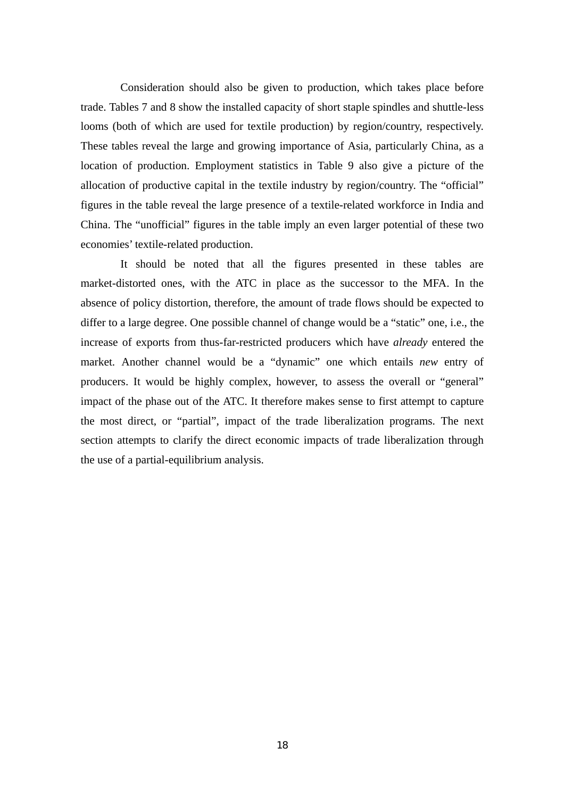Consideration should also be given to production, which takes place before trade. Tables 7 and 8 show the installed capacity of short staple spindles and shuttle-less looms (both of which are used for textile production) by region/country, respectively. These tables reveal the large and growing importance of Asia, particularly China, as a location of production. Employment statistics in Table 9 also give a picture of the allocation of productive capital in the textile industry by region/country. The "official" figures in the table reveal the large presence of a textile-related workforce in India and China. The "unofficial" figures in the table imply an even larger potential of these two economies' textile-related production.

It should be noted that all the figures presented in these tables are market-distorted ones, with the ATC in place as the successor to the MFA. In the absence of policy distortion, therefore, the amount of trade flows should be expected to differ to a large degree. One possible channel of change would be a "static" one, i.e., the increase of exports from thus-far-restricted producers which have *already* entered the market. Another channel would be a "dynamic" one which entails *new* entry of producers. It would be highly complex, however, to assess the overall or "general" impact of the phase out of the ATC. It therefore makes sense to first attempt to capture the most direct, or "partial", impact of the trade liberalization programs. The next section attempts to clarify the direct economic impacts of trade liberalization through the use of a partial-equilibrium analysis.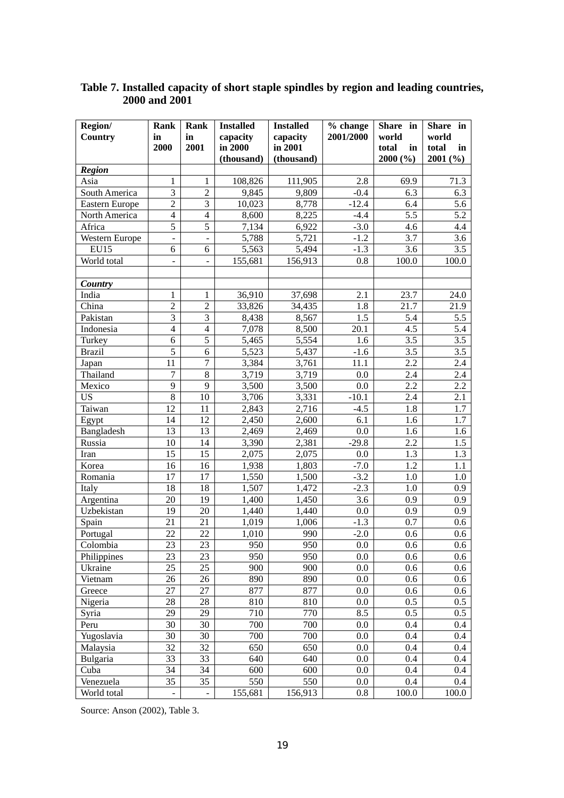| Region/               | Rank                     | Rank                         | <b>Installed</b> | <b>Installed</b> | % change  | Share in    | Share in    |
|-----------------------|--------------------------|------------------------------|------------------|------------------|-----------|-------------|-------------|
| Country               | in                       | in                           | capacity         | capacity         | 2001/2000 | world       | world       |
|                       | 2000                     | 2001                         | in 2000          | in 2001          |           | total<br>in | total<br>in |
|                       |                          |                              | (thousand)       | (thousand)       |           | 2000(%)     | 2001(%)     |
| <b>Region</b>         |                          |                              |                  |                  |           |             |             |
| Asia                  | 1                        | 1                            | 108,826          | 111,905          | 2.8       | 69.9        | 71.3        |
| South America         | $\mathfrak{Z}$           | $\overline{2}$               | 9,845            | 9,809            | $-0.4$    | 6.3         | 6.3         |
| <b>Eastern Europe</b> | $\overline{2}$           | $\mathfrak{Z}$               | 10,023           | 8,778            | $-12.4$   | 6.4         | 5.6         |
| North America         | $\overline{4}$           | $\overline{4}$               | 8,600            | 8,225            | $-4.4$    | 5.5         | 5.2         |
| Africa                | $\overline{5}$           | $\overline{5}$               | 7,134            | 6,922            | $-3.0$    | 4.6         | 4.4         |
| <b>Western Europe</b> | $\overline{\phantom{a}}$ | $\overline{\phantom{a}}$     | 5,788            | 5,721            | $-1.2$    | 3.7         | 3.6         |
| <b>EU15</b>           | 6                        | 6                            | 5,563            | 5,494            | $-1.3$    | 3.6         | 3.5         |
| World total           | $\blacksquare$           | $\qquad \qquad \blacksquare$ | 155,681          | 156,913          | 0.8       | 100.0       | 100.0       |
|                       |                          |                              |                  |                  |           |             |             |
| Country               |                          |                              |                  |                  |           |             |             |
| India                 | 1                        | 1                            | 36,910           | 37,698           | 2.1       | 23.7        | 24.0        |
| China                 | $\overline{2}$           | $\overline{2}$               | 33,826           | 34,435           | 1.8       | 21.7        | 21.9        |
| Pakistan              | $\overline{\mathbf{3}}$  | $\mathfrak{Z}$               | 8,438            | 8,567            | 1.5       | 5.4         | 5.5         |
| Indonesia             | $\overline{4}$           | $\overline{4}$               | 7,078            | 8,500            | 20.1      | 4.5         | 5.4         |
| Turkey                | $\sqrt{6}$               | $\overline{5}$               | 5,465            | 5,554            | 1.6       | 3.5         | 3.5         |
| <b>Brazil</b>         | 5                        | $\sqrt{6}$                   | 5,523            | 5,437            | $-1.6$    | 3.5         | 3.5         |
| Japan                 | 11                       | $\tau$                       | 3,384            | 3,761            | 11.1      | 2.2         | 2.4         |
| Thailand              | $\boldsymbol{7}$         | $\,8\,$                      | 3,719            | 3,719            | 0.0       | 2.4         | 2.4         |
| Mexico                | $\overline{9}$           | 9                            | 3,500            | 3,500            | 0.0       | 2.2         | 2.2         |
| <b>US</b>             | $\,8\,$                  | 10                           | 3,706            | 3,331            | $-10.1$   | 2.4         | 2.1         |
| Taiwan                | 12                       | 11                           | 2,843            | 2,716            | $-4.5$    | 1.8         | 1.7         |
| Egypt                 | 14                       | 12                           | 2,450            | 2,600            | 6.1       | 1.6         | 1.7         |
| Bangladesh            | 13                       | 13                           | 2,469            | 2,469            | 0.0       | 1.6         | 1.6         |
| Russia                | 10                       | 14                           | 3,390            | 2,381            | $-29.8$   | 2.2         | 1.5         |
| Iran                  | 15                       | 15                           | 2,075            | 2,075            | 0.0       | 1.3         | 1.3         |
| Korea                 | 16                       | 16                           | 1,938            | 1,803            | $-7.0$    | 1.2         | 1.1         |
| Romania               | 17                       | 17                           | 1,550            | 1,500            | $-3.2$    | 1.0         | 1.0         |
| Italy                 | 18                       | 18                           | 1,507            | 1,472            | $-2.3$    | 1.0         | 0.9         |
| Argentina             | 20                       | 19                           | 1,400            | 1,450            | 3.6       | 0.9         | 0.9         |
| Uzbekistan            | 19                       | 20                           | 1,440            | 1,440            | 0.0       | 0.9         | 0.9         |
| Spain                 | 21                       | 21                           | 1,019            | 1,006            | $-1.3$    | 0.7         | 0.6         |
| Portugal              | 22                       | 22                           | 1,010            | 990              | $-2.0$    | 0.6         | 0.6         |
| Colombia              | 23                       | 23                           | 950              | 950              | 0.0       | 0.6         | 0.6         |
| Philippines           | 23                       | 23                           | 950              | 950              | 0.0       | 0.6         | 0.6         |
| Ukraine               | 25                       | 25                           | 900              | 900              | 0.0       | 0.6         | 0.6         |
| Vietnam               | 26                       | 26                           | 890              | 890              | 0.0       | 0.6         | 0.6         |
| Greece                | 27                       | 27                           | 877              | 877              | 0.0       | 0.6         | 0.6         |
| Nigeria               | 28                       | 28                           | 810              | 810              | 0.0       | 0.5         | 0.5         |
| Syria                 | 29                       | 29                           | 710              | 770              | 8.5       | 0.5         | 0.5         |
| Peru                  | 30                       | 30                           | 700              | 700              | 0.0       | 0.4         | 0.4         |
| Yugoslavia            | 30                       | 30                           | 700              | 700              | 0.0       | 0.4         | 0.4         |
| Malaysia              | 32                       | 32                           | 650              | 650              | 0.0       | 0.4         | 0.4         |
| <b>Bulgaria</b>       | 33                       | 33                           | 640              | 640              | 0.0       | 0.4         | 0.4         |
| Cuba                  | 34                       | 34                           | 600              | 600              | 0.0       | 0.4         | 0.4         |
| Venezuela             | 35                       | 35                           | 550              | 550              | 0.0       | 0.4         | 0.4         |
| World total           | $\overline{\phantom{0}}$ | $\qquad \qquad \blacksquare$ | 155,681          | 156,913          | 0.8       | 100.0       | 100.0       |

# **Table 7. Installed capacity of short staple spindles by region and leading countries, 2000 and 2001**

Source: Anson (2002), Table 3.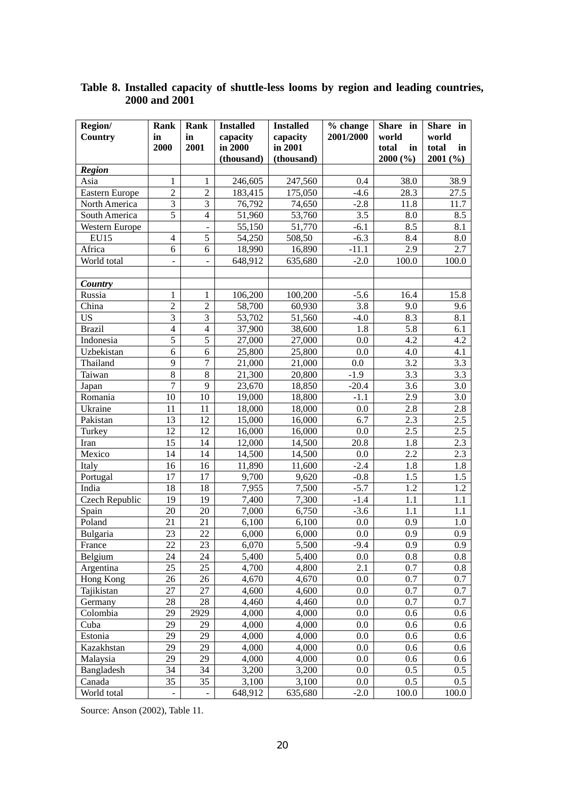| Region/           | Rank                     | Rank                         | <b>Installed</b> | <b>Installed</b> | $\overline{\frac{6}{}}$ change | Share in    | <b>Share</b><br>in |
|-------------------|--------------------------|------------------------------|------------------|------------------|--------------------------------|-------------|--------------------|
| Country           | in                       | in                           | capacity         | capacity         | 2001/2000                      | world       | world              |
|                   | 2000                     | 2001                         | in 2000          | in 2001          |                                | total<br>in | total<br>in        |
|                   |                          |                              | (thousand)       | (thousand)       |                                | 2000 (%)    | 2001(%)            |
| <b>Region</b>     |                          |                              |                  |                  |                                |             |                    |
| Asia              | 1                        | 1                            | 246,605          | 247,560          | 0.4                            | 38.0        | 38.9               |
| Eastern Europe    | $\sqrt{2}$               | $\overline{2}$               | 183,415          | 175,050          | $-4.6$                         | 28.3        | 27.5               |
| North America     | $\overline{3}$           | $\overline{\mathbf{3}}$      | 76,792           | 74,650           | $-2.8$                         | 11.8        | 11.7               |
| South America     | $\overline{5}$           | $\overline{4}$               | 51,960           | 53,760           | 3.5                            | 8.0         | 8.5                |
| Western Europe    |                          | $\qquad \qquad \blacksquare$ | 55,150           | 51,770           | $-6.1$                         | 8.5         | 8.1                |
| <b>EU15</b>       | $\overline{4}$           | $\overline{5}$               | 54,250           | 508,50           | $-6.3$                         | 8.4         | 8.0                |
| Africa            | 6                        | 6                            | 18,990           | 16,890           | $-11.1$                        | 2.9         | 2.7                |
| World total       | $\blacksquare$           | $\overline{\phantom{a}}$     | 648,912          | 635,680          | $-2.0$                         | 100.0       | 100.0              |
|                   |                          |                              |                  |                  |                                |             |                    |
| Country           |                          |                              |                  |                  |                                |             |                    |
| Russia            | 1                        | 1                            | 106,200          | 100,200          | $-5.6$                         | 16.4        | 15.8               |
| China             | $\sqrt{2}$               | $\overline{2}$               | 58,700           | 60,930           | 3.8                            | 9.0         | 9.6                |
| <b>US</b>         | $\overline{\mathbf{3}}$  | $\overline{3}$               | 53,702           | 51,560           | $-4.0$                         | 8.3         | 8.1                |
| <b>Brazil</b>     | $\overline{4}$           | $\overline{4}$               | 37,900           | 38,600           | 1.8                            | 5.8         | 6.1                |
| Indonesia         | $\overline{5}$           | $\overline{5}$               | 27,000           | 27,000           | 0.0                            | 4.2         | 4.2                |
| Uzbekistan        | 6                        | 6                            | 25,800           | 25,800           | 0.0                            | 4.0         | 4.1                |
| Thailand          | 9                        | $\overline{7}$               | 21,000           | 21,000           | 0.0                            | 3.2         | 3.3                |
| Taiwan            | $\overline{8}$           | 8                            | 21,300           | 20,800           | $-1.9$                         | 3.3         | 3.3                |
| Japan             | $\overline{7}$           | 9                            | 23,670           | 18,850           | $-20.4$                        | 3.6         | 3.0                |
| Romania           | 10                       | 10                           | 19,000           | 18,800           | $-1.1$                         | 2.9         | 3.0                |
| Ukraine           | 11                       | 11                           | 18,000           | 18,000           | 0.0                            | 2.8         | 2.8                |
| Pakistan          | 13                       | 12                           | 15,000           | 16,000           | 6.7                            | 2.3         | 2.5                |
| Turkey            | 12                       | 12                           | 16,000           | 16,000           | 0.0                            | 2.5         | 2.5                |
| Iran              | 15                       | 14                           | 12,000           | 14,500           | 20.8                           | 1.8         | 2.3                |
| Mexico            | 14                       | 14                           | 14,500           | 14,500           | 0.0                            | 2.2         | 2.3                |
| Italy             | 16                       | 16                           | 11,890           | 11,600           | $-2.4$                         | 1.8<br>1.5  | 1.8                |
| Portugal<br>India | 17                       | 17                           | 9,700            | 9,620            | $-0.8$                         | 1.2         | 1.5                |
| Czech Republic    | 18<br>19                 | 18                           | 7,955            | 7,500            | $-5.7$<br>$-1.4$               | 1.1         | 1.2                |
|                   | 20                       | 19<br>20                     | 7,400<br>7,000   | 7,300<br>6,750   | $-3.6$                         | 1.1         | 1.1<br>1.1         |
| Spain<br>Poland   | 21                       | 21                           | 6,100            | 6,100            | 0.0                            | 0.9         | 1.0                |
| Bulgaria          | 23                       | 22                           | 6,000            | 6,000            | 0.0                            | 0.9         | 0.9                |
| France            | 22                       | 23                           | 6,070            | 5,500            | $-9.4$                         | 0.9         | 0.9                |
| Belgium           | 24                       | 24                           | 5,400            | 5,400            | 0.0                            | 0.8         | 0.8                |
| Argentina         | 25                       | 25                           | 4,700            | 4,800            | 2.1                            | 0.7         | $0.8\,$            |
| Hong Kong         | 26                       | 26                           | 4,670            | 4,670            | 0.0                            | 0.7         | 0.7                |
| Tajikistan        | 27                       | 27                           | 4,600            | 4,600            | 0.0                            | 0.7         | 0.7                |
| Germany           | 28                       | 28                           | 4,460            | 4,460            | 0.0                            | 0.7         | 0.7                |
| Colombia          | 29                       | 2929                         | 4,000            | 4,000            | 0.0                            | 0.6         | 0.6                |
| Cuba              | 29                       | 29                           | 4,000            | 4,000            | 0.0                            | 0.6         | 0.6                |
| Estonia           | 29                       | 29                           | 4,000            | 4,000            | 0.0                            | 0.6         | 0.6                |
| Kazakhstan        | 29                       | 29                           | 4,000            | 4,000            | 0.0                            | 0.6         | 0.6                |
| Malaysia          | 29                       | 29                           | 4,000            | 4,000            | 0.0                            | 0.6         | 0.6                |
| Bangladesh        | 34                       | 34                           | 3,200            | 3,200            | 0.0                            | 0.5         | 0.5                |
| Canada            | 35                       | 35                           | 3,100            | 3,100            | 0.0                            | 0.5         | 0.5                |
| World total       | $\overline{\phantom{0}}$ | $\Box$                       | 648,912          | 635,680          | $-2.0$                         | 100.0       | 100.0              |

# **Table 8. Installed capacity of shuttle-less looms by region and leading countries, 2000 and 2001**

Source: Anson (2002), Table 11.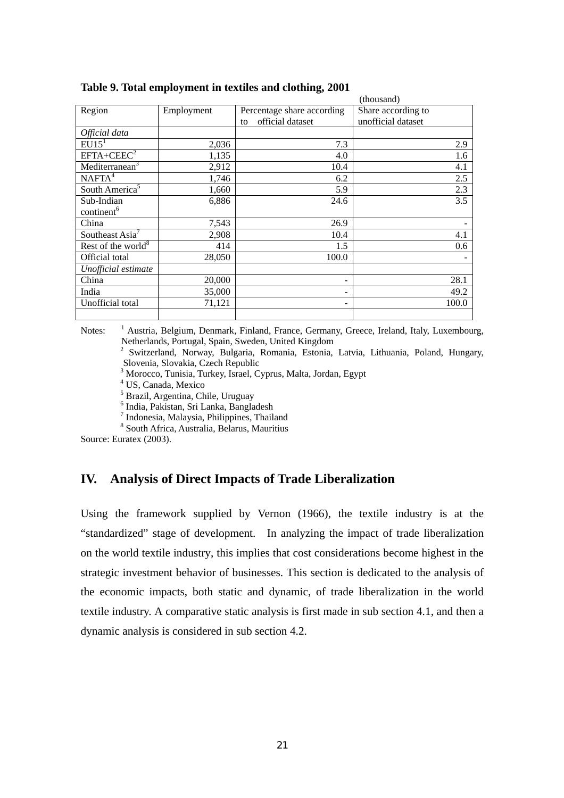|                             |            |                            | (thousand)         |
|-----------------------------|------------|----------------------------|--------------------|
| Region                      | Employment | Percentage share according | Share according to |
|                             |            | official dataset<br>to     | unofficial dataset |
| Official data               |            |                            |                    |
| EU15 <sup>1</sup>           | 2,036      | 7.3                        | 2.9                |
| $EFTA + CEEC2$              | 1,135      | 4.0                        | 1.6                |
| Mediterranean <sup>3</sup>  | 2,912      | 10.4                       | 4.1                |
| NAFTA <sup>4</sup>          | 1,746      | 6.2                        | 2.5                |
| South America <sup>5</sup>  | 1,660      | 5.9                        | 2.3                |
| Sub-Indian                  | 6,886      | 24.6                       | 3.5                |
| continent <sup>6</sup>      |            |                            |                    |
| China                       | 7,543      | 26.9                       |                    |
| Southeast Asia <sup>7</sup> | 2,908      | 10.4                       | 4.1                |
| Rest of the world $8$       | 414        | 1.5                        | 0.6                |
| Official total              | 28,050     | 100.0                      |                    |
| Unofficial estimate         |            |                            |                    |
| China                       | 20,000     | -                          | 28.1               |
| India                       | 35,000     |                            | 49.2               |
| Unofficial total            | 71,121     |                            | 100.0              |
|                             |            |                            |                    |

**Table 9. Total employment in textiles and clothing, 2001** 

Notes: <sup>1</sup> Austria, Belgium, Denmark, Finland, France, Germany, Greece, Ireland, Italy, Luxembourg, Netherlands, Portugal, Spain, Sweden, United Kingdom

2 Switzerland, Norway, Bulgaria, Romania, Estonia, Latvia, Lithuania, Poland, Hungary, Slovenia, Slovakia, Czech Republic

3 Morocco, Tunisia, Turkey, Israel, Cyprus, Malta, Jordan, Egypt

4 US, Canada, Mexico

5 Brazil, Argentina, Chile, Uruguay

6 India, Pakistan, Sri Lanka, Bangladesh

7 Indonesia, Malaysia, Philippines, Thailand

8 South Africa, Australia, Belarus, Mauritius

Source: Euratex (2003).

# **IV. Analysis of Direct Impacts of Trade Liberalization**

Using the framework supplied by Vernon (1966), the textile industry is at the "standardized" stage of development. In analyzing the impact of trade liberalization on the world textile industry, this implies that cost considerations become highest in the strategic investment behavior of businesses. This section is dedicated to the analysis of the economic impacts, both static and dynamic, of trade liberalization in the world textile industry. A comparative static analysis is first made in sub section 4.1, and then a dynamic analysis is considered in sub section 4.2.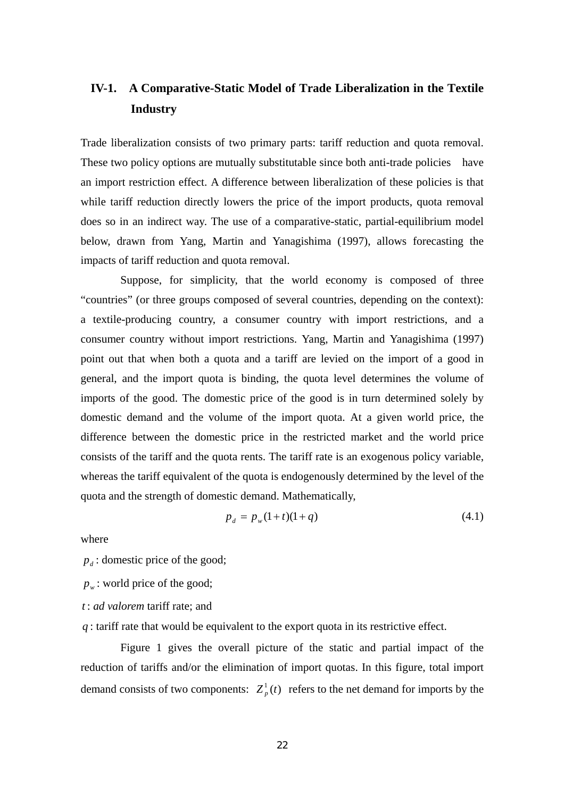# **IV-1. A Comparative-Static Model of Trade Liberalization in the Textile Industry**

Trade liberalization consists of two primary parts: tariff reduction and quota removal. These two policy options are mutually substitutable since both anti-trade policies have an import restriction effect. A difference between liberalization of these policies is that while tariff reduction directly lowers the price of the import products, quota removal does so in an indirect way. The use of a comparative-static, partial-equilibrium model below, drawn from Yang, Martin and Yanagishima (1997), allows forecasting the impacts of tariff reduction and quota removal.

 Suppose, for simplicity, that the world economy is composed of three "countries" (or three groups composed of several countries, depending on the context): a textile-producing country, a consumer country with import restrictions, and a consumer country without import restrictions. Yang, Martin and Yanagishima (1997) point out that when both a quota and a tariff are levied on the import of a good in general, and the import quota is binding, the quota level determines the volume of imports of the good. The domestic price of the good is in turn determined solely by domestic demand and the volume of the import quota. At a given world price, the difference between the domestic price in the restricted market and the world price consists of the tariff and the quota rents. The tariff rate is an exogenous policy variable, whereas the tariff equivalent of the quota is endogenously determined by the level of the quota and the strength of domestic demand. Mathematically,

$$
p_d = p_w(1+t)(1+q)
$$
 (4.1)

where

 $p_d$ : domestic price of the good;

 $p_w$ : world price of the good;

*t* : *ad valorem* tariff rate; and

*q* : tariff rate that would be equivalent to the export quota in its restrictive effect.

Figure 1 gives the overall picture of the static and partial impact of the reduction of tariffs and/or the elimination of import quotas. In this figure, total import demand consists of two components:  $Z_p^1(t)$  refers to the net demand for imports by the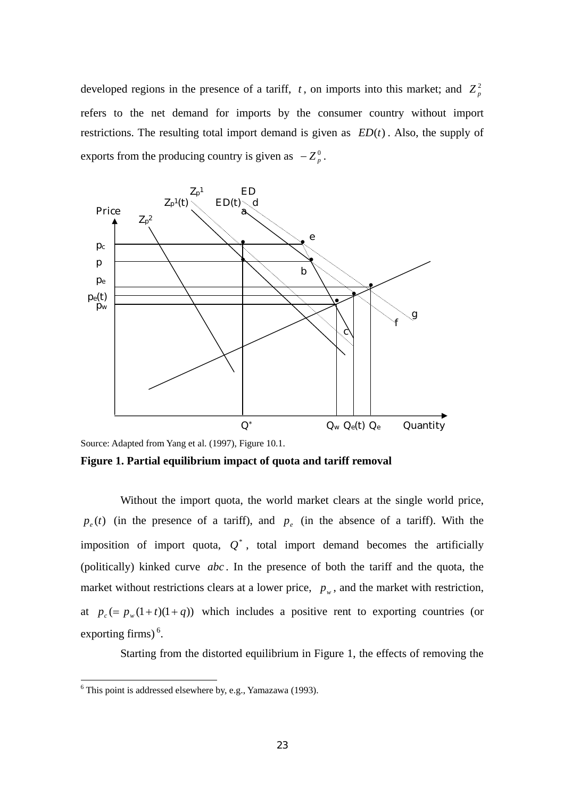developed regions in the presence of a tariff,  $t$ , on imports into this market; and  $Z_p^2$ refers to the net demand for imports by the consumer country without import restrictions. The resulting total import demand is given as  $ED(t)$ . Also, the supply of exports from the producing country is given as  $-Z_p^0$ .



Source: Adapted from Yang et al. (1997), Figure 10.1.

**Figure 1. Partial equilibrium impact of quota and tariff removal** 

Without the import quota, the world market clears at the single world price,  $p_e(t)$  (in the presence of a tariff), and  $p_e$  (in the absence of a tariff). With the imposition of import quota,  $Q^*$ , total import demand becomes the artificially (politically) kinked curve *abc* . In the presence of both the tariff and the quota, the market without restrictions clears at a lower price,  $p_w$ , and the market with restriction, at  $p_c (= p_w(1+t)(1+q))$  which includes a positive rent to exporting countries (or exporting firms) $<sup>6</sup>$ .</sup>

Starting from the distorted equilibrium in Figure 1, the effects of removing the

 6 This point is addressed elsewhere by, e.g., Yamazawa (1993).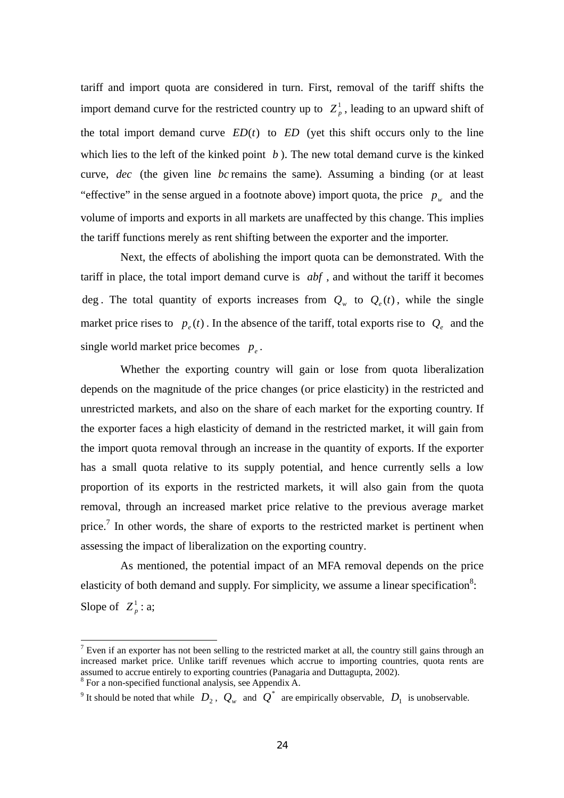tariff and import quota are considered in turn. First, removal of the tariff shifts the import demand curve for the restricted country up to  $Z_p^1$ , leading to an upward shift of the total import demand curve  $ED(t)$  to  $ED$  (yet this shift occurs only to the line which lies to the left of the kinked point  $b$ ). The new total demand curve is the kinked curve, *dec* (the given line *bc* remains the same). Assuming a binding (or at least "effective" in the sense argued in a footnote above) import quota, the price  $p_w$  and the volume of imports and exports in all markets are unaffected by this change. This implies the tariff functions merely as rent shifting between the exporter and the importer.

 Next, the effects of abolishing the import quota can be demonstrated. With the tariff in place, the total import demand curve is *abf* , and without the tariff it becomes deg . The total quantity of exports increases from  $Q_w$  to  $Q_e(t)$ , while the single market price rises to  $p_e(t)$ . In the absence of the tariff, total exports rise to  $Q_e$  and the single world market price becomes  $p_e$ .

 Whether the exporting country will gain or lose from quota liberalization depends on the magnitude of the price changes (or price elasticity) in the restricted and unrestricted markets, and also on the share of each market for the exporting country. If the exporter faces a high elasticity of demand in the restricted market, it will gain from the import quota removal through an increase in the quantity of exports. If the exporter has a small quota relative to its supply potential, and hence currently sells a low proportion of its exports in the restricted markets, it will also gain from the quota removal, through an increased market price relative to the previous average market price.<sup>7</sup> In other words, the share of exports to the restricted market is pertinent when assessing the impact of liberalization on the exporting country.

As mentioned, the potential impact of an MFA removal depends on the price elasticity of both demand and supply. For simplicity, we assume a linear specification<sup>8</sup>: Slope of  $Z_p^1$  : a;

 $\overline{a}$ 

 $<sup>7</sup>$  Even if an exporter has not been selling to the restricted market at all, the country still gains through an</sup> increased market price. Unlike tariff revenues which accrue to importing countries, quota rents are assumed to accrue entirely to exporting countries (Panagaria and Duttagupta, 2002).

<sup>8</sup> For a non-specified functional analysis, see Appendix A.

<sup>&</sup>lt;sup>9</sup> It should be noted that while  $D_2$ ,  $Q_w$  and  $Q^*$  are empirically observable,  $D_1$  is unobservable.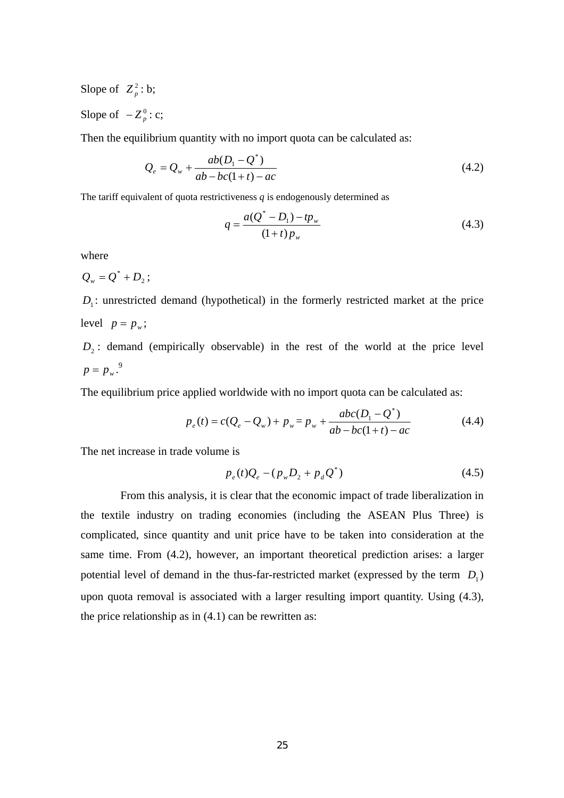Slope of  $Z_p^2$ : b; Slope of  $-Z_p^0$  : c;

Then the equilibrium quantity with no import quota can be calculated as:

$$
Q_e = Q_w + \frac{ab(D_1 - Q^*)}{ab - bc(1+t) - ac}
$$
\n(4.2)

The tariff equivalent of quota restrictiveness *q* is endogenously determined as

$$
q = \frac{a(Q^* - D_1) - tp_w}{(1 + t)p_w} \tag{4.3}
$$

where

$$
Q_{\scriptscriptstyle w}=Q^*+D_{\scriptscriptstyle 2}\,;
$$

 $D_1$ : unrestricted demand (hypothetical) in the formerly restricted market at the price level  $p = p_w$ ;

 $D<sub>2</sub>$ : demand (empirically observable) in the rest of the world at the price level  $p = p_w^9$ .

The equilibrium price applied worldwide with no import quota can be calculated as:

$$
p_e(t) = c(Q_e - Q_w) + p_w = p_w + \frac{abc(D_1 - Q^*)}{ab - bc(1+t) - ac}
$$
\n(4.4)

The net increase in trade volume is

$$
p_e(t)Q_e - (p_w D_2 + p_d Q^*)
$$
\n(4.5)

From this analysis, it is clear that the economic impact of trade liberalization in the textile industry on trading economies (including the ASEAN Plus Three) is complicated, since quantity and unit price have to be taken into consideration at the same time. From (4.2), however, an important theoretical prediction arises: a larger potential level of demand in the thus-far-restricted market (expressed by the term  $D_1$ ) upon quota removal is associated with a larger resulting import quantity. Using (4.3), the price relationship as in  $(4.1)$  can be rewritten as: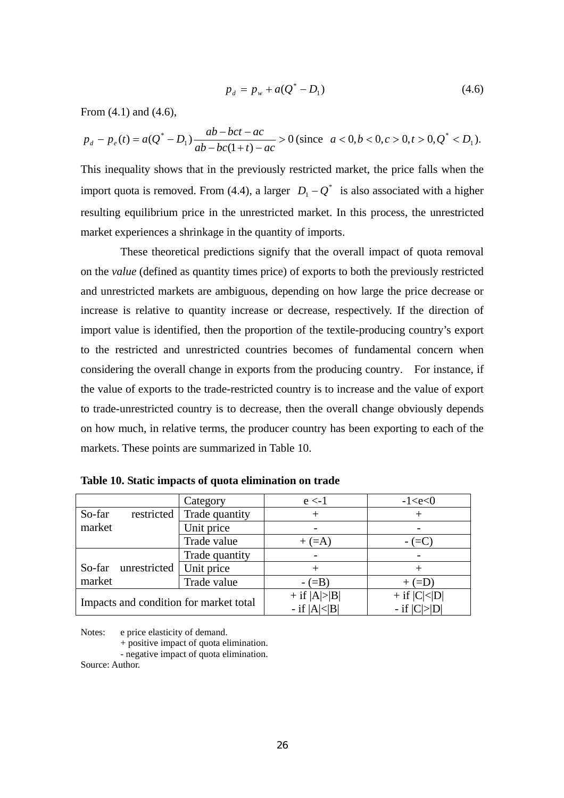$$
p_d = p_w + a(Q^* - D_1) \tag{4.6}
$$

From (4.1) and (4.6),

$$
p_d - p_e(t) = a(Q^* - D_1) \frac{ab - bct - ac}{ab - bc(1+t) - ac} > 0 \text{ (since } a < 0, b < 0, c > 0, t > 0, Q^* < D_1).
$$

This inequality shows that in the previously restricted market, the price falls when the import quota is removed. From (4.4), a larger  $D_1 - Q^*$  is also associated with a higher resulting equilibrium price in the unrestricted market. In this process, the unrestricted market experiences a shrinkage in the quantity of imports.

 These theoretical predictions signify that the overall impact of quota removal on the *value* (defined as quantity times price) of exports to both the previously restricted and unrestricted markets are ambiguous, depending on how large the price decrease or increase is relative to quantity increase or decrease, respectively. If the direction of import value is identified, then the proportion of the textile-producing country's export to the restricted and unrestricted countries becomes of fundamental concern when considering the overall change in exports from the producing country. For instance, if the value of exports to the trade-restricted country is to increase and the value of export to trade-unrestricted country is to decrease, then the overall change obviously depends on how much, in relative terms, the producer country has been exporting to each of the markets. These points are summarized in Table 10.

|                                        | Category       | $e < -1$         | $-1 < e < 0$       |
|----------------------------------------|----------------|------------------|--------------------|
| So-far<br>restricted                   | Trade quantity |                  |                    |
| market                                 | Unit price     |                  |                    |
|                                        | Trade value    | $+$ (=A)         | $-$ (=C)           |
|                                        | Trade quantity |                  |                    |
| unrestricted<br>So-far                 | Unit price     |                  |                    |
| market                                 | Trade value    | $- (=B)$         | $+$ (=D)           |
| Impacts and condition for market total |                | $+$ if $ A > B $ | $+$ if $ C < D $   |
|                                        |                | - if $ A < B $   | $-$ if $ C  >  D $ |

**Table 10. Static impacts of quota elimination on trade** 

Notes: e price elasticity of demand.

+ positive impact of quota elimination.

- negative impact of quota elimination.

Source: Author.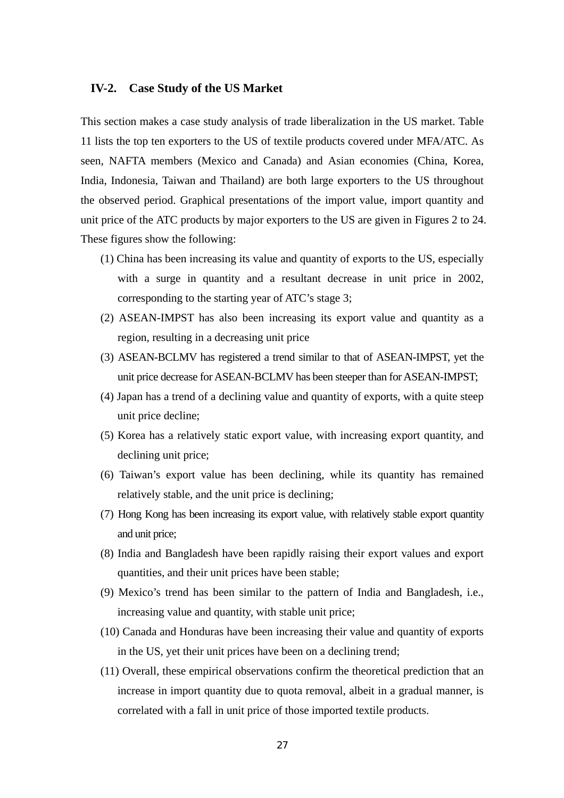### **IV-2. Case Study of the US Market**

This section makes a case study analysis of trade liberalization in the US market. Table 11 lists the top ten exporters to the US of textile products covered under MFA/ATC. As seen, NAFTA members (Mexico and Canada) and Asian economies (China, Korea, India, Indonesia, Taiwan and Thailand) are both large exporters to the US throughout the observed period. Graphical presentations of the import value, import quantity and unit price of the ATC products by major exporters to the US are given in Figures 2 to 24. These figures show the following:

- (1) China has been increasing its value and quantity of exports to the US, especially with a surge in quantity and a resultant decrease in unit price in 2002, corresponding to the starting year of ATC's stage 3;
- (2) ASEAN-IMPST has also been increasing its export value and quantity as a region, resulting in a decreasing unit price
- (3) ASEAN-BCLMV has registered a trend similar to that of ASEAN-IMPST, yet the unit price decrease for ASEAN-BCLMV has been steeper than for ASEAN-IMPST;
- (4) Japan has a trend of a declining value and quantity of exports, with a quite steep unit price decline;
- (5) Korea has a relatively static export value, with increasing export quantity, and declining unit price;
- (6) Taiwan's export value has been declining, while its quantity has remained relatively stable, and the unit price is declining;
- (7) Hong Kong has been increasing its export value, with relatively stable export quantity and unit price;
- (8) India and Bangladesh have been rapidly raising their export values and export quantities, and their unit prices have been stable;
- (9) Mexico's trend has been similar to the pattern of India and Bangladesh, i.e., increasing value and quantity, with stable unit price;
- (10) Canada and Honduras have been increasing their value and quantity of exports in the US, yet their unit prices have been on a declining trend;
- (11) Overall, these empirical observations confirm the theoretical prediction that an increase in import quantity due to quota removal, albeit in a gradual manner, is correlated with a fall in unit price of those imported textile products.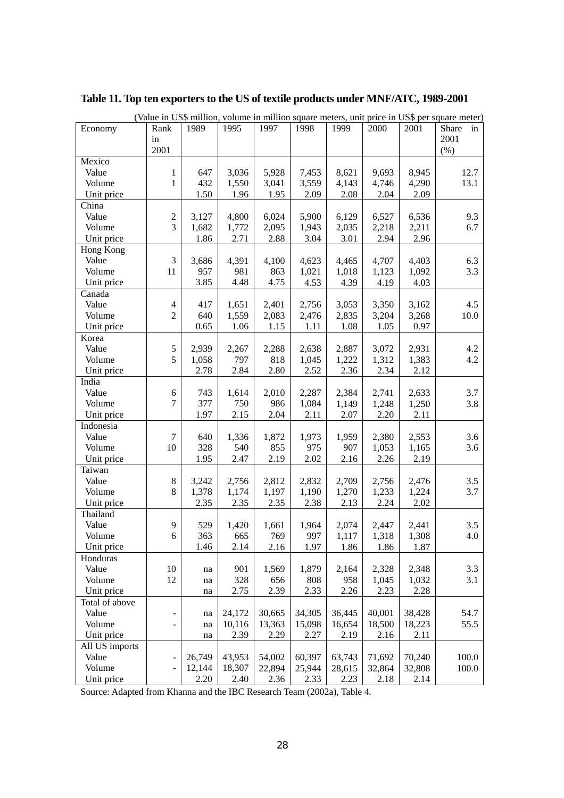|                |                              |        |        |        |        |        |        |        | (Value in US\$ million, volume in million square meters, unit price in US\$ per square meter) |
|----------------|------------------------------|--------|--------|--------|--------|--------|--------|--------|-----------------------------------------------------------------------------------------------|
| Economy        | Rank                         | 1989   | 1995   | 1997   | 1998   | 1999   | 2000   | 2001   | Share<br>in                                                                                   |
|                | in                           |        |        |        |        |        |        |        | 2001                                                                                          |
|                | 2001                         |        |        |        |        |        |        |        | (% )                                                                                          |
| Mexico         |                              |        |        |        |        |        |        |        |                                                                                               |
| Value          | 1                            | 647    | 3,036  | 5,928  | 7,453  | 8,621  | 9,693  | 8,945  | 12.7                                                                                          |
| Volume         | 1                            | 432    | 1,550  | 3,041  | 3,559  | 4,143  | 4,746  | 4,290  | 13.1                                                                                          |
| Unit price     |                              | 1.50   | 1.96   | 1.95   | 2.09   | 2.08   | 2.04   | 2.09   |                                                                                               |
| China          |                              |        |        |        |        |        |        |        |                                                                                               |
| Value          | $\overline{2}$               | 3,127  | 4,800  | 6,024  | 5,900  | 6,129  | 6,527  | 6,536  | 9.3                                                                                           |
| Volume         | 3                            | 1,682  | 1,772  | 2,095  | 1,943  | 2,035  | 2,218  | 2,211  | 6.7                                                                                           |
| Unit price     |                              | 1.86   | 2.71   | 2.88   | 3.04   | 3.01   | 2.94   | 2.96   |                                                                                               |
| Hong Kong      |                              |        |        |        |        |        |        |        |                                                                                               |
| Value          | $\mathfrak{Z}$               | 3,686  | 4,391  | 4,100  | 4,623  | 4,465  | 4,707  | 4,403  | 6.3                                                                                           |
| Volume         | 11                           | 957    | 981    | 863    | 1,021  | 1,018  | 1,123  | 1,092  | 3.3                                                                                           |
| Unit price     |                              | 3.85   | 4.48   | 4.75   | 4.53   | 4.39   | 4.19   | 4.03   |                                                                                               |
| Canada         |                              |        |        |        |        |        |        |        |                                                                                               |
| Value          | 4                            | 417    | 1,651  | 2,401  | 2,756  | 3,053  | 3,350  | 3,162  | 4.5                                                                                           |
| Volume         | $\overline{2}$               | 640    | 1,559  | 2,083  | 2,476  | 2,835  | 3,204  | 3,268  | 10.0                                                                                          |
| Unit price     |                              | 0.65   | 1.06   | 1.15   | 1.11   | 1.08   | 1.05   | 0.97   |                                                                                               |
| Korea          |                              |        |        |        |        |        |        |        |                                                                                               |
| Value          | 5                            | 2,939  | 2,267  | 2,288  | 2,638  | 2,887  | 3,072  | 2,931  | 4.2                                                                                           |
| Volume         | 5                            | 1,058  | 797    | 818    | 1,045  | 1,222  | 1,312  | 1,383  | 4.2                                                                                           |
| Unit price     |                              | 2.78   | 2.84   | 2.80   | 2.52   | 2.36   | 2.34   | 2.12   |                                                                                               |
| India          |                              |        |        |        |        |        |        |        |                                                                                               |
| Value          | 6                            | 743    | 1,614  | 2,010  | 2,287  | 2,384  | 2,741  | 2,633  | 3.7                                                                                           |
| Volume         | 7                            | 377    | 750    | 986    | 1,084  | 1,149  | 1,248  | 1,250  | 3.8                                                                                           |
| Unit price     |                              | 1.97   | 2.15   | 2.04   | 2.11   | 2.07   | 2.20   | 2.11   |                                                                                               |
| Indonesia      |                              |        |        |        |        |        |        |        |                                                                                               |
| Value          | 7                            | 640    | 1,336  | 1,872  | 1,973  | 1,959  | 2,380  | 2,553  | 3.6                                                                                           |
| Volume         | 10                           | 328    | 540    | 855    | 975    | 907    | 1,053  | 1,165  | 3.6                                                                                           |
| Unit price     |                              | 1.95   | 2.47   | 2.19   | 2.02   | 2.16   | 2.26   | 2.19   |                                                                                               |
| Taiwan         |                              |        |        |        |        |        |        |        |                                                                                               |
| Value          | $\,8\,$                      | 3,242  | 2,756  | 2,812  | 2,832  | 2,709  | 2,756  | 2,476  | 3.5                                                                                           |
| Volume         | 8                            | 1,378  | 1,174  | 1,197  | 1,190  | 1,270  | 1,233  | 1,224  | 3.7                                                                                           |
| Unit price     |                              | 2.35   | 2.35   | 2.35   | 2.38   | 2.13   | 2.24   | 2.02   |                                                                                               |
| Thailand       |                              |        |        |        |        |        |        |        |                                                                                               |
| Value          | 9                            | 529    | 1,420  | 1,661  | 1,964  | 2,074  | 2,447  | 2,441  | 3.5                                                                                           |
| Volume         | 6                            | 363    | 665    | 769    | 997    | 1,117  | 1,318  | 1,308  | 4.0                                                                                           |
| Unit price     |                              | 1.46   | 2.14   | 2.16   | 1.97   | 1.86   | 1.86   | 1.87   |                                                                                               |
| Honduras       |                              |        |        |        |        |        |        |        |                                                                                               |
| Value          | 10                           | na     | 901    | 1,569  | 1,879  | 2,164  | 2,328  | 2,348  | 3.3                                                                                           |
| Volume         | 12                           | na     | 328    | 656    | 808    | 958    | 1,045  | 1,032  | 3.1                                                                                           |
| Unit price     |                              | na     | 2.75   | 2.39   | 2.33   | 2.26   | 2.23   | 2.28   |                                                                                               |
| Total of above |                              |        |        |        |        |        |        |        |                                                                                               |
| Value          | $\qquad \qquad \blacksquare$ | na     | 24,172 | 30,665 | 34,305 | 36,445 | 40,001 | 38,428 | 54.7                                                                                          |
| Volume         | $\frac{1}{2}$                | na     | 10,116 | 13,363 | 15,098 | 16,654 | 18,500 | 18,223 | 55.5                                                                                          |
| Unit price     |                              | na     | 2.39   | 2.29   | 2.27   | 2.19   | 2.16   | 2.11   |                                                                                               |
| All US imports |                              |        |        |        |        |        |        |        |                                                                                               |
| Value          | $\blacksquare$               | 26,749 | 43,953 | 54,002 | 60,397 | 63,743 | 71,692 | 70,240 | 100.0                                                                                         |
| Volume         | $\blacksquare$               | 12,144 | 18,307 | 22,894 | 25,944 | 28,615 | 32,864 | 32,808 | 100.0                                                                                         |
| Unit price     |                              | 2.20   | 2.40   | 2.36   | 2.33   | 2.23   | 2.18   | 2.14   |                                                                                               |

# **Table 11. Top ten exporters to the US of textile products under MNF/ATC, 1989-2001**

Source: Adapted from Khanna and the IBC Research Team (2002a), Table 4.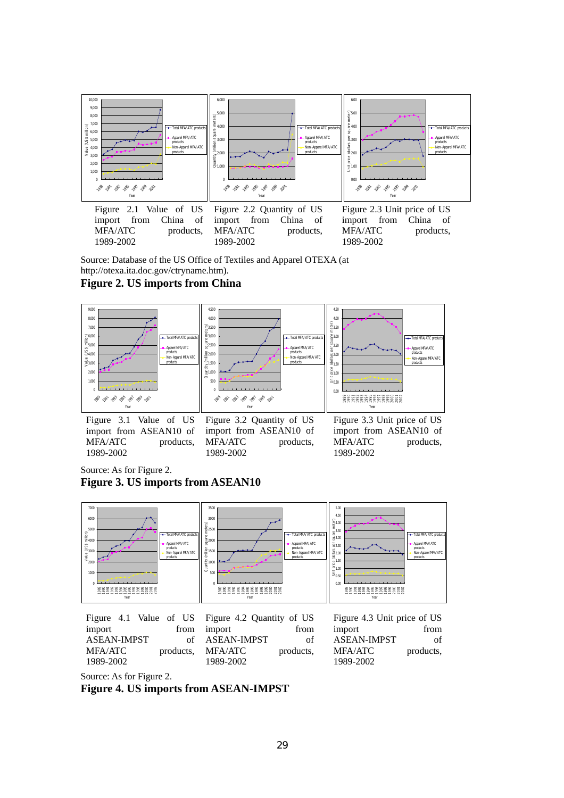

Source: Database of the US Office of Textiles and Apparel OTEXA (at http://otexa.ita.doc.gov/ctryname.htm).

### **Figure 2. US imports from China**



import from ASEAN10 of MFA/ATC products, 1989-2002

import from ASEAN10 of MFA/ATC products, 1989-2002

Figure 3.3 Unit price of US import from ASEAN10 of MFA/ATC products. 1989-2002

Source: As for Figure 2. **Figure 3. US imports from ASEAN10** 



Figure 4.1 Value of US import from ASEAN-IMPST of MFA/ATC products, 1989-2002

Figure 4.2 Quantity of US import from ASEAN-IMPST of MFA/ATC products, 1989-2002

Figure 4.3 Unit price of US import from ASEAN-IMPST of MFA/ATC products, 1989-2002

Source: As for Figure 2.

**Figure 4. US imports from ASEAN-IMPST**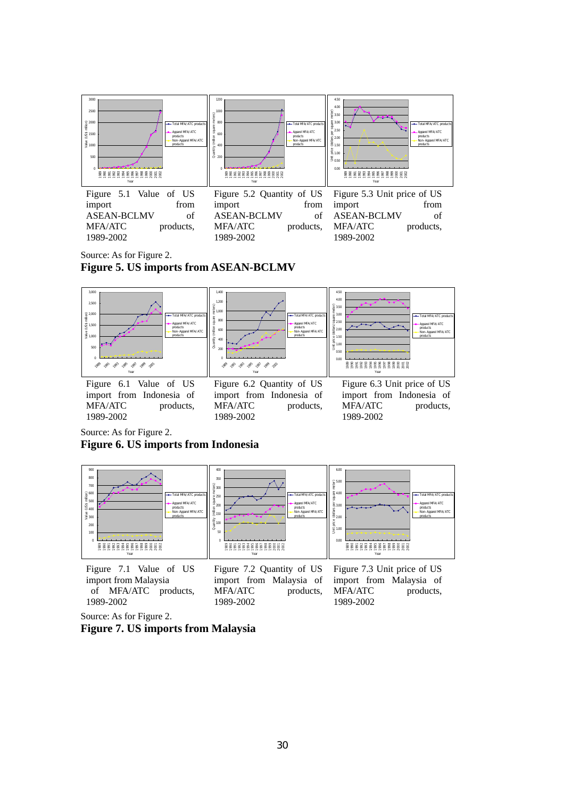

import from ASEAN-BCLMV of MFA/ATC products, 1989-2002

import from ASEAN-BCLMV of MFA/ATC products, 1989-2002

import from ASEAN-BCLMV of MFA/ATC products, 1989-2002

Source: As for Figure 2.

### **Figure 5. US imports from ASEAN-BCLMV**



MFA/ATC products, 1989-2002

MFA/ATC products, 1989-2002

MFA/ATC products, 1989-2002

Source: As for Figure 2.

### **Figure 6. US imports from Indonesia**



Figure 7.1 Value of US import from Malaysia of MFA/ATC products, 1989-2002

Figure 7.2 Quantity of US import from Malaysia of MFA/ATC products, 1989-2002 1989-2002

Figure 7.3 Unit price of US import from Malaysia of MFA/ATC products,

Source: As for Figure 2.

**Figure 7. US imports from Malaysia**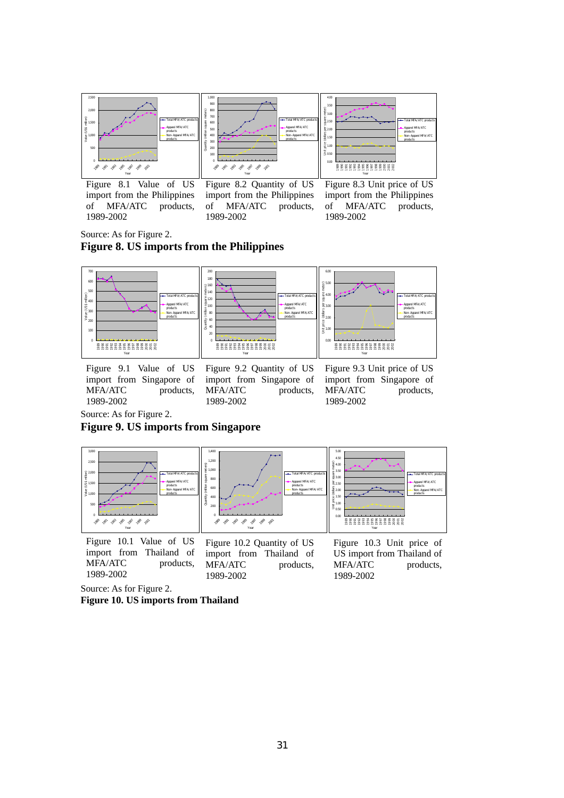

Figure 8.1 Value of US import from the Philippines of MFA/ATC products, 1989-2002

Figure 8.2 Quantity of US import from the Philippines of MFA/ATC products, 1989-2002

Figure 8.3 Unit price of US import from the Philippines<br>of MFA/ATC products. of MFA/ATC 1989-2002

Source: As for Figure 2.

# **Figure 8. US imports from the Philippines**



Figure 9.1 Value of US import from Singapore of MFA/ATC products, 1989-2002

Figure 9.2 Quantity of US import from Singapore of MFA/ATC products, 1989-2002

Figure 9.3 Unit price of US import from Singapore of MFA/ATC products, 1989-2002

Source: As for Figure 2.

### **Figure 9. US imports from Singapore**



Figure 10.1 Value of US import from Thailand of MFA/ATC products, 1989-2002

Figure 10.2 Quantity of US import from Thailand of MFA/ATC products, 1989-2002

Figure 10.3 Unit price of US import from Thailand of MFA/ATC products, 1989-2002

Source: As for Figure 2.

**Figure 10. US imports from Thailand**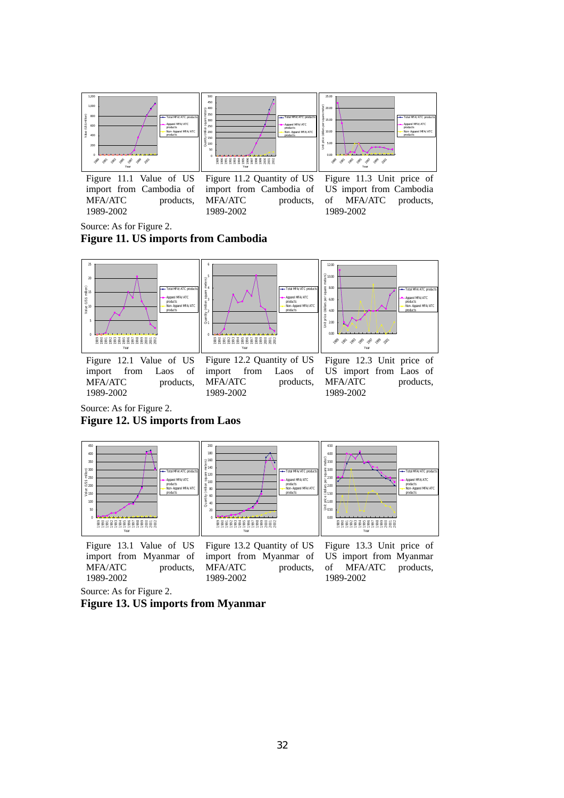

Figure 11.1 Value of US import from Cambodia of MFA/ATC products, 1989-2002

Figure 11.2 Quantity of US import from Cambodia of MFA/ATC products, 1989-2002

Figure 11.3 Unit price of US import from Cambodia of MFA/ATC products, 1989-2002

Source: As for Figure 2.

**Figure 11. US imports from Cambodia** 



1989-2002

MFA/ATC products, 1989-2002

MFA/ATC products, 1989-2002

Source: As for Figure 2.

**Figure 12. US imports from Laos** 



Figure 13.1 Value of US import from Myanmar of MFA/ATC products, 1989-2002 Figure 13.2 Quantity of US import from Myanmar of MFA/ATC products, 1989-2002 Figure 13.3 Unit price of US import from Myanmar of MFA/ATC products, 1989-2002

Source: As for Figure 2.

## **Figure 13. US imports from Myanmar**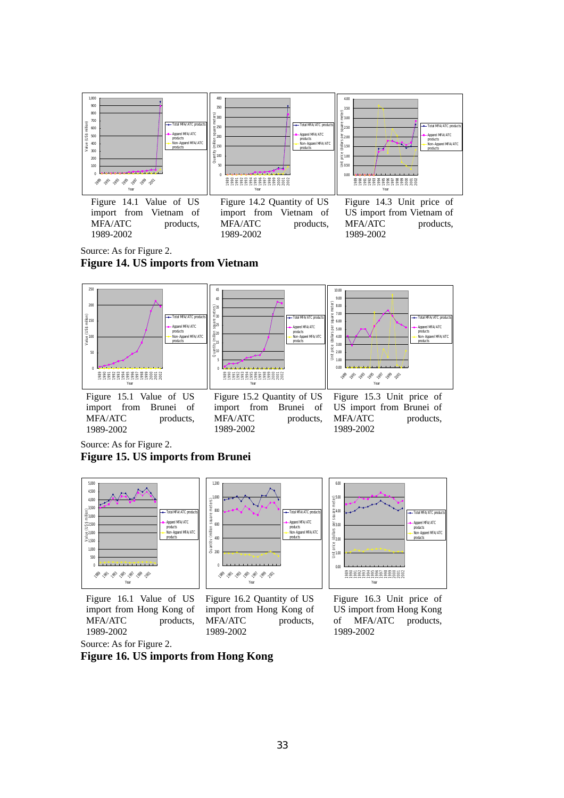

Source: As for Figure 2. **Figure 14. US imports from Vietnam** 



Source: As for Figure 2.

**Figure 15. US imports from Brunei** 



Figure 16.1 Value of US import from Hong Kong of MFA/ATC products, 1989-2002





Source: As for Figure 2.

**Figure 16. US imports from Hong Kong**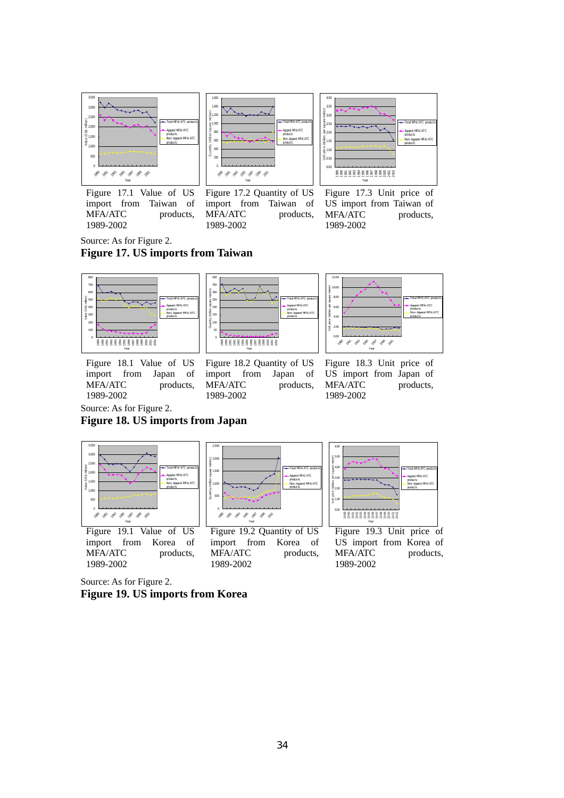







Figure 17.2 Quantity of US import from Taiwan of MFA/ATC products, 1989-2002

Figure 17.3 Unit price of US import from Taiwan of MFA/ATC products, 1989-2002

Source: As for Figure 2.

# **Figure 17. US imports from Taiwan**



import from Japan of MFA/ATC products, 1989-2002



12.00 Unit price (dollars per square meter) 10.00 8.00 Total MFA/ATC products el MFA/ATC 6.00  $rac{40}{3}$   $rac{40}{3}$ products Non-Apparel MFA/ATC products Unit price  $\frac{2}{2}$  $0.00$ 1989 1991 1993 1995 1997 1999 2001 Year

Figure 18.1 Value of US

Figure 18.2 Quantity of US import from Japan of MFA/ATC products, 1989-2002

Figure 18.3 Unit price of US import from Japan of MFA/ATC products, 1989-2002

Source: As for Figure 2.

**Figure 18. US imports from Japan** 



Source: As for Figure 2. **Figure 19. US imports from Korea**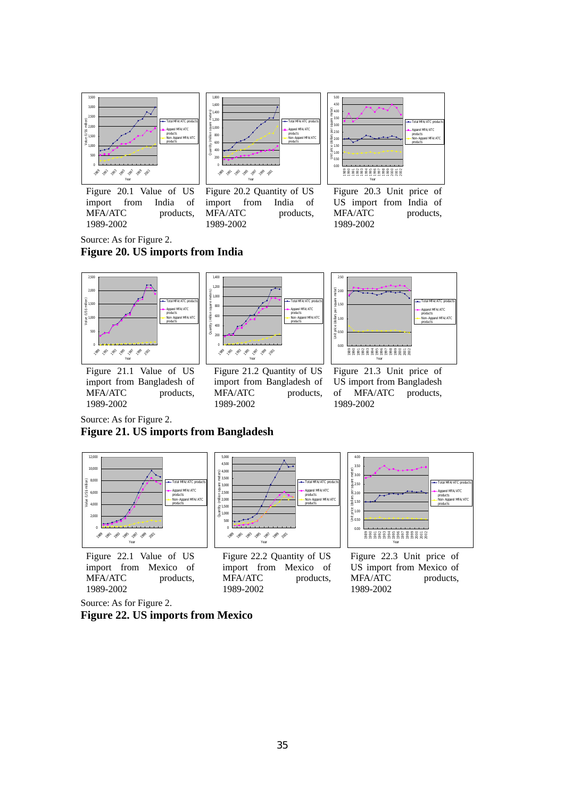

Figure 20.1 Value of US import from India of MFA/ATC products, 1989-2002



Figure 20.2 Quantity of US import from India of MFA/ATC products, 1989-2002

| 5.00<br>4.50<br>Figure 100<br>8 400<br>8 300<br>8 250<br>$\frac{1}{2}$<br>$\frac{1}{2}$<br>$\frac{1}{2}$<br>$\frac{1}{2}$<br>$\frac{1}{2}$<br>$\frac{1}{2}$<br>$\frac{1}{2}$<br>$\frac{1}{2}$<br>$\frac{1}{2}$<br>$\frac{1}{2}$<br>$\frac{1}{2}$<br>$\frac{1}{2}$<br>$\frac{1}{2}$<br>$\frac{1}{2}$<br>$\frac{1}{2}$<br>$\frac{1}{2}$<br>$\frac{1}{2}$ |                        | - Total MFA/ATC products<br>Apparel MFA/ATC<br>products<br>Non-Apparel MFA/ATC<br>products |
|--------------------------------------------------------------------------------------------------------------------------------------------------------------------------------------------------------------------------------------------------------------------------------------------------------------------------------------------------------|------------------------|--------------------------------------------------------------------------------------------|
| 000                                                                                                                                                                                                                                                                                                                                                    | 88888888888888<br>Year |                                                                                            |

Figure 20.3 Unit price of US import from India of MFA/ATC products, 1989-2002

Source: As for Figure 2. **Figure 20. US imports from India** 



Figure 21.1 Value of US import from Bangladesh of MFA/ATC products, 1989-2002



Figure 21.2 Quantity of US import from Bangladesh of MFA/ATC products, 1989-2002



Figure 21.3 Unit price of US import from Bangladesh of MFA/ATC products, 1989-2002

Source: As for Figure 2.

# **Figure 21. US imports from Bangladesh**



Figure 22.1 Value of US import from Mexico of MFA/ATC products, 1989-2002



Figure 22.2 Quantity of US import from Mexico of MFA/ATC products, 1989-2002



Figure 22.3 Unit price of US import from Mexico of MFA/ATC products, 1989-2002

Source: As for Figure 2.

**Figure 22. US imports from Mexico**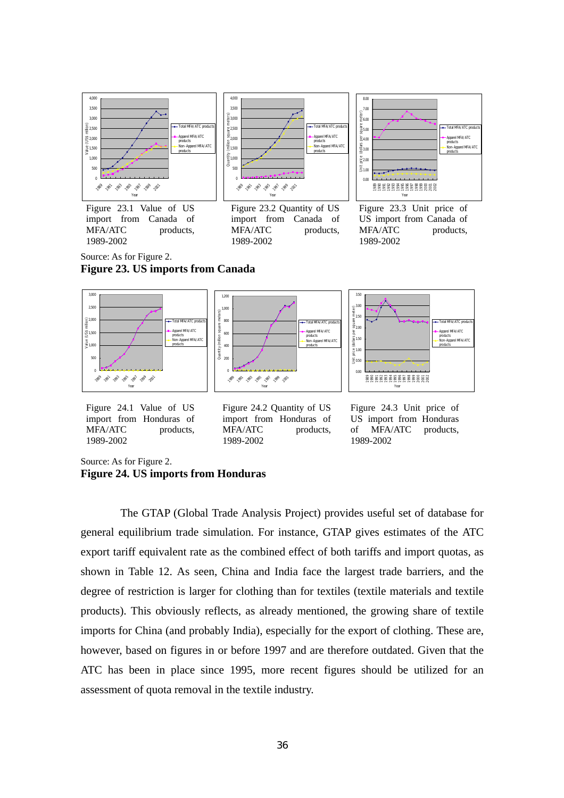

Source: As for Figure 2. **Figure 23. US imports from Canada** 



Figure 24.1 Value of US import from Honduras of MFA/ATC products, 1989-2002

Figure 24.2 Quantity of US import from Honduras of MFA/ATC products, 1989-2002

Figure 24.3 Unit price of US import from Honduras of MFA/ATC products, 1989-2002

Source: As for Figure 2.

```
Figure 24. US imports from Honduras
```
The GTAP (Global Trade Analysis Project) provides useful set of database for general equilibrium trade simulation. For instance, GTAP gives estimates of the ATC export tariff equivalent rate as the combined effect of both tariffs and import quotas, as shown in Table 12. As seen, China and India face the largest trade barriers, and the degree of restriction is larger for clothing than for textiles (textile materials and textile products). This obviously reflects, as already mentioned, the growing share of textile imports for China (and probably India), especially for the export of clothing. These are, however, based on figures in or before 1997 and are therefore outdated. Given that the ATC has been in place since 1995, more recent figures should be utilized for an assessment of quota removal in the textile industry.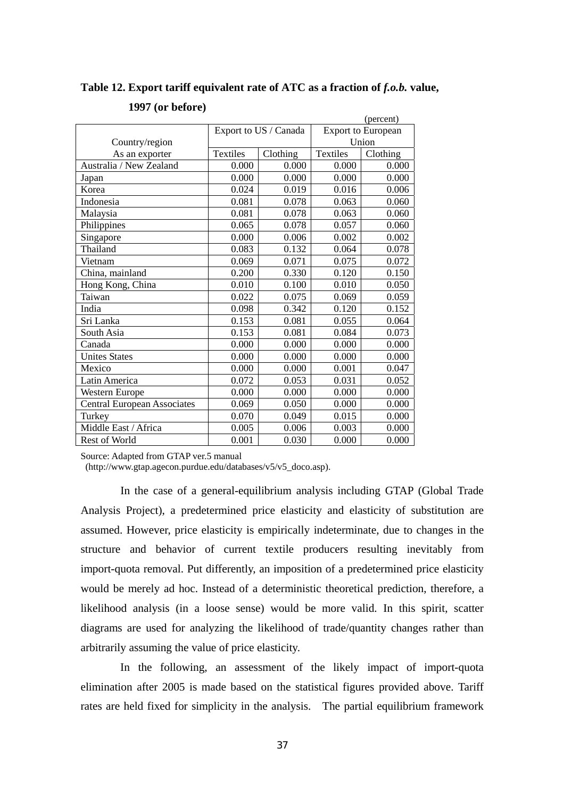# Table 12. Export tariff equivalent rate of ATC as a fraction of *f.o.b.* value,

|                                    |          |                       |          | (percent)                 |
|------------------------------------|----------|-----------------------|----------|---------------------------|
|                                    |          | Export to US / Canada |          | <b>Export to European</b> |
| Country/region                     |          |                       |          | Union                     |
| As an exporter                     | Textiles | Clothing              | Textiles | Clothing                  |
| Australia / New Zealand            | 0.000    | 0.000                 | 0.000    | 0.000                     |
| Japan                              | 0.000    | 0.000                 | 0.000    | 0.000                     |
| Korea                              | 0.024    | 0.019                 | 0.016    | 0.006                     |
| Indonesia                          | 0.081    | 0.078                 | 0.063    | 0.060                     |
| Malaysia                           | 0.081    | 0.078                 | 0.063    | 0.060                     |
| Philippines                        | 0.065    | 0.078                 | 0.057    | 0.060                     |
| Singapore                          | 0.000    | 0.006                 | 0.002    | 0.002                     |
| Thailand                           | 0.083    | 0.132                 | 0.064    | 0.078                     |
| Vietnam                            | 0.069    | 0.071                 | 0.075    | 0.072                     |
| China, mainland                    | 0.200    | 0.330                 | 0.120    | 0.150                     |
| Hong Kong, China                   | 0.010    | 0.100                 | 0.010    | 0.050                     |
| Taiwan                             | 0.022    | 0.075                 | 0.069    | 0.059                     |
| India                              | 0.098    | 0.342                 | 0.120    | 0.152                     |
| Sri Lanka                          | 0.153    | 0.081                 | 0.055    | 0.064                     |
| South Asia                         | 0.153    | 0.081                 | 0.084    | 0.073                     |
| Canada                             | 0.000    | 0.000                 | 0.000    | 0.000                     |
| <b>Unites States</b>               | 0.000    | 0.000                 | 0.000    | 0.000                     |
| Mexico                             | 0.000    | 0.000                 | 0.001    | 0.047                     |
| Latin America                      | 0.072    | 0.053                 | 0.031    | 0.052                     |
| Western Europe                     | 0.000    | 0.000                 | 0.000    | 0.000                     |
| <b>Central European Associates</b> | 0.069    | 0.050                 | 0.000    | 0.000                     |
| Turkey                             | 0.070    | 0.049                 | 0.015    | 0.000                     |
| Middle East / Africa               | 0.005    | 0.006                 | 0.003    | 0.000                     |
| <b>Rest of World</b>               | 0.001    | 0.030                 | 0.000    | 0.000                     |

# **1997 (or before)**

Source: Adapted from GTAP ver.5 manual

(http://www.gtap.agecon.purdue.edu/databases/v5/v5\_doco.asp).

In the case of a general-equilibrium analysis including GTAP (Global Trade Analysis Project), a predetermined price elasticity and elasticity of substitution are assumed. However, price elasticity is empirically indeterminate, due to changes in the structure and behavior of current textile producers resulting inevitably from import-quota removal. Put differently, an imposition of a predetermined price elasticity would be merely ad hoc. Instead of a deterministic theoretical prediction, therefore, a likelihood analysis (in a loose sense) would be more valid. In this spirit, scatter diagrams are used for analyzing the likelihood of trade/quantity changes rather than arbitrarily assuming the value of price elasticity.

In the following, an assessment of the likely impact of import-quota elimination after 2005 is made based on the statistical figures provided above. Tariff rates are held fixed for simplicity in the analysis. The partial equilibrium framework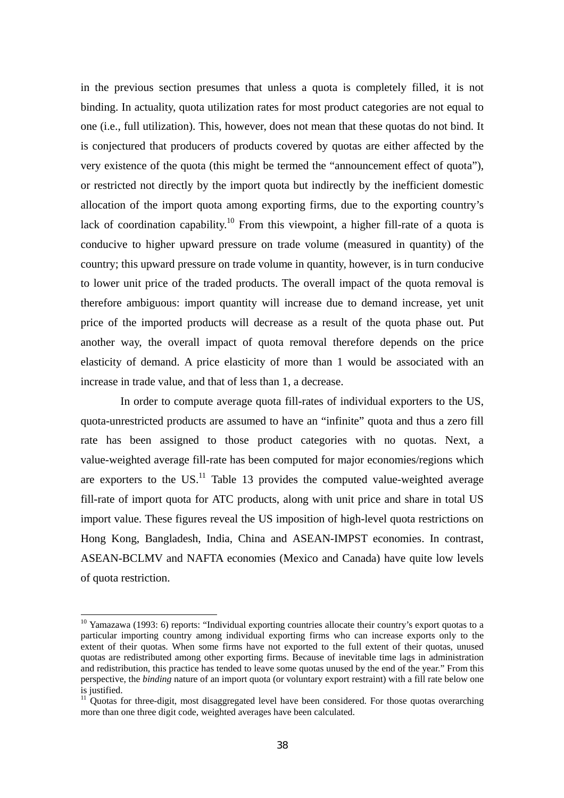in the previous section presumes that unless a quota is completely filled, it is not binding. In actuality, quota utilization rates for most product categories are not equal to one (i.e., full utilization). This, however, does not mean that these quotas do not bind. It is conjectured that producers of products covered by quotas are either affected by the very existence of the quota (this might be termed the "announcement effect of quota"), or restricted not directly by the import quota but indirectly by the inefficient domestic allocation of the import quota among exporting firms, due to the exporting country's lack of coordination capability.<sup>10</sup> From this viewpoint, a higher fill-rate of a quota is conducive to higher upward pressure on trade volume (measured in quantity) of the country; this upward pressure on trade volume in quantity, however, is in turn conducive to lower unit price of the traded products. The overall impact of the quota removal is therefore ambiguous: import quantity will increase due to demand increase, yet unit price of the imported products will decrease as a result of the quota phase out. Put another way, the overall impact of quota removal therefore depends on the price elasticity of demand. A price elasticity of more than 1 would be associated with an increase in trade value, and that of less than 1, a decrease.

 In order to compute average quota fill-rates of individual exporters to the US, quota-unrestricted products are assumed to have an "infinite" quota and thus a zero fill rate has been assigned to those product categories with no quotas. Next, a value-weighted average fill-rate has been computed for major economies/regions which are exporters to the US.<sup>11</sup> Table 13 provides the computed value-weighted average fill-rate of import quota for ATC products, along with unit price and share in total US import value. These figures reveal the US imposition of high-level quota restrictions on Hong Kong, Bangladesh, India, China and ASEAN-IMPST economies. In contrast, ASEAN-BCLMV and NAFTA economies (Mexico and Canada) have quite low levels of quota restriction.

 $\overline{a}$ 

<sup>&</sup>lt;sup>10</sup> Yamazawa (1993: 6) reports: "Individual exporting countries allocate their country's export quotas to a particular importing country among individual exporting firms who can increase exports only to the extent of their quotas. When some firms have not exported to the full extent of their quotas, unused quotas are redistributed among other exporting firms. Because of inevitable time lags in administration and redistribution, this practice has tended to leave some quotas unused by the end of the year." From this perspective, the *binding* nature of an import quota (or voluntary export restraint) with a fill rate below one is justified.

 $11$  Quotas for three-digit, most disaggregated level have been considered. For those quotas overarching more than one three digit code, weighted averages have been calculated.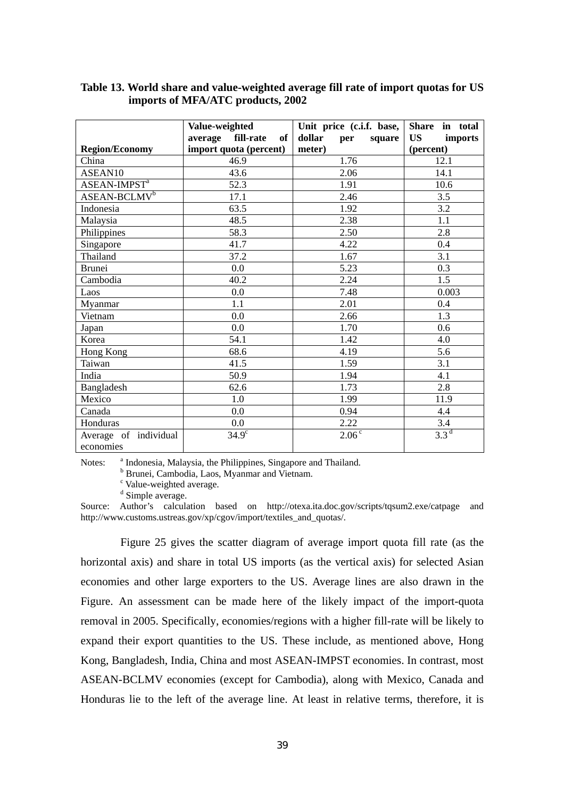|                                 | Value-weighted             | Unit price (c.i.f. base, | Share in total       |
|---------------------------------|----------------------------|--------------------------|----------------------|
|                                 | fill-rate<br>average<br>of | dollar<br>square<br>per  | <b>US</b><br>imports |
| <b>Region/Economy</b>           | import quota (percent)     | meter)                   | (percent)            |
| China                           | 46.9                       | 1.76                     | 12.1                 |
| ASEAN10                         | 43.6                       | 2.06                     | 14.1                 |
| <b>ASEAN-IMPST</b> <sup>a</sup> | 52.3                       | 1.91                     | 10.6                 |
| ASEAN-BCLMV <sup>b</sup>        | 17.1                       | 2.46                     | 3.5                  |
| Indonesia                       | 63.5                       | 1.92                     | 3.2                  |
| Malaysia                        | 48.5                       | 2.38                     | 1.1                  |
| Philippines                     | 58.3                       | 2.50                     | 2.8                  |
| Singapore                       | 41.7                       | 4.22                     | 0.4                  |
| Thailand                        | 37.2                       | 1.67                     | 3.1                  |
| <b>Brunei</b>                   | 0.0                        | 5.23                     | 0.3                  |
| Cambodia                        | 40.2                       | 2.24                     | 1.5                  |
| Laos                            | 0.0                        | 7.48                     | 0.003                |
| Myanmar                         | 1.1                        | 2.01                     | 0.4                  |
| Vietnam                         | 0.0                        | 2.66                     | 1.3                  |
| Japan                           | 0.0                        | 1.70                     | 0.6                  |
| Korea                           | 54.1                       | 1.42                     | 4.0                  |
| Hong Kong                       | 68.6                       | 4.19                     | 5.6                  |
| Taiwan                          | 41.5                       | 1.59                     | 3.1                  |
| India                           | 50.9                       | 1.94                     | 4.1                  |
| Bangladesh                      | 62.6                       | 1.73                     | 2.8                  |
| Mexico                          | 1.0                        | 1.99                     | 11.9                 |
| Canada                          | 0.0                        | 0.94                     | 4.4                  |
| Honduras                        | 0.0                        | 2.22                     | 3.4                  |
| Average of individual           | $34.9^\circ$               | $2.06^{\overline{c}}$    | 3.3 <sup>d</sup>     |
| economies                       |                            |                          |                      |

## **Table 13. World share and value-weighted average fill rate of import quotas for US imports of MFA/ATC products, 2002**

Notes: <sup>a</sup> Indonesia, Malaysia, the Philippines, Singapore and Thailand.

b Brunei, Cambodia, Laos, Myanmar and Vietnam.

<sup>c</sup> Value-weighted average.

<sup>d</sup> Simple average.

Source: Author's calculation based on http://otexa.ita.doc.gov/scripts/tqsum2.exe/catpage and http://www.customs.ustreas.gov/xp/cgov/import/textiles\_and\_quotas/.

Figure 25 gives the scatter diagram of average import quota fill rate (as the horizontal axis) and share in total US imports (as the vertical axis) for selected Asian economies and other large exporters to the US. Average lines are also drawn in the Figure. An assessment can be made here of the likely impact of the import-quota removal in 2005. Specifically, economies/regions with a higher fill-rate will be likely to expand their export quantities to the US. These include, as mentioned above, Hong Kong, Bangladesh, India, China and most ASEAN-IMPST economies. In contrast, most ASEAN-BCLMV economies (except for Cambodia), along with Mexico, Canada and Honduras lie to the left of the average line. At least in relative terms, therefore, it is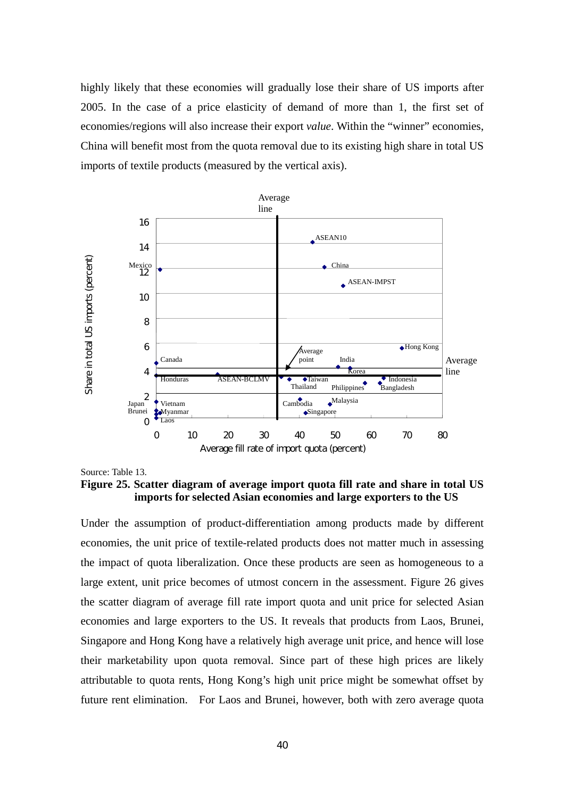highly likely that these economies will gradually lose their share of US imports after 2005. In the case of a price elasticity of demand of more than 1, the first set of economies/regions will also increase their export *value*. Within the "winner" economies, China will benefit most from the quota removal due to its existing high share in total US imports of textile products (measured by the vertical axis).



Source: Table 13.

**Figure 25. Scatter diagram of average import quota fill rate and share in total US imports for selected Asian economies and large exporters to the US**

Under the assumption of product-differentiation among products made by different economies, the unit price of textile-related products does not matter much in assessing the impact of quota liberalization. Once these products are seen as homogeneous to a large extent, unit price becomes of utmost concern in the assessment. Figure 26 gives the scatter diagram of average fill rate import quota and unit price for selected Asian economies and large exporters to the US. It reveals that products from Laos, Brunei, Singapore and Hong Kong have a relatively high average unit price, and hence will lose their marketability upon quota removal. Since part of these high prices are likely attributable to quota rents, Hong Kong's high unit price might be somewhat offset by future rent elimination. For Laos and Brunei, however, both with zero average quota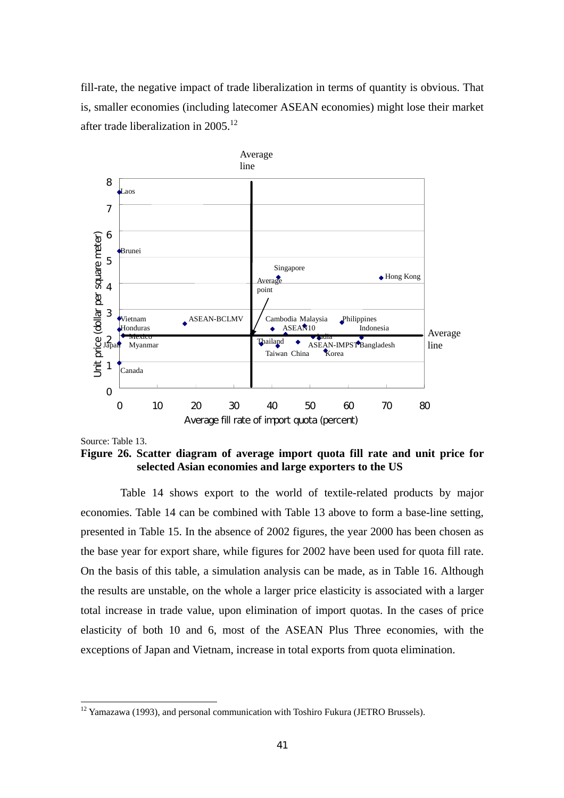fill-rate, the negative impact of trade liberalization in terms of quantity is obvious. That is, smaller economies (including latecomer ASEAN economies) might lose their market after trade liberalization in 2005.<sup>12</sup>



Source: Table 13.

 $\overline{a}$ 

**Figure 26. Scatter diagram of average import quota fill rate and unit price for selected Asian economies and large exporters to the US** 

Table 14 shows export to the world of textile-related products by major economies. Table 14 can be combined with Table 13 above to form a base-line setting, presented in Table 15. In the absence of 2002 figures, the year 2000 has been chosen as the base year for export share, while figures for 2002 have been used for quota fill rate. On the basis of this table, a simulation analysis can be made, as in Table 16. Although the results are unstable, on the whole a larger price elasticity is associated with a larger total increase in trade value, upon elimination of import quotas. In the cases of price elasticity of both 10 and 6, most of the ASEAN Plus Three economies, with the exceptions of Japan and Vietnam, increase in total exports from quota elimination.

 $12$  Yamazawa (1993), and personal communication with Toshiro Fukura (JETRO Brussels).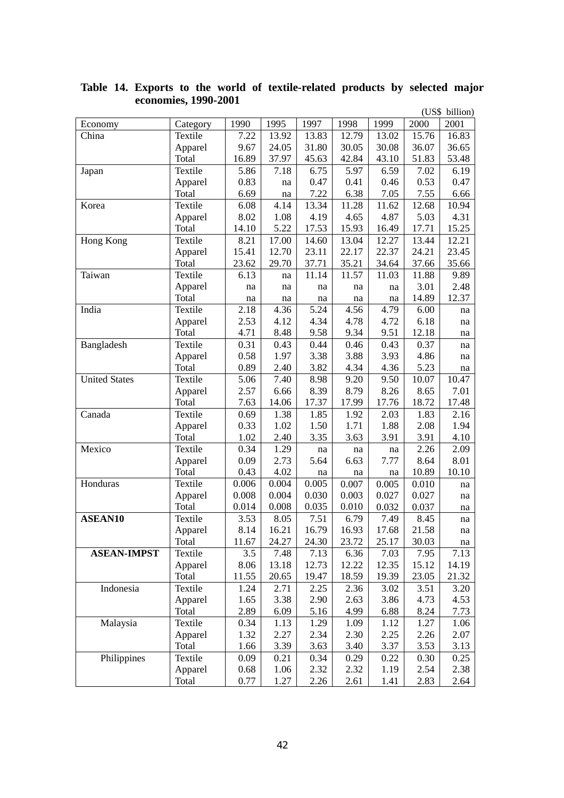|                      |          |       |       |       |       |       |       | (US\$ billion) |
|----------------------|----------|-------|-------|-------|-------|-------|-------|----------------|
| Economy              | Category | 1990  | 1995  | 1997  | 1998  | 1999  | 2000  | 2001           |
| China                | Textile  | 7.22  | 13.92 | 13.83 | 12.79 | 13.02 | 15.76 | 16.83          |
|                      | Apparel  | 9.67  | 24.05 | 31.80 | 30.05 | 30.08 | 36.07 | 36.65          |
|                      | Total    | 16.89 | 37.97 | 45.63 | 42.84 | 43.10 | 51.83 | 53.48          |
| Japan                | Textile  | 5.86  | 7.18  | 6.75  | 5.97  | 6.59  | 7.02  | 6.19           |
|                      | Apparel  | 0.83  | na    | 0.47  | 0.41  | 0.46  | 0.53  | 0.47           |
|                      | Total    | 6.69  | na    | 7.22  | 6.38  | 7.05  | 7.55  | 6.66           |
| Korea                | Textile  | 6.08  | 4.14  | 13.34 | 11.28 | 11.62 | 12.68 | 10.94          |
|                      | Apparel  | 8.02  | 1.08  | 4.19  | 4.65  | 4.87  | 5.03  | 4.31           |
|                      | Total    | 14.10 | 5.22  | 17.53 | 15.93 | 16.49 | 17.71 | 15.25          |
| Hong Kong            | Textile  | 8.21  | 17.00 | 14.60 | 13.04 | 12.27 | 13.44 | 12.21          |
|                      | Apparel  | 15.41 | 12.70 | 23.11 | 22.17 | 22.37 | 24.21 | 23.45          |
|                      | Total    | 23.62 | 29.70 | 37.71 | 35.21 | 34.64 | 37.66 | 35.66          |
| Taiwan               | Textile  | 6.13  | na    | 11.14 | 11.57 | 11.03 | 11.88 | 9.89           |
|                      | Apparel  | na    | na    | na    | na    | na    | 3.01  | 2.48           |
|                      | Total    | na    | na    | na    | na    | na    | 14.89 | 12.37          |
| India                | Textile  | 2.18  | 4.36  | 5.24  | 4.56  | 4.79  | 6.00  | na             |
|                      | Apparel  | 2.53  | 4.12  | 4.34  | 4.78  | 4.72  | 6.18  | na             |
|                      | Total    | 4.71  | 8.48  | 9.58  | 9.34  | 9.51  | 12.18 | na             |
| Bangladesh           | Textile  | 0.31  | 0.43  | 0.44  | 0.46  | 0.43  | 0.37  | na             |
|                      | Apparel  | 0.58  | 1.97  | 3.38  | 3.88  | 3.93  | 4.86  | na             |
|                      | Total    | 0.89  | 2.40  | 3.82  | 4.34  | 4.36  | 5.23  | na             |
| <b>United States</b> | Textile  | 5.06  | 7.40  | 8.98  | 9.20  | 9.50  | 10.07 | 10.47          |
|                      | Apparel  | 2.57  | 6.66  | 8.39  | 8.79  | 8.26  | 8.65  | 7.01           |
|                      | Total    | 7.63  | 14.06 | 17.37 | 17.99 | 17.76 | 18.72 | 17.48          |
| Canada               | Textile  | 0.69  | 1.38  | 1.85  | 1.92  | 2.03  | 1.83  | 2.16           |
|                      | Apparel  | 0.33  | 1.02  | 1.50  | 1.71  | 1.88  | 2.08  | 1.94           |
|                      | Total    | 1.02  | 2.40  | 3.35  | 3.63  | 3.91  | 3.91  | 4.10           |
| Mexico               | Textile  | 0.34  | 1.29  | na    | na    | na    | 2.26  | 2.09           |
|                      | Apparel  | 0.09  | 2.73  | 5.64  | 6.63  | 7.77  | 8.64  | 8.01           |
|                      | Total    | 0.43  | 4.02  | na    | na    | na    | 10.89 | 10.10          |
| Honduras             | Textile  | 0.006 | 0.004 | 0.005 | 0.007 | 0.005 | 0.010 | na             |
|                      | Apparel  | 0.008 | 0.004 | 0.030 | 0.003 | 0.027 | 0.027 | na             |
|                      | Total    | 0.014 | 0.008 | 0.035 | 0.010 | 0.032 | 0.037 | na             |
| <b>ASEAN10</b>       | Textile  | 3.53  | 8.05  | 7.51  | 6.79  | 7.49  | 8.45  | na             |
|                      | Apparel  | 8.14  | 16.21 | 16.79 | 16.93 | 17.68 | 21.58 | na             |
|                      | Total    | 11.67 | 24.27 | 24.30 | 23.72 | 25.17 | 30.03 | na             |
| <b>ASEAN-IMPST</b>   | Textile  | 3.5   | 7.48  | 7.13  | 6.36  | 7.03  | 7.95  | 7.13           |
|                      | Apparel  | 8.06  | 13.18 | 12.73 | 12.22 | 12.35 | 15.12 | 14.19          |
|                      | Total    | 11.55 | 20.65 | 19.47 | 18.59 | 19.39 | 23.05 | 21.32          |
| Indonesia            | Textile  | 1.24  | 2.71  | 2.25  | 2.36  | 3.02  | 3.51  | 3.20           |
|                      | Apparel  | 1.65  | 3.38  | 2.90  | 2.63  | 3.86  | 4.73  | 4.53           |
|                      | Total    | 2.89  | 6.09  | 5.16  | 4.99  | 6.88  | 8.24  | 7.73           |
| Malaysia             | Textile  | 0.34  | 1.13  | 1.29  | 1.09  | 1.12  | 1.27  | 1.06           |
|                      | Apparel  | 1.32  | 2.27  | 2.34  | 2.30  | 2.25  | 2.26  | 2.07           |
|                      | Total    | 1.66  | 3.39  | 3.63  | 3.40  | 3.37  | 3.53  | 3.13           |
| Philippines          | Textile  | 0.09  | 0.21  | 0.34  | 0.29  | 0.22  | 0.30  | 0.25           |
|                      | Apparel  | 0.68  | 1.06  | 2.32  | 2.32  | 1.19  | 2.54  | 2.38           |
|                      | Total    | 0.77  | 1.27  | 2.26  | 2.61  | 1.41  | 2.83  | 2.64           |
|                      |          |       |       |       |       |       |       |                |

**Table 14. Exports to the world of textile-related products by selected major economies, 1990-2001**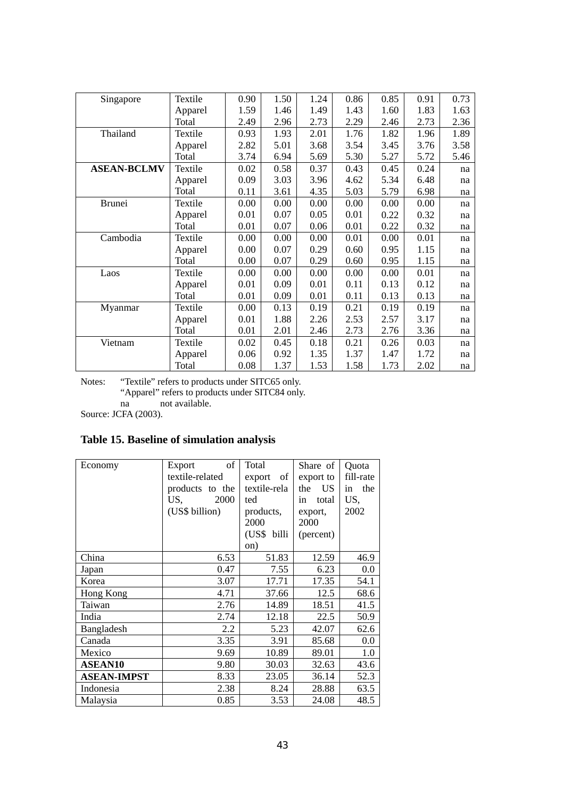| Singapore          | Textile | 0.90 | 1.50 | 1.24 | 0.86 | 0.85 | 0.91 | 0.73 |
|--------------------|---------|------|------|------|------|------|------|------|
|                    | Apparel | 1.59 | 1.46 | 1.49 | 1.43 | 1.60 | 1.83 | 1.63 |
|                    | Total   | 2.49 | 2.96 | 2.73 | 2.29 | 2.46 | 2.73 | 2.36 |
| Thailand           | Textile | 0.93 | 1.93 | 2.01 | 1.76 | 1.82 | 1.96 | 1.89 |
|                    | Apparel | 2.82 | 5.01 | 3.68 | 3.54 | 3.45 | 3.76 | 3.58 |
|                    | Total   | 3.74 | 6.94 | 5.69 | 5.30 | 5.27 | 5.72 | 5.46 |
| <b>ASEAN-BCLMV</b> | Textile | 0.02 | 0.58 | 0.37 | 0.43 | 0.45 | 0.24 | na   |
|                    | Apparel | 0.09 | 3.03 | 3.96 | 4.62 | 5.34 | 6.48 | na   |
|                    | Total   | 0.11 | 3.61 | 4.35 | 5.03 | 5.79 | 6.98 | na   |
| <b>Brunei</b>      | Textile | 0.00 | 0.00 | 0.00 | 0.00 | 0.00 | 0.00 | na   |
|                    | Apparel | 0.01 | 0.07 | 0.05 | 0.01 | 0.22 | 0.32 | na   |
|                    | Total   | 0.01 | 0.07 | 0.06 | 0.01 | 0.22 | 0.32 | na   |
| Cambodia           | Textile | 0.00 | 0.00 | 0.00 | 0.01 | 0.00 | 0.01 | na   |
|                    | Apparel | 0.00 | 0.07 | 0.29 | 0.60 | 0.95 | 1.15 | na   |
|                    | Total   | 0.00 | 0.07 | 0.29 | 0.60 | 0.95 | 1.15 | na   |
| Laos               | Textile | 0.00 | 0.00 | 0.00 | 0.00 | 0.00 | 0.01 | na   |
|                    | Apparel | 0.01 | 0.09 | 0.01 | 0.11 | 0.13 | 0.12 | na   |
|                    | Total   | 0.01 | 0.09 | 0.01 | 0.11 | 0.13 | 0.13 | na   |
| Myanmar            | Textile | 0.00 | 0.13 | 0.19 | 0.21 | 0.19 | 0.19 | na   |
|                    | Apparel | 0.01 | 1.88 | 2.26 | 2.53 | 2.57 | 3.17 | na   |
|                    | Total   | 0.01 | 2.01 | 2.46 | 2.73 | 2.76 | 3.36 | na   |
| Vietnam            | Textile | 0.02 | 0.45 | 0.18 | 0.21 | 0.26 | 0.03 | na   |
|                    | Apparel | 0.06 | 0.92 | 1.35 | 1.37 | 1.47 | 1.72 | na   |
|                    | Total   | 0.08 | 1.37 | 1.53 | 1.58 | 1.73 | 2.02 | na   |

Notes: "Textile" refers to products under SITC65 only. "Apparel" refers to products under SITC84 only. na not available.

Source: JCFA (2003).

# **Table 15. Baseline of simulation analysis**

| Economy            | of<br>Export<br>textile-related<br>products to the<br>US,<br>2000<br>(US\$ billion) | Total<br>export<br>of<br>textile-rela<br>ted<br>products,<br>2000<br>(US\$ billi<br>on) | Share of<br>export to<br><b>US</b><br>the<br>in<br>total<br>export,<br>2000<br>(percent) | Quota<br>fill-rate<br>the<br>in<br>US,<br>2002 |
|--------------------|-------------------------------------------------------------------------------------|-----------------------------------------------------------------------------------------|------------------------------------------------------------------------------------------|------------------------------------------------|
| China              | 6.53                                                                                | 51.83                                                                                   | 12.59                                                                                    | 46.9                                           |
| Japan              | 0.47                                                                                | 7.55                                                                                    | 6.23                                                                                     | 0.0                                            |
| Korea              | 3.07                                                                                | 17.71                                                                                   | 17.35                                                                                    | 54.1                                           |
| Hong Kong          | 4.71                                                                                | 37.66                                                                                   | 12.5                                                                                     | 68.6                                           |
| Taiwan             | 2.76                                                                                | 14.89                                                                                   | 18.51                                                                                    | 41.5                                           |
| India              | 2.74                                                                                | 12.18                                                                                   | 22.5                                                                                     | 50.9                                           |
| Bangladesh         | 2.2                                                                                 | 5.23                                                                                    | 42.07                                                                                    | 62.6                                           |
| Canada             | 3.35                                                                                | 3.91                                                                                    | 85.68                                                                                    | 0.0                                            |
| Mexico             | 9.69                                                                                | 10.89                                                                                   | 89.01                                                                                    | 1.0                                            |
| <b>ASEAN10</b>     | 9.80                                                                                | 30.03                                                                                   | 32.63                                                                                    | 43.6                                           |
| <b>ASEAN-IMPST</b> | 8.33                                                                                | 23.05                                                                                   | 36.14                                                                                    | 52.3                                           |
| Indonesia          | 2.38                                                                                | 8.24                                                                                    | 28.88                                                                                    | 63.5                                           |
| Malaysia           | 0.85                                                                                | 3.53                                                                                    | 24.08                                                                                    | 48.5                                           |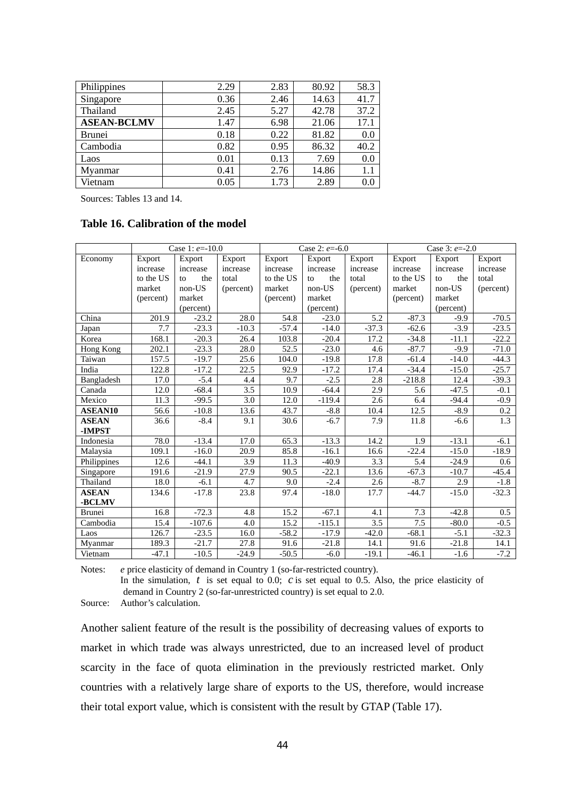| Philippines        | 2.29     | 2.83 | 80.92 | 58.3 |
|--------------------|----------|------|-------|------|
| Singapore          | 0.36     | 2.46 | 14.63 | 41.7 |
| Thailand           | 2.45     | 5.27 | 42.78 | 37.2 |
| <b>ASEAN-BCLMV</b> | 1.47     | 6.98 | 21.06 | 17.1 |
| <b>Brunei</b>      | 0.18     | 0.22 | 81.82 | 0.0  |
| Cambodia           | 0.82     | 0.95 | 86.32 | 40.2 |
| Laos               | $0.01\,$ | 0.13 | 7.69  | 0.0  |
| Mvanmar            | 0.41     | 2.76 | 14.86 | 1.1  |
| Vietnam            | 0.05     | 1.73 | 2.89  | 0.0  |

Sources: Tables 13 and 14.

## **Table 16. Calibration of the model**

|                |           | Case 1: $e=10.0$ |                  |           | Case 2: $e = -6.0$ |           |           | Case 3: $e = -2.0$ |           |
|----------------|-----------|------------------|------------------|-----------|--------------------|-----------|-----------|--------------------|-----------|
| Economy        | Export    | Export           | Export           | Export    | Export             | Export    | Export    | Export             | Export    |
|                | increase  | increase         | increase         | increase  | increase           | increase  | increase  | increase           | increase  |
|                | to the US | the<br>to        | total            | to the US | the<br>to          | total     | to the US | the<br>to          | total     |
|                | market    | non-US           | (percent)        | market    | non-US             | (percent) | market    | non-US             | (percent) |
|                | (percent) | market           |                  | (percent) | market             |           | (percent) | market             |           |
|                |           | (percent)        |                  |           | (percent)          |           |           | (percent)          |           |
| China          | 201.9     | $-23.2$          | 28.0             | 54.8      | $-23.0$            | 5.2       | $-87.3$   | $-9.9$             | $-70.5$   |
| Japan          | 7.7       | $-23.3$          | $-10.3$          | $-57.4$   | $-14.0$            | $-37.3$   | $-62.6$   | $-3.9$             | $-23.5$   |
| Korea          | 168.1     | $-20.3$          | 26.4             | 103.8     | $-20.4$            | 17.2      | $-34.8$   | $-11.1$            | $-22.2$   |
| Hong Kong      | 202.1     | $-23.3$          | 28.0             | 52.5      | $-23.0$            | 4.6       | $-87.7$   | $-9.9$             | $-71.0$   |
| Taiwan         | 157.5     | $-19.7$          | 25.6             | 104.0     | $-19.8$            | 17.8      | $-61.4$   | $-14.0$            | $-44.3$   |
| India          | 122.8     | $-17.2$          | 22.5             | 92.9      | $-17.2$            | 17.4      | $-34.4$   | $-15.0$            | $-25.7$   |
| Bangladesh     | 17.0      | $-5.4$           | 4.4              | 9.7       | $-2.5$             | 2.8       | $-218.8$  | 12.4               | $-39.3$   |
| Canada         | 12.0      | $-68.4$          | $\overline{3.5}$ | 10.9      | $-64.4$            | 2.9       | 5.6       | $-47.5$            | $-0.1$    |
| Mexico         | 11.3      | $-99.5$          | 3.0              | 12.0      | $-119.4$           | 2.6       | 6.4       | $-94.4$            | $-0.9$    |
| <b>ASEAN10</b> | 56.6      | $-10.8$          | 13.6             | 43.7      | $-8.8$             | 10.4      | 12.5      | $-8.9$             | $0.2\,$   |
| <b>ASEAN</b>   | 36.6      | $-8.4$           | 9.1              | 30.6      | $-6.7$             | 7.9       | 11.8      | $-6.6$             | 1.3       |
| -IMPST         |           |                  |                  |           |                    |           |           |                    |           |
| Indonesia      | 78.0      | $-13.4$          | 17.0             | 65.3      | $-13.3$            | 14.2      | 1.9       | $-13.1$            | $-6.1$    |
| Malaysia       | 109.1     | $-16.0$          | 20.9             | 85.8      | $-16.1$            | 16.6      | $-22.4$   | $-15.0$            | $-18.9$   |
| Philippines    | 12.6      | $-44.1$          | 3.9              | 11.3      | $-40.9$            | 3.3       | 5.4       | $-24.9$            | 0.6       |
| Singapore      | 191.6     | $-21.9$          | 27.9             | 90.5      | $-22.1$            | 13.6      | $-67.3$   | $-10.7$            | $-45.4$   |
| Thailand       | 18.0      | $-6.1$           | 4.7              | 9.0       | $-2.4$             | 2.6       | $-8.7$    | 2.9                | $-1.8$    |
| <b>ASEAN</b>   | 134.6     | $-17.8$          | 23.8             | 97.4      | $-18.0$            | 17.7      | $-44.7$   | $-15.0$            | $-32.3$   |
| -BCLMV         |           |                  |                  |           |                    |           |           |                    |           |
| <b>Brunei</b>  | 16.8      | $-72.3$          | 4.8              | 15.2      | $-67.1$            | 4.1       | 7.3       | $-42.8$            | 0.5       |
| Cambodia       | 15.4      | $-107.6$         | 4.0              | 15.2      | $-115.1$           | 3.5       | 7.5       | $-80.0$            | $-0.5$    |
| Laos           | 126.7     | $-23.5$          | 16.0             | $-58.2$   | $-17.9$            | $-42.0$   | $-68.1$   | $-5.1$             | $-32.3$   |
| Myanmar        | 189.3     | $-21.7$          | 27.8             | 91.6      | $-21.8$            | 14.1      | 91.6      | $-21.8$            | 14.1      |
| Vietnam        | $-47.1$   | $-10.5$          | $-24.9$          | $-50.5$   | $-6.0$             | $-19.1$   | $-46.1$   | $-1.6$             | $-7.2$    |

Notes: *e* price elasticity of demand in Country 1 (so-far-restricted country).

In the simulation, *t* is set equal to 0.0; *c* is set equal to 0.5. Also, the price elasticity of demand in Country 2 (so-far-unrestricted country) is set equal to 2.0.

Source: Author's calculation.

Another salient feature of the result is the possibility of decreasing values of exports to market in which trade was always unrestricted, due to an increased level of product scarcity in the face of quota elimination in the previously restricted market. Only countries with a relatively large share of exports to the US, therefore, would increase their total export value, which is consistent with the result by GTAP (Table 17).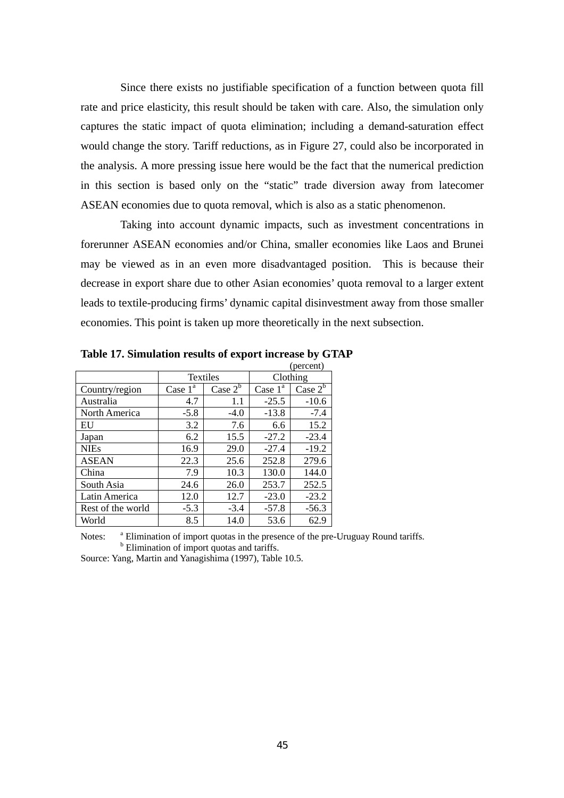Since there exists no justifiable specification of a function between quota fill rate and price elasticity, this result should be taken with care. Also, the simulation only captures the static impact of quota elimination; including a demand-saturation effect would change the story. Tariff reductions, as in Figure 27, could also be incorporated in the analysis. A more pressing issue here would be the fact that the numerical prediction in this section is based only on the "static" trade diversion away from latecomer ASEAN economies due to quota removal, which is also as a static phenomenon.

Taking into account dynamic impacts, such as investment concentrations in forerunner ASEAN economies and/or China, smaller economies like Laos and Brunei may be viewed as in an even more disadvantaged position. This is because their decrease in export share due to other Asian economies' quota removal to a larger extent leads to textile-producing firms' dynamic capital disinvestment away from those smaller economies. This point is taken up more theoretically in the next subsection.

|                   |                 |            |            | (percent)  |
|-------------------|-----------------|------------|------------|------------|
|                   | <b>Textiles</b> |            | Clothing   |            |
| Country/region    | Case $1^a$      | Case $2^b$ | Case $1^a$ | Case $2^b$ |
| Australia         | 4.7             | 1.1        | $-25.5$    | $-10.6$    |
| North America     | $-5.8$          | $-4.0$     | $-13.8$    | $-7.4$     |
| EU                | 3.2             | 7.6        | 6.6        | 15.2       |
| Japan             | 6.2             | 15.5       | $-27.2$    | $-23.4$    |
| <b>NIEs</b>       | 16.9            | 29.0       | $-27.4$    | $-19.2$    |
| <b>ASEAN</b>      | 22.3            | 25.6       | 252.8      | 279.6      |
| China             | 7.9             | 10.3       | 130.0      | 144.0      |
| South Asia        | 24.6            | 26.0       | 253.7      | 252.5      |
| Latin America     | 12.0            | 12.7       | $-23.0$    | $-23.2$    |
| Rest of the world | $-5.3$          | $-3.4$     | $-57.8$    | $-56.3$    |
| World             | 8.5             | 14.0       | 53.6       | 62.9       |

**Table 17. Simulation results of export increase by GTAP** 

Notes: <sup>a</sup> Elimination of import quotas in the presence of the pre-Uruguay Round tariffs. **b** Elimination of import quotas and tariffs.

Source: Yang, Martin and Yanagishima (1997), Table 10.5.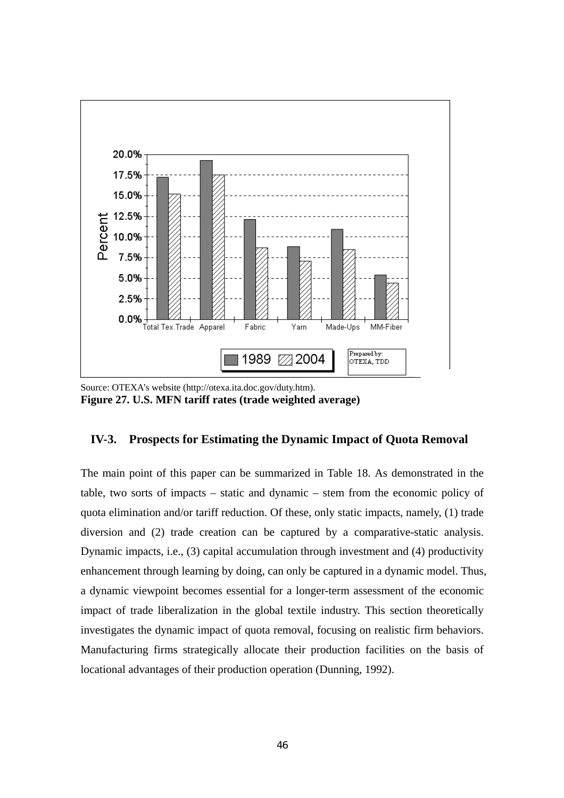

Source: OTEXA's website (http://otexa.ita.doc.gov/duty.htm). **Figure 27. U.S. MFN tariff rates (trade weighted average)** 

# **IV-3. Prospects for Estimating the Dynamic Impact of Quota Removal**

The main point of this paper can be summarized in Table 18. As demonstrated in the table, two sorts of impacts – static and dynamic – stem from the economic policy of quota elimination and/or tariff reduction. Of these, only static impacts, namely, (1) trade diversion and (2) trade creation can be captured by a comparative-static analysis. Dynamic impacts, i.e., (3) capital accumulation through investment and (4) productivity enhancement through learning by doing, can only be captured in a dynamic model. Thus, a dynamic viewpoint becomes essential for a longer-term assessment of the economic impact of trade liberalization in the global textile industry. This section theoretically investigates the dynamic impact of quota removal, focusing on realistic firm behaviors. Manufacturing firms strategically allocate their production facilities on the basis of locational advantages of their production operation (Dunning, 1992).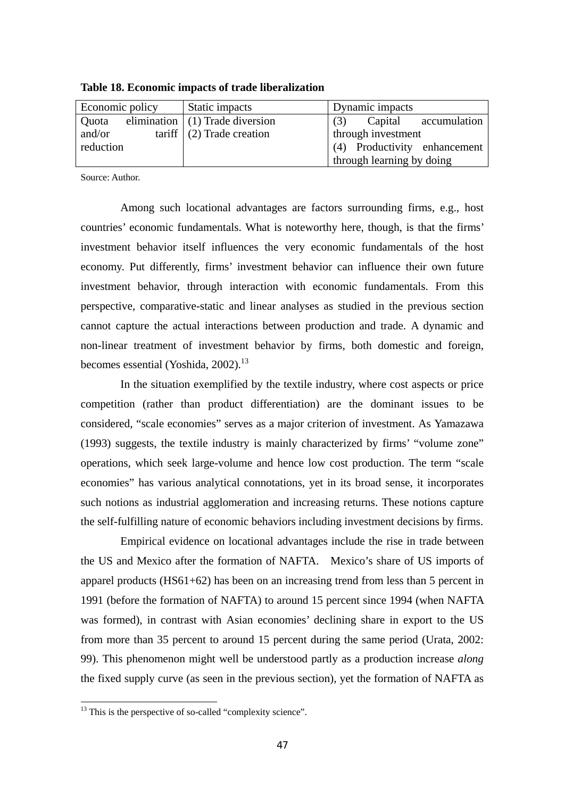| Economic policy |  | Static impacts                    | Dynamic impacts              |
|-----------------|--|-----------------------------------|------------------------------|
| Quota           |  | elimination $(1)$ Trade diversion | Capital accumulation<br>(3)  |
| and/or          |  | tariff $(2)$ Trade creation       | through investment           |
| reduction       |  |                                   | (4) Productivity enhancement |
|                 |  |                                   | through learning by doing    |

**Table 18. Economic impacts of trade liberalization** 

Source: Author.

Among such locational advantages are factors surrounding firms, e.g., host countries' economic fundamentals. What is noteworthy here, though, is that the firms' investment behavior itself influences the very economic fundamentals of the host economy. Put differently, firms' investment behavior can influence their own future investment behavior, through interaction with economic fundamentals. From this perspective, comparative-static and linear analyses as studied in the previous section cannot capture the actual interactions between production and trade. A dynamic and non-linear treatment of investment behavior by firms, both domestic and foreign, becomes essential (Yoshida, 2002).<sup>13</sup>

 In the situation exemplified by the textile industry, where cost aspects or price competition (rather than product differentiation) are the dominant issues to be considered, "scale economies" serves as a major criterion of investment. As Yamazawa (1993) suggests, the textile industry is mainly characterized by firms' "volume zone" operations, which seek large-volume and hence low cost production. The term "scale economies" has various analytical connotations, yet in its broad sense, it incorporates such notions as industrial agglomeration and increasing returns. These notions capture the self-fulfilling nature of economic behaviors including investment decisions by firms.

 Empirical evidence on locational advantages include the rise in trade between the US and Mexico after the formation of NAFTA. Mexico's share of US imports of apparel products (HS61+62) has been on an increasing trend from less than 5 percent in 1991 (before the formation of NAFTA) to around 15 percent since 1994 (when NAFTA was formed), in contrast with Asian economies' declining share in export to the US from more than 35 percent to around 15 percent during the same period (Urata, 2002: 99). This phenomenon might well be understood partly as a production increase *along* the fixed supply curve (as seen in the previous section), yet the formation of NAFTA as

 $\overline{a}$ 

 $13$  This is the perspective of so-called "complexity science".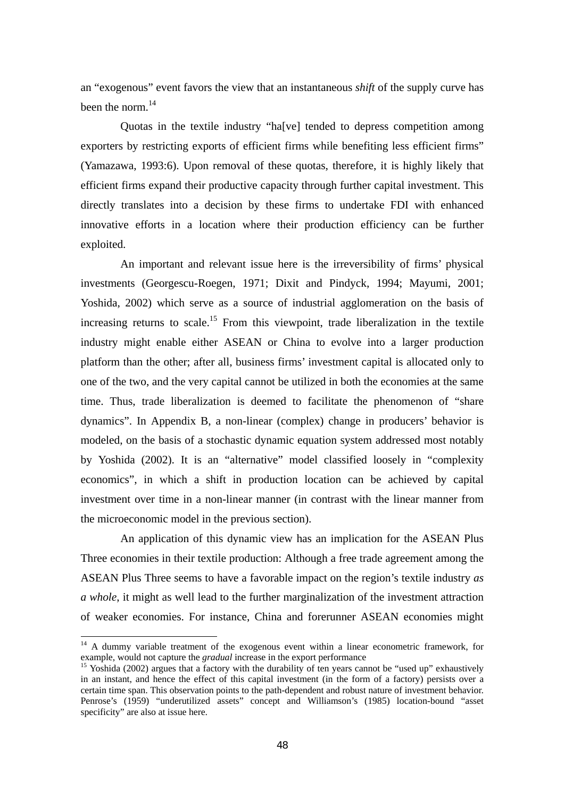an "exogenous" event favors the view that an instantaneous *shift* of the supply curve has been the norm.<sup>14</sup>

 Quotas in the textile industry "ha[ve] tended to depress competition among exporters by restricting exports of efficient firms while benefiting less efficient firms" (Yamazawa, 1993:6). Upon removal of these quotas, therefore, it is highly likely that efficient firms expand their productive capacity through further capital investment. This directly translates into a decision by these firms to undertake FDI with enhanced innovative efforts in a location where their production efficiency can be further exploited.

An important and relevant issue here is the irreversibility of firms' physical investments (Georgescu-Roegen, 1971; Dixit and Pindyck, 1994; Mayumi, 2001; Yoshida, 2002) which serve as a source of industrial agglomeration on the basis of increasing returns to scale.<sup>15</sup> From this viewpoint, trade liberalization in the textile industry might enable either ASEAN or China to evolve into a larger production platform than the other; after all, business firms' investment capital is allocated only to one of the two, and the very capital cannot be utilized in both the economies at the same time. Thus, trade liberalization is deemed to facilitate the phenomenon of "share dynamics". In Appendix B, a non-linear (complex) change in producers' behavior is modeled, on the basis of a stochastic dynamic equation system addressed most notably by Yoshida (2002). It is an "alternative" model classified loosely in "complexity economics", in which a shift in production location can be achieved by capital investment over time in a non-linear manner (in contrast with the linear manner from the microeconomic model in the previous section).

 An application of this dynamic view has an implication for the ASEAN Plus Three economies in their textile production: Although a free trade agreement among the ASEAN Plus Three seems to have a favorable impact on the region's textile industry *as a whole*, it might as well lead to the further marginalization of the investment attraction of weaker economies. For instance, China and forerunner ASEAN economies might

 $\overline{a}$ 

 $14$  A dummy variable treatment of the exogenous event within a linear econometric framework, for example, would not capture the *gradual* increase in the export performance<br><sup>15</sup> Yoshida (2002) argues that a factory with the durability of ten years cannot be "used up" exhaustively

in an instant, and hence the effect of this capital investment (in the form of a factory) persists over a certain time span. This observation points to the path-dependent and robust nature of investment behavior. Penrose's (1959) "underutilized assets" concept and Williamson's (1985) location-bound "asset specificity" are also at issue here.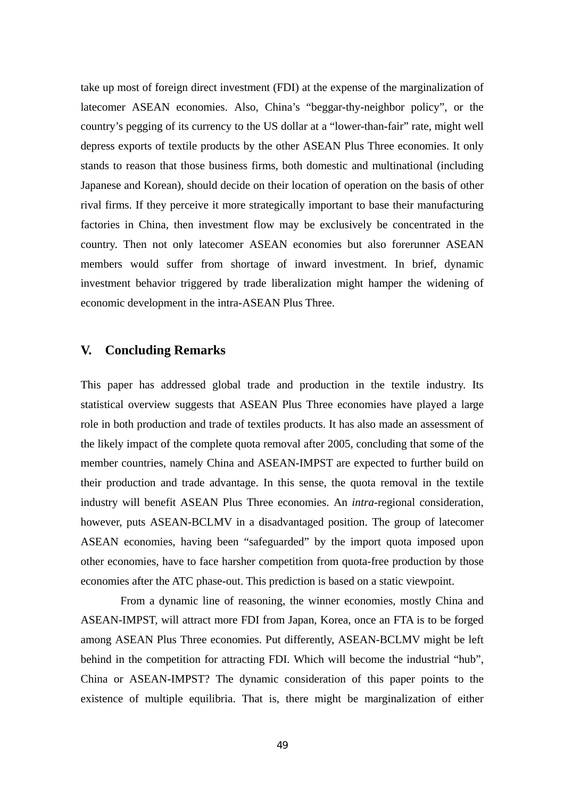take up most of foreign direct investment (FDI) at the expense of the marginalization of latecomer ASEAN economies. Also, China's "beggar-thy-neighbor policy", or the country's pegging of its currency to the US dollar at a "lower-than-fair" rate, might well depress exports of textile products by the other ASEAN Plus Three economies. It only stands to reason that those business firms, both domestic and multinational (including Japanese and Korean), should decide on their location of operation on the basis of other rival firms. If they perceive it more strategically important to base their manufacturing factories in China, then investment flow may be exclusively be concentrated in the country. Then not only latecomer ASEAN economies but also forerunner ASEAN members would suffer from shortage of inward investment. In brief, dynamic investment behavior triggered by trade liberalization might hamper the widening of economic development in the intra-ASEAN Plus Three.

# **V. Concluding Remarks**

This paper has addressed global trade and production in the textile industry. Its statistical overview suggests that ASEAN Plus Three economies have played a large role in both production and trade of textiles products. It has also made an assessment of the likely impact of the complete quota removal after 2005, concluding that some of the member countries, namely China and ASEAN-IMPST are expected to further build on their production and trade advantage. In this sense, the quota removal in the textile industry will benefit ASEAN Plus Three economies. An *intra*-regional consideration, however, puts ASEAN-BCLMV in a disadvantaged position. The group of latecomer ASEAN economies, having been "safeguarded" by the import quota imposed upon other economies, have to face harsher competition from quota-free production by those economies after the ATC phase-out. This prediction is based on a static viewpoint.

From a dynamic line of reasoning, the winner economies, mostly China and ASEAN-IMPST, will attract more FDI from Japan, Korea, once an FTA is to be forged among ASEAN Plus Three economies. Put differently, ASEAN-BCLMV might be left behind in the competition for attracting FDI. Which will become the industrial "hub", China or ASEAN-IMPST? The dynamic consideration of this paper points to the existence of multiple equilibria. That is, there might be marginalization of either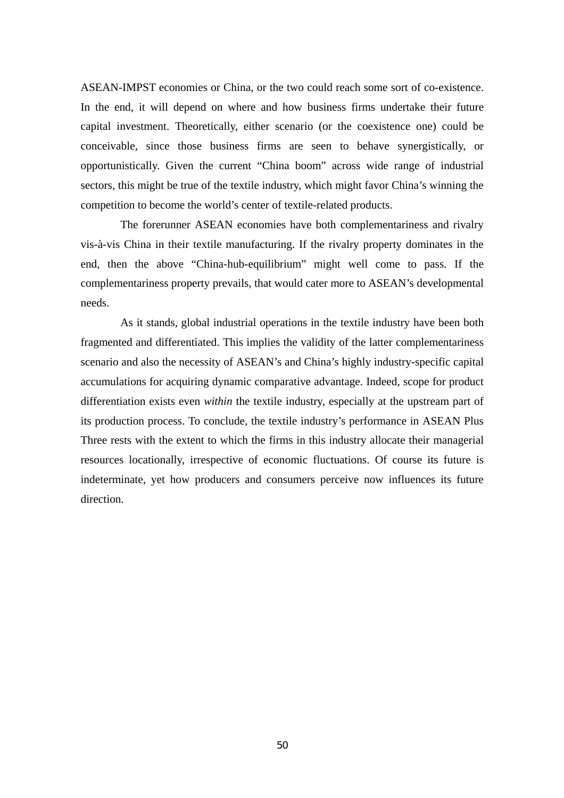ASEAN-IMPST economies or China, or the two could reach some sort of co-existence. In the end, it will depend on where and how business firms undertake their future capital investment. Theoretically, either scenario (or the coexistence one) could be conceivable, since those business firms are seen to behave synergistically, or opportunistically. Given the current "China boom" across wide range of industrial sectors, this might be true of the textile industry, which might favor China's winning the competition to become the world's center of textile-related products.

The forerunner ASEAN economies have both complementariness and rivalry vis-à-vis China in their textile manufacturing. If the rivalry property dominates in the end, then the above "China-hub-equilibrium" might well come to pass. If the complementariness property prevails, that would cater more to ASEAN's developmental needs.

As it stands, global industrial operations in the textile industry have been both fragmented and differentiated. This implies the validity of the latter complementariness scenario and also the necessity of ASEAN's and China's highly industry-specific capital accumulations for acquiring dynamic comparative advantage. Indeed, scope for product differentiation exists even *within* the textile industry, especially at the upstream part of its production process. To conclude, the textile industry's performance in ASEAN Plus Three rests with the extent to which the firms in this industry allocate their managerial resources locationally, irrespective of economic fluctuations. Of course its future is indeterminate, yet how producers and consumers perceive now influences its future direction.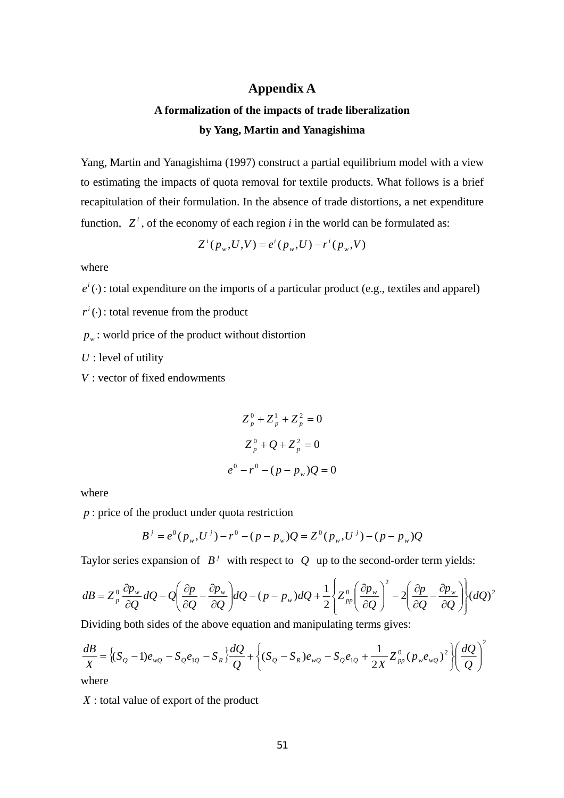# **Appendix A**

# **A formalization of the impacts of trade liberalization by Yang, Martin and Yanagishima**

Yang, Martin and Yanagishima (1997) construct a partial equilibrium model with a view to estimating the impacts of quota removal for textile products. What follows is a brief recapitulation of their formulation. In the absence of trade distortions, a net expenditure function,  $Z^i$ , of the economy of each region *i* in the world can be formulated as:

$$
Z^{i}(p_{w},U,V) = e^{i}(p_{w},U) - r^{i}(p_{w},V)
$$

where

 $e^{i}(\cdot)$ : total expenditure on the imports of a particular product (e.g., textiles and apparel)

 $r^{i}(\cdot)$ : total revenue from the product

 $p_w$ : world price of the product without distortion

*U* : level of utility

*V* : vector of fixed endowments

$$
Z_p^0 + Z_p^1 + Z_p^2 = 0
$$
  

$$
Z_p^0 + Q + Z_p^2 = 0
$$
  

$$
e^0 - r^0 - (p - p_w)Q = 0
$$

where

*p* : price of the product under quota restriction

$$
B^{j} = e^{0} (p_{w}, U^{j}) - r^{0} - (p - p_{w}) Q = Z^{0} (p_{w}, U^{j}) - (p - p_{w}) Q
$$

Taylor series expansion of  $B^j$  with respect to Q up to the second-order term yields:

$$
dB = Z_p^0 \frac{\partial p_w}{\partial Q} dQ - Q \left( \frac{\partial p}{\partial Q} - \frac{\partial p_w}{\partial Q} \right) dQ - (p - p_w) dQ + \frac{1}{2} \left\{ Z_{pp}^0 \left( \frac{\partial p_w}{\partial Q} \right)^2 - 2 \left( \frac{\partial p}{\partial Q} - \frac{\partial p_w}{\partial Q} \right) \right\} (dQ)^2
$$

Dividing both sides of the above equation and manipulating terms gives:

$$
\frac{dB}{X} = \left\{ (S_Q - 1)e_{wQ} - S_Q e_{1Q} - S_R \right\} \frac{dQ}{Q} + \left\{ (S_Q - S_R)e_{wQ} - S_Q e_{1Q} + \frac{1}{2X} Z_{pp}^0 (p_w e_{wQ})^2 \right\} \left( \frac{dQ}{Q} \right)^2
$$
\nwhere

*X* : total value of export of the product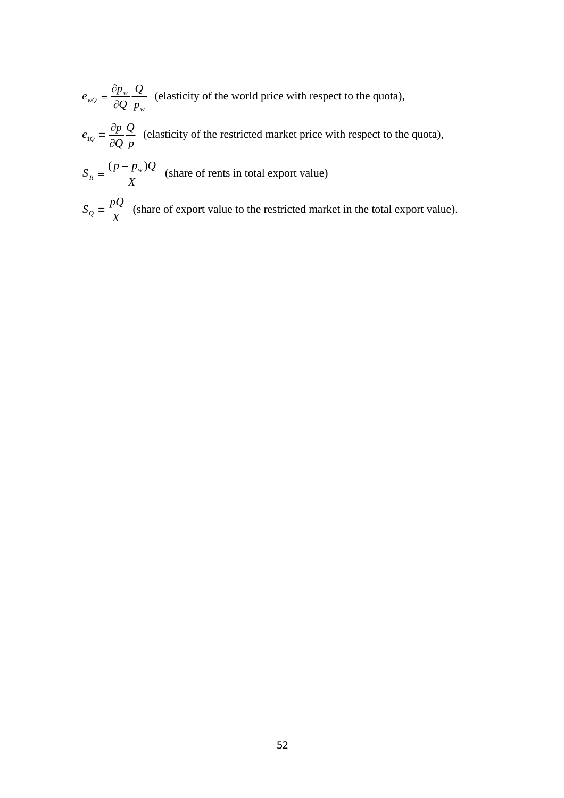*w*  $_{wQ}$   $\equiv \frac{op_w}{\partial Q} \frac{Q}{p}$ *Q Q*  $e_{wQ} \equiv \frac{\partial p}{\partial q}$ ∂  $=\frac{\partial p_w}{\partial s} \frac{Q}{\partial t}$  (elasticity of the world price with respect to the quota),

*p Q*  $e_{1Q} = \frac{\partial p}{\partial Q} \frac{Q}{p}$  (elasticity of the restricted market price with respect to the quota),

- *X*  $S_R = \frac{(p - p_w)Q}{V}$  (share of rents in total export value)
- $S_Q = \frac{pQ}{X}$  (share of export value to the restricted market in the total export value).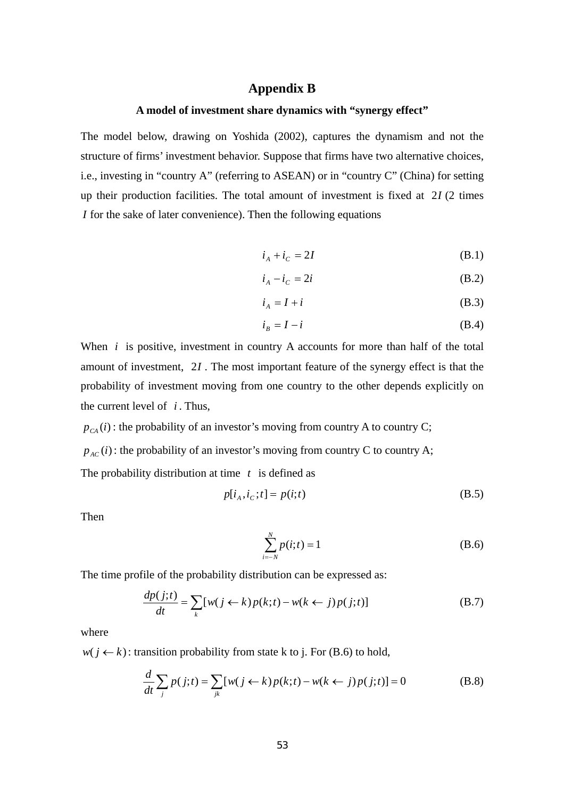# **Appendix B**

# **A model of investment share dynamics with "synergy effect"**

The model below, drawing on Yoshida (2002), captures the dynamism and not the structure of firms' investment behavior. Suppose that firms have two alternative choices, i.e., investing in "country A" (referring to ASEAN) or in "country C" (China) for setting up their production facilities. The total amount of investment is fixed at 2*I* (2 times *I* for the sake of later convenience). Then the following equations

$$
i_A + i_C = 2I \tag{B.1}
$$

$$
i_A - i_C = 2i \tag{B.2}
$$

$$
i_A = I + i \tag{B.3}
$$

$$
i_B = I - i \tag{B.4}
$$

When *i* is positive, investment in country A accounts for more than half of the total amount of investment, 2*I*. The most important feature of the synergy effect is that the probability of investment moving from one country to the other depends explicitly on the current level of  $i$ . Thus,

 $p_{cA}(i)$ : the probability of an investor's moving from country A to country C;  $p_{AC}(i)$ : the probability of an investor's moving from country C to country A; The probability distribution at time *t* is defined as

$$
p[i_A, i_C; t] = p(i; t) \tag{B.5}
$$

Then

$$
\sum_{i=-N}^{N} p(i; t) = 1
$$
 (B.6)

The time profile of the probability distribution can be expressed as:

$$
\frac{dp(j;t)}{dt} = \sum_{k} [w(j \leftarrow k) p(k;t) - w(k \leftarrow j) p(j;t)] \tag{B.7}
$$

where

 $w(j \leftarrow k)$ : transition probability from state k to j. For (B.6) to hold,

$$
\frac{d}{dt}\sum_{j} p(j;t) = \sum_{jk} [w(j \leftarrow k) p(k;t) - w(k \leftarrow j) p(j;t)] = 0
$$
\n(B.8)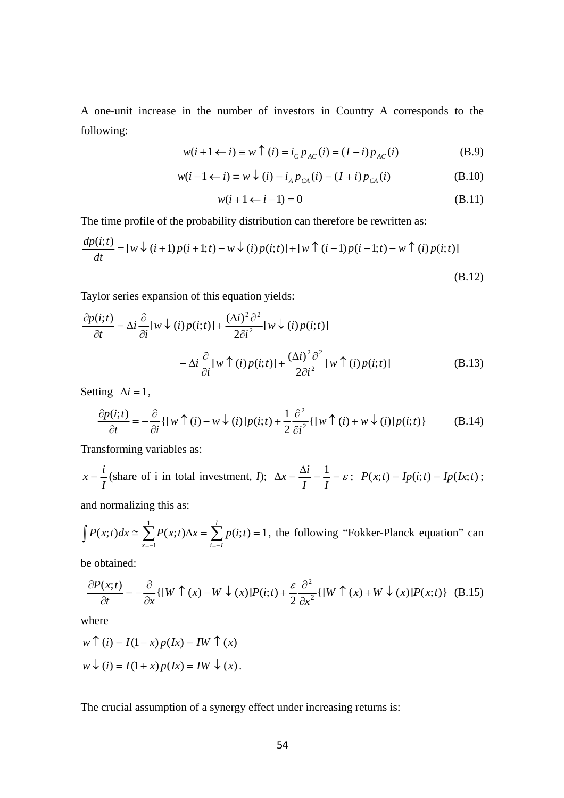A one-unit increase in the number of investors in Country A corresponds to the following:

$$
w(i + 1 \leftarrow i) \equiv w \uparrow (i) = i_{C} p_{AC}(i) = (I - i) p_{AC}(i)
$$
 (B.9)

$$
w(i-1 \leftarrow i) \equiv w \downarrow (i) = i_A p_{CA}(i) = (I+i) p_{CA}(i)
$$
 (B.10)

$$
w(i+1 \leftarrow i-1) = 0 \tag{B.11}
$$

The time profile of the probability distribution can therefore be rewritten as:

$$
\frac{dp(i;t)}{dt} = [w \downarrow (i+1)p(i+1;t) - w \downarrow (i)p(i;t)] + [w \uparrow (i-1)p(i-1;t) - w \uparrow (i)p(i;t)]
$$
\n(B.12)

Taylor series expansion of this equation yields:

$$
\frac{\partial p(i;t)}{\partial t} = \Delta i \frac{\partial}{\partial i} [w \downarrow (i) p(i;t)] + \frac{(\Delta i)^2 \partial^2}{2\partial i^2} [w \downarrow (i) p(i;t)]
$$

$$
- \Delta i \frac{\partial}{\partial i} [w \uparrow (i) p(i;t)] + \frac{(\Delta i)^2 \partial^2}{2\partial i^2} [w \uparrow (i) p(i;t)] \tag{B.13}
$$

Setting  $\Delta i = 1$ ,

$$
\frac{\partial p(i;t)}{\partial t} = -\frac{\partial}{\partial i} \{ [w \uparrow (i) - w \downarrow (i)] p(i;t) + \frac{1}{2} \frac{\partial^2}{\partial i^2} \{ [w \uparrow (i) + w \downarrow (i)] p(i;t) \}
$$
(B.14)

Transforming variables as:

$$
x = \frac{i}{I} \text{ (share of i in total investment, } I); \ \ \Delta x = \frac{\Delta i}{I} = \frac{1}{I} = \varepsilon \text{ ; } \ P(x;t) = Ip(i;t) = Ip(Ix;t) \text{ ; }
$$

and normalizing this as:

$$
\int P(x;t)dx \approx \sum_{x=-1}^{1} P(x;t)\Delta x = \sum_{i=-1}^{1} p(i;t) = 1
$$
, the following "Fokker-Planck equation" can

be obtained:

$$
\frac{\partial P(x;t)}{\partial t} = -\frac{\partial}{\partial x} \{ [W \uparrow (x) - W \downarrow (x)] P(i;t) + \frac{\varepsilon}{2} \frac{\partial^2}{\partial x^2} \{ [W \uparrow (x) + W \downarrow (x)] P(x;t) \} \quad (B.15)
$$

where

$$
w \uparrow (i) = I(1-x) p(Ix) = IW \uparrow (x)
$$
  

$$
w \downarrow (i) = I(1+x) p(Ix) = IW \downarrow (x).
$$

The crucial assumption of a synergy effect under increasing returns is: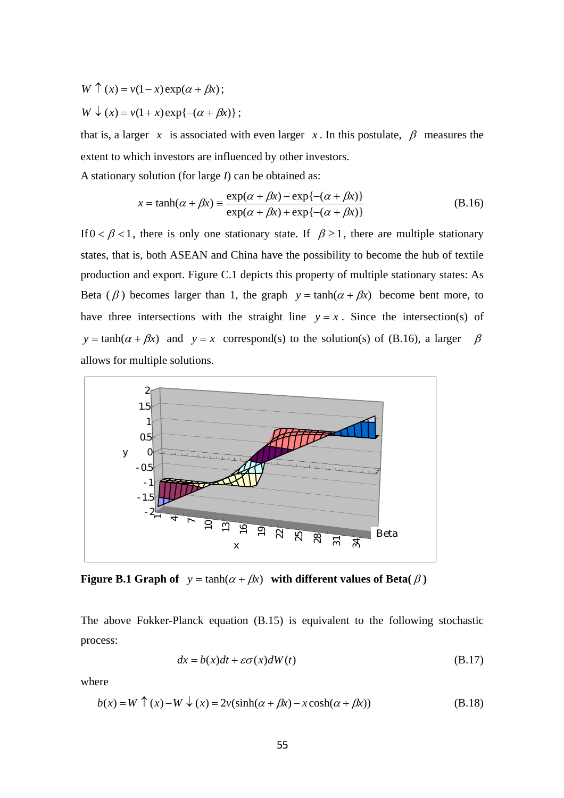$W \uparrow (x) = v(1-x) \exp(\alpha + \beta x);$ 

 $W \downarrow (x) = v(1+x) \exp\{-(\alpha + \beta x)\};$ 

that is, a larger *x* is associated with even larger *x*. In this postulate,  $\beta$  measures the extent to which investors are influenced by other investors.

A stationary solution (for large *I*) can be obtained as:

$$
x = \tanh(\alpha + \beta x) = \frac{\exp(\alpha + \beta x) - \exp\{-(\alpha + \beta x)\}}{\exp(\alpha + \beta x) + \exp\{-(\alpha + \beta x)\}}
$$
(B.16)

If  $0 < \beta < 1$ , there is only one stationary state. If  $\beta \ge 1$ , there are multiple stationary states, that is, both ASEAN and China have the possibility to become the hub of textile production and export. Figure C.1 depicts this property of multiple stationary states: As Beta ( $\beta$ ) becomes larger than 1, the graph  $y = \tanh(\alpha + \beta x)$  become bent more, to have three intersections with the straight line  $y = x$ . Since the intersection(s) of *y* = tanh( $\alpha + \beta x$ ) and *y* = *x* correspond(s) to the solution(s) of (B.16), a larger  $\beta$ allows for multiple solutions.



**Figure B.1 Graph of**  $y = \tanh(\alpha + \beta x)$  with different values of Beta( $\beta$ )

The above Fokker-Planck equation (B.15) is equivalent to the following stochastic process:

$$
dx = b(x)dt + \varepsilon \sigma(x)dW(t)
$$
 (B.17)

where

$$
b(x) = W \uparrow (x) - W \downarrow (x) = 2v(\sinh(\alpha + \beta x) - x \cosh(\alpha + \beta x))
$$
 (B.18)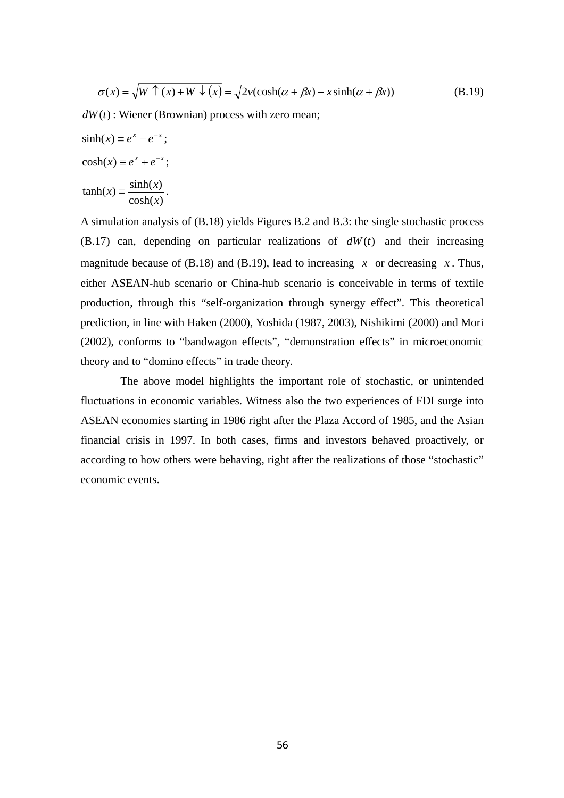$$
\sigma(x) = \sqrt{W \uparrow (x) + W \downarrow (x)} = \sqrt{2\nu(\cosh(\alpha + \beta x) - x \sinh(\alpha + \beta x))}
$$
(B.19)

 $dW(t)$ : Wiener (Brownian) process with zero mean;

 $sinh(x) \equiv e^x - e^{-x}$ ;  $cosh(x) \equiv e^x + e^{-x}$ ;  $cosh(x)$  $\tanh(x) \equiv \frac{\sinh(x)}{1+x}$ *x*  $f(x) = \frac{\sinh(x)}{1}$ .

A simulation analysis of (B.18) yields Figures B.2 and B.3: the single stochastic process  $(B.17)$  can, depending on particular realizations of  $dW(t)$  and their increasing magnitude because of (B.18) and (B.19), lead to increasing  $x$  or decreasing  $x$ . Thus, either ASEAN-hub scenario or China-hub scenario is conceivable in terms of textile production, through this "self-organization through synergy effect". This theoretical prediction, in line with Haken (2000), Yoshida (1987, 2003), Nishikimi (2000) and Mori (2002), conforms to "bandwagon effects", "demonstration effects" in microeconomic theory and to "domino effects" in trade theory.

The above model highlights the important role of stochastic, or unintended fluctuations in economic variables. Witness also the two experiences of FDI surge into ASEAN economies starting in 1986 right after the Plaza Accord of 1985, and the Asian financial crisis in 1997. In both cases, firms and investors behaved proactively, or according to how others were behaving, right after the realizations of those "stochastic" economic events.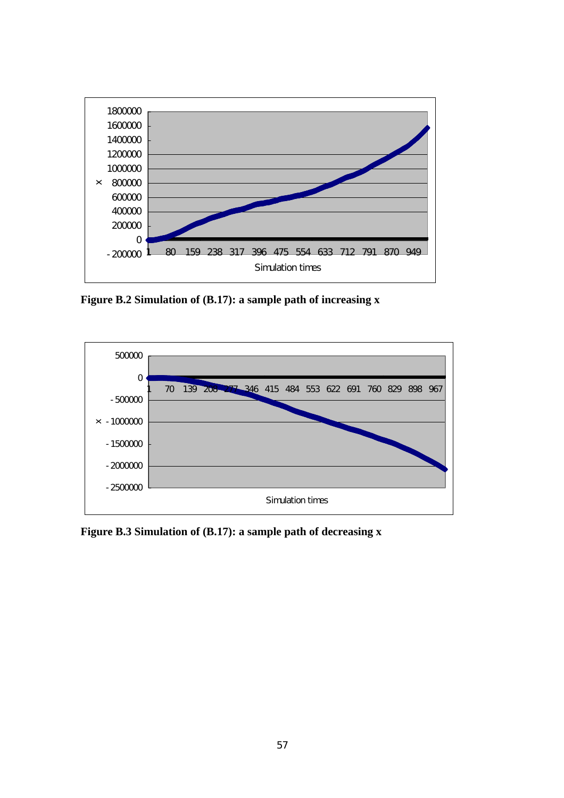

**Figure B.2 Simulation of (B.17): a sample path of increasing x** 



**Figure B.3 Simulation of (B.17): a sample path of decreasing x**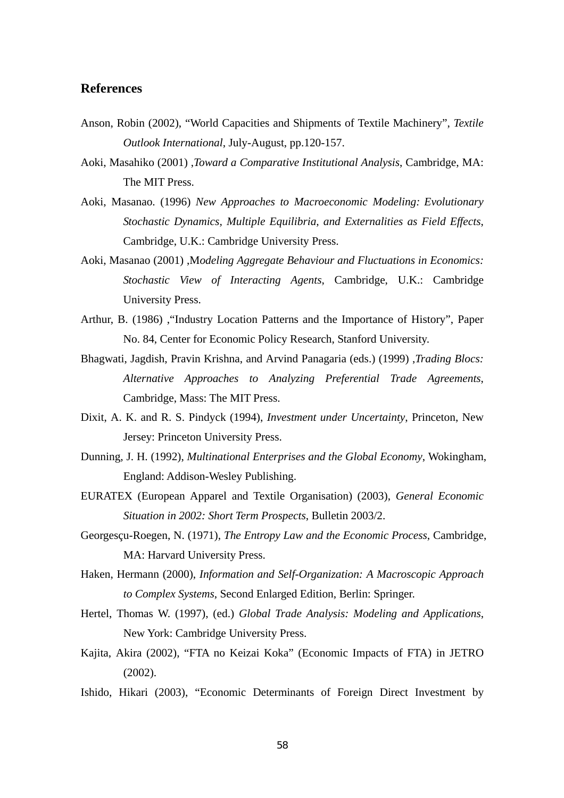# **References**

- Anson, Robin (2002), "World Capacities and Shipments of Textile Machinery", *Textile Outlook International*, July-August, pp.120-157.
- Aoki, Masahiko (2001) ,*Toward a Comparative Institutional Analysis*, Cambridge, MA: The MIT Press.
- Aoki, Masanao. (1996) *New Approaches to Macroeconomic Modeling: Evolutionary Stochastic Dynamics, Multiple Equilibria, and Externalities as Field Effects*, Cambridge, U.K.: Cambridge University Press.
- Aoki, Masanao (2001) ,M*odeling Aggregate Behaviour and Fluctuations in Economics: Stochastic View of Interacting Agents*, Cambridge, U.K.: Cambridge University Press.
- Arthur, B. (1986) ,"Industry Location Patterns and the Importance of History", Paper No. 84, Center for Economic Policy Research, Stanford University.
- Bhagwati, Jagdish, Pravin Krishna, and Arvind Panagaria (eds.) (1999) ,*Trading Blocs: Alternative Approaches to Analyzing Preferential Trade Agreements*, Cambridge, Mass: The MIT Press.
- Dixit, A. K. and R. S. Pindyck (1994), *Investment under Uncertainty*, Princeton, New Jersey: Princeton University Press.
- Dunning, J. H. (1992), *Multinational Enterprises and the Global Economy*, Wokingham, England: Addison-Wesley Publishing.
- EURATEX (European Apparel and Textile Organisation) (2003), *General Economic Situation in 2002: Short Term Prospects*, Bulletin 2003/2.
- Georgesçu-Roegen, N. (1971), *The Entropy Law and the Economic Process*, Cambridge, MA: Harvard University Press.
- Haken, Hermann (2000), *Information and Self-Organization: A Macroscopic Approach to Complex Systems*, Second Enlarged Edition, Berlin: Springer.
- Hertel, Thomas W. (1997), (ed.) *Global Trade Analysis: Modeling and Applications*, New York: Cambridge University Press.
- Kajita, Akira (2002), "FTA no Keizai Koka" (Economic Impacts of FTA) in JETRO (2002).
- Ishido, Hikari (2003), "Economic Determinants of Foreign Direct Investment by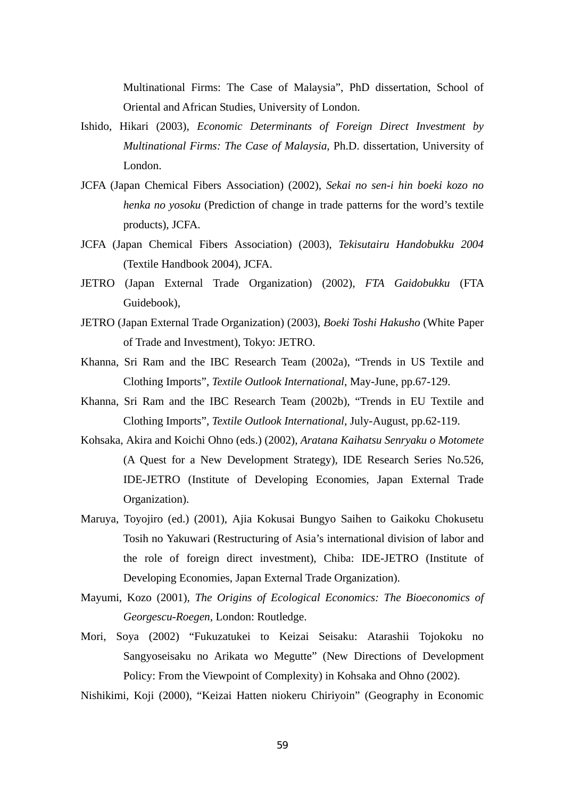Multinational Firms: The Case of Malaysia", PhD dissertation, School of Oriental and African Studies, University of London.

- Ishido, Hikari (2003), *Economic Determinants of Foreign Direct Investment by Multinational Firms: The Case of Malaysia*, Ph.D. dissertation, University of London.
- JCFA (Japan Chemical Fibers Association) (2002), *Sekai no sen-i hin boeki kozo no henka no yosoku* (Prediction of change in trade patterns for the word's textile products), JCFA.
- JCFA (Japan Chemical Fibers Association) (2003), *Tekisutairu Handobukku 2004* (Textile Handbook 2004), JCFA.
- JETRO (Japan External Trade Organization) (2002), *FTA Gaidobukku* (FTA Guidebook),
- JETRO (Japan External Trade Organization) (2003), *Boeki Toshi Hakusho* (White Paper of Trade and Investment), Tokyo: JETRO.
- Khanna, Sri Ram and the IBC Research Team (2002a), "Trends in US Textile and Clothing Imports", *Textile Outlook International*, May-June, pp.67-129.
- Khanna, Sri Ram and the IBC Research Team (2002b), "Trends in EU Textile and Clothing Imports", *Textile Outlook International*, July-August, pp.62-119.
- Kohsaka, Akira and Koichi Ohno (eds.) (2002), *Aratana Kaihatsu Senryaku o Motomete* (A Quest for a New Development Strategy), IDE Research Series No.526, IDE-JETRO (Institute of Developing Economies, Japan External Trade Organization).
- Maruya, Toyojiro (ed.) (2001), Ajia Kokusai Bungyo Saihen to Gaikoku Chokusetu Tosih no Yakuwari (Restructuring of Asia's international division of labor and the role of foreign direct investment), Chiba: IDE-JETRO (Institute of Developing Economies, Japan External Trade Organization).
- Mayumi, Kozo (2001), *The Origins of Ecological Economics: The Bioeconomics of Georgescu-Roegen*, London: Routledge.
- Mori, Soya (2002) "Fukuzatukei to Keizai Seisaku: Atarashii Tojokoku no Sangyoseisaku no Arikata wo Megutte" (New Directions of Development Policy: From the Viewpoint of Complexity) in Kohsaka and Ohno (2002).

Nishikimi, Koji (2000), "Keizai Hatten niokeru Chiriyoin" (Geography in Economic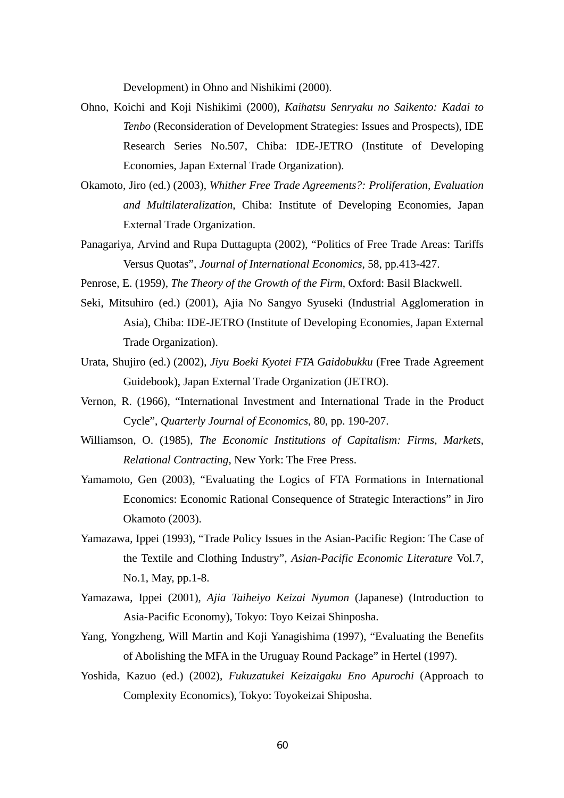Development) in Ohno and Nishikimi (2000).

- Ohno, Koichi and Koji Nishikimi (2000), *Kaihatsu Senryaku no Saikento: Kadai to Tenbo* (Reconsideration of Development Strategies: Issues and Prospects), IDE Research Series No.507, Chiba: IDE-JETRO (Institute of Developing Economies, Japan External Trade Organization).
- Okamoto, Jiro (ed.) (2003), *Whither Free Trade Agreements?: Proliferation, Evaluation and Multilateralization*, Chiba: Institute of Developing Economies, Japan External Trade Organization.
- Panagariya, Arvind and Rupa Duttagupta (2002), "Politics of Free Trade Areas: Tariffs Versus Quotas", *Journal of International Economics*, 58, pp.413-427.

Penrose, E. (1959), *The Theory of the Growth of the Firm*, Oxford: Basil Blackwell.

- Seki, Mitsuhiro (ed.) (2001), Ajia No Sangyo Syuseki (Industrial Agglomeration in Asia), Chiba: IDE-JETRO (Institute of Developing Economies, Japan External Trade Organization).
- Urata, Shujiro (ed.) (2002), *Jiyu Boeki Kyotei FTA Gaidobukku* (Free Trade Agreement Guidebook), Japan External Trade Organization (JETRO).
- Vernon, R. (1966), "International Investment and International Trade in the Product Cycle", *Quarterly Journal of Economics*, 80, pp. 190-207.
- Williamson, O. (1985), *The Economic Institutions of Capitalism: Firms, Markets, Relational Contracting*, New York: The Free Press.
- Yamamoto, Gen (2003), "Evaluating the Logics of FTA Formations in International Economics: Economic Rational Consequence of Strategic Interactions" in Jiro Okamoto (2003).
- Yamazawa, Ippei (1993), "Trade Policy Issues in the Asian-Pacific Region: The Case of the Textile and Clothing Industry", *Asian-Pacific Economic Literature* Vol.7, No.1, May, pp.1-8.
- Yamazawa, Ippei (2001), *Ajia Taiheiyo Keizai Nyumon* (Japanese) (Introduction to Asia-Pacific Economy), Tokyo: Toyo Keizai Shinposha.
- Yang, Yongzheng, Will Martin and Koji Yanagishima (1997), "Evaluating the Benefits of Abolishing the MFA in the Uruguay Round Package" in Hertel (1997).
- Yoshida, Kazuo (ed.) (2002), *Fukuzatukei Keizaigaku Eno Apurochi* (Approach to Complexity Economics), Tokyo: Toyokeizai Shiposha.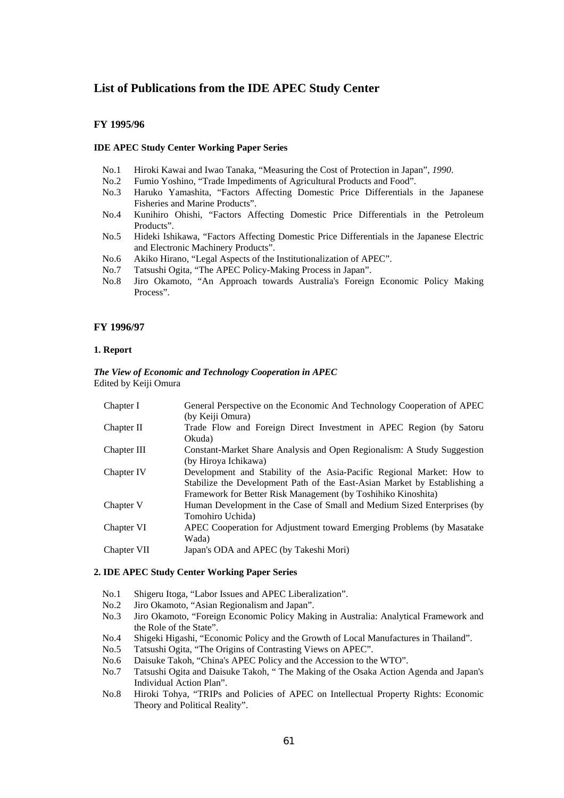### **List of Publications from the IDE APEC Study Center**

#### **FY 1995/96**

#### **IDE APEC Study Center Working Paper Series**

- No.1 Hiroki Kawai and Iwao Tanaka, "Measuring the Cost of Protection in Japan"*, 1990*.
- No.2 Fumio Yoshino, "Trade Impediments of Agricultural Products and Food".
- No.3 Haruko Yamashita, "Factors Affecting Domestic Price Differentials in the Japanese Fisheries and Marine Products".
- No.4 Kunihiro Ohishi, "Factors Affecting Domestic Price Differentials in the Petroleum Products".
- No.5 Hideki Ishikawa, "Factors Affecting Domestic Price Differentials in the Japanese Electric and Electronic Machinery Products".
- No.6 Akiko Hirano, "Legal Aspects of the Institutionalization of APEC".
- No.7 Tatsushi Ogita, "The APEC Policy-Making Process in Japan".
- No.8 Jiro Okamoto, "An Approach towards Australia's Foreign Economic Policy Making Process".

#### **FY 1996/97**

#### **1. Report**

#### *The View of Economic and Technology Cooperation in APEC*  Edited by Keiji Omura

| Chapter I   | General Perspective on the Economic And Technology Cooperation of APEC    |
|-------------|---------------------------------------------------------------------------|
|             | (by Keiji Omura)                                                          |
| Chapter II  | Trade Flow and Foreign Direct Investment in APEC Region (by Satoru        |
|             | Okuda)                                                                    |
| Chapter III | Constant-Market Share Analysis and Open Regionalism: A Study Suggestion   |
|             | (by Hiroya Ichikawa)                                                      |
| Chapter IV  | Development and Stability of the Asia-Pacific Regional Market: How to     |
|             | Stabilize the Development Path of the East-Asian Market by Establishing a |
|             | Framework for Better Risk Management (by Toshihiko Kinoshita)             |
| Chapter V   | Human Development in the Case of Small and Medium Sized Enterprises (by   |
|             | Tomohiro Uchida)                                                          |
| Chapter VI  | APEC Cooperation for Adjustment toward Emerging Problems (by Masatake     |
|             | Wada)                                                                     |
| Chapter VII | Japan's ODA and APEC (by Takeshi Mori)                                    |
|             |                                                                           |

#### **2. IDE APEC Study Center Working Paper Series**

- No.1 Shigeru Itoga, "Labor Issues and APEC Liberalization".
- No.2 Jiro Okamoto, "Asian Regionalism and Japan".
- No.3 Jiro Okamoto, "Foreign Economic Policy Making in Australia: Analytical Framework and the Role of the State".
- No.4 Shigeki Higashi, "Economic Policy and the Growth of Local Manufactures in Thailand".
- No.5 Tatsushi Ogita, "The Origins of Contrasting Views on APEC".
- No.6 Daisuke Takoh, "China's APEC Policy and the Accession to the WTO".
- No.7 Tatsushi Ogita and Daisuke Takoh, " The Making of the Osaka Action Agenda and Japan's Individual Action Plan".
- No.8 Hiroki Tohya, "TRIPs and Policies of APEC on Intellectual Property Rights: Economic Theory and Political Reality".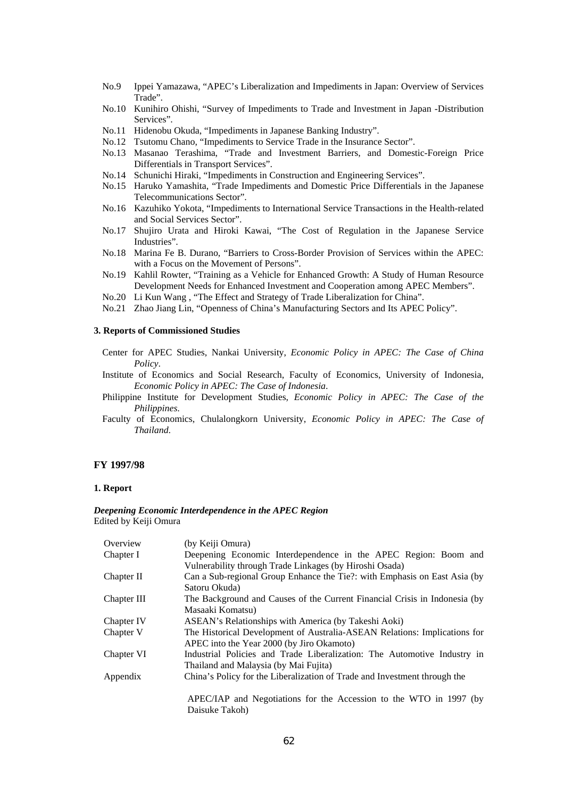- No.9 Ippei Yamazawa, "APEC's Liberalization and Impediments in Japan: Overview of Services Trade".
- No.10 Kunihiro Ohishi, "Survey of Impediments to Trade and Investment in Japan -Distribution Services".
- No.11 Hidenobu Okuda, "Impediments in Japanese Banking Industry".
- No.12 Tsutomu Chano, "Impediments to Service Trade in the Insurance Sector".
- No.13 Masanao Terashima, "Trade and Investment Barriers, and Domestic-Foreign Price Differentials in Transport Services".
- No.14 Schunichi Hiraki, "Impediments in Construction and Engineering Services".
- No.15 Haruko Yamashita, "Trade Impediments and Domestic Price Differentials in the Japanese Telecommunications Sector".
- No.16 Kazuhiko Yokota, "Impediments to International Service Transactions in the Health-related and Social Services Sector".
- No.17 Shujiro Urata and Hiroki Kawai, "The Cost of Regulation in the Japanese Service Industries".
- No.18 Marina Fe B. Durano, "Barriers to Cross-Border Provision of Services within the APEC: with a Focus on the Movement of Persons".
- No.19 Kahlil Rowter, "Training as a Vehicle for Enhanced Growth: A Study of Human Resource Development Needs for Enhanced Investment and Cooperation among APEC Members".
- No.20 Li Kun Wang , "The Effect and Strategy of Trade Liberalization for China".
- No.21 Zhao Jiang Lin, "Openness of China's Manufacturing Sectors and Its APEC Policy".

#### **3. Reports of Commissioned Studies**

- Center for APEC Studies, Nankai University, *Economic Policy in APEC: The Case of China Policy*.
- Institute of Economics and Social Research, Faculty of Economics, University of Indonesia, *Economic Policy in APEC: The Case of Indonesia*.
- Philippine Institute for Development Studies, *Economic Policy in APEC: The Case of the Philippines*.
- Faculty of Economics, Chulalongkorn University, *Economic Policy in APEC: The Case of Thailand*.

#### **FY 1997/98**

#### **1. Report**

#### *Deepening Economic Interdependence in the APEC Region*  Edited by Keiji Omura

| Overview    | (by Keiji Omura)                                                           |
|-------------|----------------------------------------------------------------------------|
| Chapter I   | Deepening Economic Interdependence in the APEC Region: Boom and            |
|             | Vulnerability through Trade Linkages (by Hiroshi Osada)                    |
| Chapter II  | Can a Sub-regional Group Enhance the Tie?: with Emphasis on East Asia (by  |
|             | Satoru Okuda)                                                              |
| Chapter III | The Background and Causes of the Current Financial Crisis in Indonesia (by |
|             | Masaaki Komatsu)                                                           |
| Chapter IV  | ASEAN's Relationships with America (by Takeshi Aoki)                       |
| Chapter V   | The Historical Development of Australia-ASEAN Relations: Implications for  |
|             | APEC into the Year 2000 (by Jiro Okamoto)                                  |
| Chapter VI  | Industrial Policies and Trade Liberalization: The Automotive Industry in   |
|             | Thailand and Malaysia (by Mai Fujita)                                      |
| Appendix    | China's Policy for the Liberalization of Trade and Investment through the  |
|             | APEC/IAP and Negotiations for the Accession to the WTO in 1997 (by         |
|             |                                                                            |
|             | Daisuke Takoh)                                                             |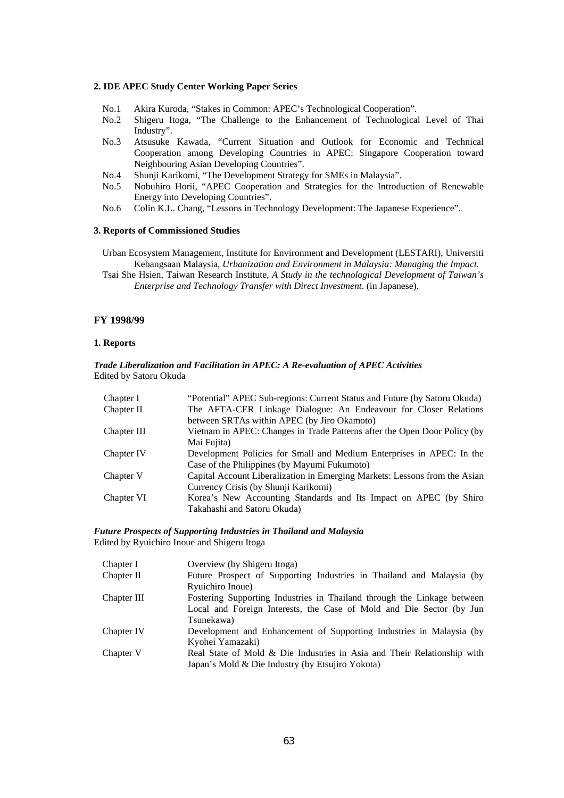#### **2. IDE APEC Study Center Working Paper Series**

- No.1 Akira Kuroda, "Stakes in Common: APEC's Technological Cooperation".
- No.2 Shigeru Itoga, "The Challenge to the Enhancement of Technological Level of Thai Industry".
- No.3 Atsusuke Kawada, "Current Situation and Outlook for Economic and Technical Cooperation among Developing Countries in APEC: Singapore Cooperation toward Neighbouring Asian Developing Countries".
- No.4 Shunji Karikomi, "The Development Strategy for SMEs in Malaysia".
- No.5 Nobuhiro Horii, "APEC Cooperation and Strategies for the Introduction of Renewable Energy into Developing Countries".
- No.6 Colin K.L. Chang, "Lessons in Technology Development: The Japanese Experience".

#### **3. Reports of Commissioned Studies**

Urban Ecosystem Management, Institute for Environment and Development (LESTARI), Universiti Kebangsaan Malaysia, *Urbanization and Environment in Malaysia: Managing the Impact*.

Tsai She Hsien, Taiwan Research Institute, *A Study in the technological Development of Taiwan's Enterprise and Technology Transfer with Direct Investment*. (in Japanese).

#### **FY 1998/99**

#### **1. Reports**

#### *Trade Liberalization and Facilitation in APEC: A Re-evaluation of APEC Activities*  Edited by Satoru Okuda

| Chapter I   | "Potential" APEC Sub-regions: Current Status and Future (by Satoru Okuda)  |
|-------------|----------------------------------------------------------------------------|
| Chapter II  | The AFTA-CER Linkage Dialogue: An Endeavour for Closer Relations           |
|             | between SRTAs within APEC (by Jiro Okamoto)                                |
| Chapter III | Vietnam in APEC: Changes in Trade Patterns after the Open Door Policy (by  |
|             | Mai Fujita)                                                                |
| Chapter IV  | Development Policies for Small and Medium Enterprises in APEC: In the      |
|             | Case of the Philippines (by Mayumi Fukumoto)                               |
| Chapter V   | Capital Account Liberalization in Emerging Markets: Lessons from the Asian |
|             | Currency Crisis (by Shunji Karikomi)                                       |
| Chapter VI  | Korea's New Accounting Standards and Its Impact on APEC (by Shiro          |
|             | Takahashi and Satoru Okuda)                                                |

#### *Future Prospects of Supporting Industries in Thailand and Malaysia*  Edited by Ryuichiro Inoue and Shigeru Itoga

| Chapter I   | Overview (by Shigeru Itoga)                                             |
|-------------|-------------------------------------------------------------------------|
| Chapter II  | Future Prospect of Supporting Industries in Thailand and Malaysia (by   |
|             | Ryuichiro Inoue)                                                        |
| Chapter III | Fostering Supporting Industries in Thailand through the Linkage between |
|             | Local and Foreign Interests, the Case of Mold and Die Sector (by Jun    |
|             | Tsunekawa)                                                              |
| Chapter IV  | Development and Enhancement of Supporting Industries in Malaysia (by    |
|             | Kyohei Yamazaki)                                                        |
| Chapter V   | Real State of Mold & Die Industries in Asia and Their Relationship with |
|             | Japan's Mold & Die Industry (by Etsujiro Yokota)                        |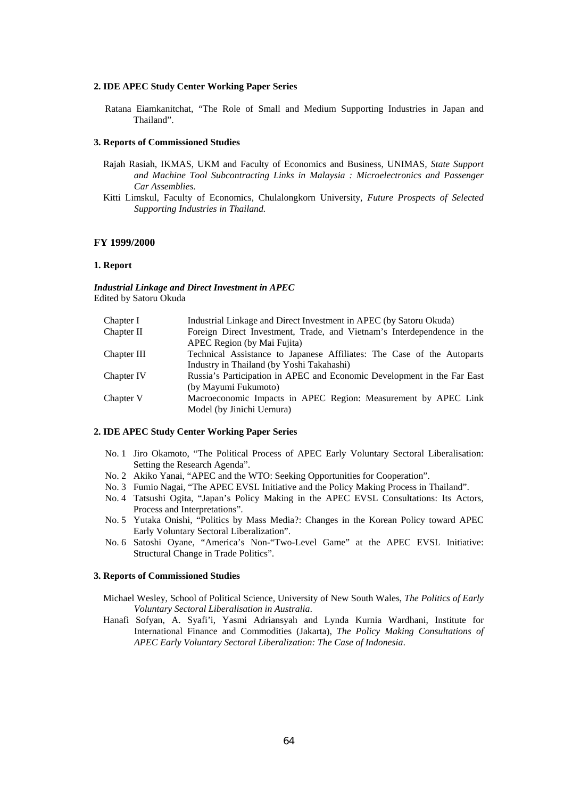#### **2. IDE APEC Study Center Working Paper Series**

Ratana Eiamkanitchat, "The Role of Small and Medium Supporting Industries in Japan and Thailand".

#### **3. Reports of Commissioned Studies**

- Rajah Rasiah, IKMAS, UKM and Faculty of Economics and Business, UNIMAS*, State Support and Machine Tool Subcontracting Links in Malaysia : Microelectronics and Passenger Car Assemblies.*
- Kitti Limskul, Faculty of Economics, Chulalongkorn University*, Future Prospects of Selected Supporting Industries in Thailand.*

#### **FY 1999/2000**

#### **1. Report**

*Industrial Linkage and Direct Investment in APEC*  Edited by Satoru Okuda

| Chapter I   | Industrial Linkage and Direct Investment in APEC (by Satoru Okuda)      |
|-------------|-------------------------------------------------------------------------|
| Chapter II  | Foreign Direct Investment, Trade, and Vietnam's Interdependence in the  |
|             | APEC Region (by Mai Fujita)                                             |
| Chapter III | Technical Assistance to Japanese Affiliates: The Case of the Autoparts  |
|             | Industry in Thailand (by Yoshi Takahashi)                               |
| Chapter IV  | Russia's Participation in APEC and Economic Development in the Far East |
|             | (by Mayumi Fukumoto)                                                    |
| Chapter V   | Macroeconomic Impacts in APEC Region: Measurement by APEC Link          |
|             | Model (by Jinichi Uemura)                                               |
|             |                                                                         |

#### **2. IDE APEC Study Center Working Paper Series**

- No. 1 Jiro Okamoto, "The Political Process of APEC Early Voluntary Sectoral Liberalisation: Setting the Research Agenda".
- No. 2 Akiko Yanai, "APEC and the WTO: Seeking Opportunities for Cooperation".
- No. 3 Fumio Nagai, "The APEC EVSL Initiative and the Policy Making Process in Thailand".
- No. 4 Tatsushi Ogita, "Japan's Policy Making in the APEC EVSL Consultations: Its Actors, Process and Interpretations".
- No. 5 Yutaka Onishi, "Politics by Mass Media?: Changes in the Korean Policy toward APEC Early Voluntary Sectoral Liberalization".
- No. 6 Satoshi Oyane, "America's Non-"Two-Level Game" at the APEC EVSL Initiative: Structural Change in Trade Politics".

#### **3. Reports of Commissioned Studies**

- Michael Wesley, School of Political Science, University of New South Wales, *The Politics of Early Voluntary Sectoral Liberalisation in Australia*.
- Hanafi Sofyan, A. Syafi'i, Yasmi Adriansyah and Lynda Kurnia Wardhani, Institute for International Finance and Commodities (Jakarta), *The Policy Making Consultations of APEC Early Voluntary Sectoral Liberalization: The Case of Indonesia*.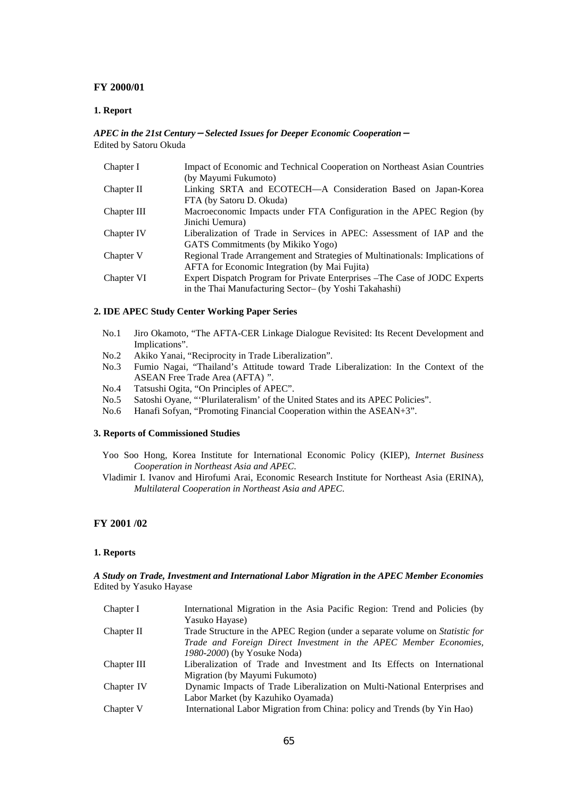#### **FY 2000/01**

#### **1. Report**

#### *APEC in the 21st Century*-*Selected Issues for Deeper Economic Cooperation*- Edited by Satoru Okuda

| Chapter I   | Impact of Economic and Technical Cooperation on Northeast Asian Countries    |
|-------------|------------------------------------------------------------------------------|
|             | (by Mayumi Fukumoto)                                                         |
| Chapter II  | Linking SRTA and ECOTECH-A Consideration Based on Japan-Korea                |
|             | FTA (by Satoru D. Okuda)                                                     |
| Chapter III | Macroeconomic Impacts under FTA Configuration in the APEC Region (by         |
|             | Jinichi Uemura)                                                              |
| Chapter IV  | Liberalization of Trade in Services in APEC: Assessment of IAP and the       |
|             | GATS Commitments (by Mikiko Yogo)                                            |
| Chapter V   | Regional Trade Arrangement and Strategies of Multinationals: Implications of |
|             | <b>AFTA</b> for Economic Integration (by Mai Fujita)                         |
| Chapter VI  | Expert Dispatch Program for Private Enterprises – The Case of JODC Experts   |
|             | in the Thai Manufacturing Sector- (by Yoshi Takahashi)                       |

#### **2. IDE APEC Study Center Working Paper Series**

- No.1 Jiro Okamoto, "The AFTA-CER Linkage Dialogue Revisited: Its Recent Development and Implications".
- No.2 Akiko Yanai, "Reciprocity in Trade Liberalization".
- No.3 Fumio Nagai, "Thailand's Attitude toward Trade Liberalization: In the Context of the ASEAN Free Trade Area (AFTA) ".
- No.4 Tatsushi Ogita, "On Principles of APEC".
- No.5 Satoshi Oyane, "'Plurilateralism' of the United States and its APEC Policies".
- No.6 Hanafi Sofyan, "Promoting Financial Cooperation within the ASEAN+3".

#### **3. Reports of Commissioned Studies**

- Yoo Soo Hong, Korea Institute for International Economic Policy (KIEP), *Internet Business Cooperation in Northeast Asia and APEC*.
- Vladimir I. Ivanov and Hirofumi Arai, Economic Research Institute for Northeast Asia (ERINA), *Multilateral Cooperation in Northeast Asia and APEC*.

#### **FY 2001 /02**

#### **1. Reports**

#### *A Study on Trade, Investment and International Labor Migration in the APEC Member Economies*  Edited by Yasuko Hayase

| Chapter I   | International Migration in the Asia Pacific Region: Trend and Policies (by   |
|-------------|------------------------------------------------------------------------------|
|             | Yasuko Hayase)                                                               |
| Chapter II  | Trade Structure in the APEC Region (under a separate volume on Statistic for |
|             | Trade and Foreign Direct Investment in the APEC Member Economies,            |
|             | 1980-2000) (by Yosuke Noda)                                                  |
| Chapter III | Liberalization of Trade and Investment and Its Effects on International      |
|             | Migration (by Mayumi Fukumoto)                                               |
| Chapter IV  | Dynamic Impacts of Trade Liberalization on Multi-National Enterprises and    |
|             | Labor Market (by Kazuhiko Oyamada)                                           |
| Chapter V   | International Labor Migration from China: policy and Trends (by Yin Hao)     |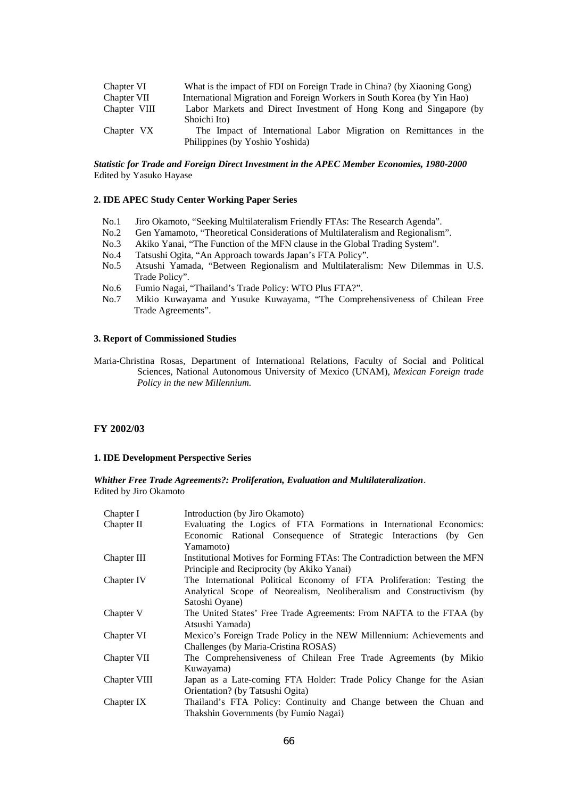| Chapter VI   | What is the impact of FDI on Foreign Trade in China? (by Xiaoning Gong) |
|--------------|-------------------------------------------------------------------------|
| Chapter VII  | International Migration and Foreign Workers in South Korea (by Yin Hao) |
| Chapter VIII | Labor Markets and Direct Investment of Hong Kong and Singapore (by      |
|              | Shoichi Ito)                                                            |
| Chapter VX   | The Impact of International Labor Migration on Remittances in the       |
|              | Philippines (by Yoshio Yoshida)                                         |

#### *Statistic for Trade and Foreign Direct Investment in the APEC Member Economies, 1980-2000*  Edited by Yasuko Hayase

#### **2. IDE APEC Study Center Working Paper Series**

- No.1 Jiro Okamoto, "Seeking Multilateralism Friendly FTAs: The Research Agenda".
- No.2 Gen Yamamoto, "Theoretical Considerations of Multilateralism and Regionalism".
- No.3 Akiko Yanai, "The Function of the MFN clause in the Global Trading System".
- No.4 Tatsushi Ogita, "An Approach towards Japan's FTA Policy".
- No.5 Atsushi Yamada, "Between Regionalism and Multilateralism: New Dilemmas in U.S. Trade Policy".
- No.6 Fumio Nagai, "Thailand's Trade Policy: WTO Plus FTA?".
- No.7 Mikio Kuwayama and Yusuke Kuwayama, "The Comprehensiveness of Chilean Free Trade Agreements".

#### **3. Report of Commissioned Studies**

Maria-Christina Rosas, Department of International Relations, Faculty of Social and Political Sciences, National Autonomous University of Mexico (UNAM), *Mexican Foreign trade Policy in the new Millennium.*

#### **FY 2002/03**

#### **1. IDE Development Perspective Series**

*Whither Free Trade Agreements?: Proliferation, Evaluation and Multilateralization*. Edited by Jiro Okamoto

| Chapter I    | Introduction (by Jiro Okamoto)                                            |
|--------------|---------------------------------------------------------------------------|
| Chapter II   | Evaluating the Logics of FTA Formations in International Economics:       |
|              | Economic Rational Consequence of Strategic Interactions (by Gen           |
|              | Yamamoto)                                                                 |
| Chapter III  | Institutional Motives for Forming FTAs: The Contradiction between the MFN |
|              | Principle and Reciprocity (by Akiko Yanai)                                |
| Chapter IV   | The International Political Economy of FTA Proliferation: Testing the     |
|              | Analytical Scope of Neorealism, Neoliberalism and Constructivism (by      |
|              | Satoshi Oyane)                                                            |
| Chapter V    | The United States' Free Trade Agreements: From NAFTA to the FTAA (by      |
|              | Atsushi Yamada)                                                           |
| Chapter VI   | Mexico's Foreign Trade Policy in the NEW Millennium: Achievements and     |
|              | Challenges (by Maria-Cristina ROSAS)                                      |
| Chapter VII  | The Comprehensiveness of Chilean Free Trade Agreements (by Mikio          |
|              | Kuwayama)                                                                 |
| Chapter VIII | Japan as a Late-coming FTA Holder: Trade Policy Change for the Asian      |
|              | Orientation? (by Tatsushi Ogita)                                          |
| Chapter IX   | Thailand's FTA Policy: Continuity and Change between the Chuan and        |
|              | Thakshin Governments (by Fumio Nagai)                                     |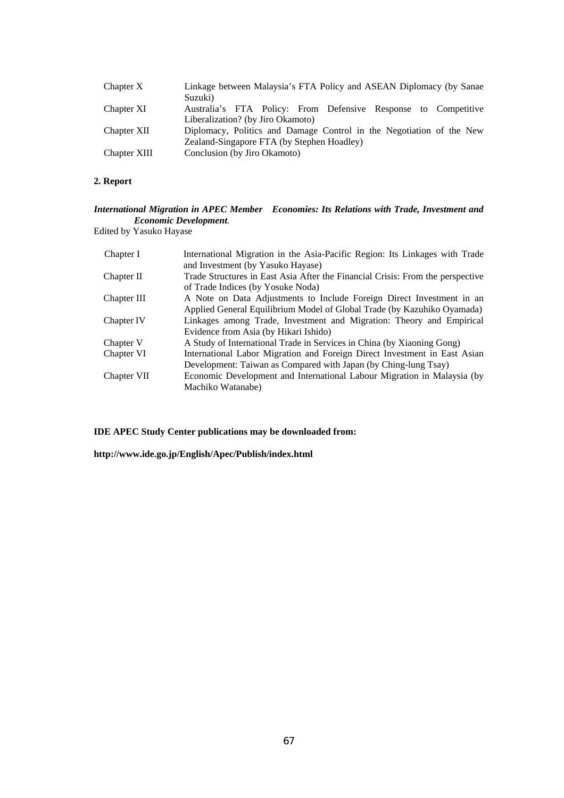| Chapter X    | Linkage between Malaysia's FTA Policy and ASEAN Diplomacy (by Sanae<br>Suzuki)                      |
|--------------|-----------------------------------------------------------------------------------------------------|
| Chapter XI   | Australia's FTA Policy: From Defensive Response to Competitive<br>Liberalization? (by Jiro Okamoto) |
| Chapter XII  | Diplomacy, Politics and Damage Control in the Negotiation of the New                                |
|              | Zealand-Singapore FTA (by Stephen Hoadley)                                                          |
| Chapter XIII | Conclusion (by Jiro Okamoto)                                                                        |

#### **2. Report**

#### *International Migration in APEC Member Economies: Its Relations with Trade, Investment and Economic Development.*

Edited by Yasuko Hayase

| Chapter I   | International Migration in the Asia-Pacific Region: Its Linkages with Trade    |
|-------------|--------------------------------------------------------------------------------|
|             | and Investment (by Yasuko Hayase)                                              |
| Chapter II  | Trade Structures in East Asia After the Financial Crisis: From the perspective |
|             | of Trade Indices (by Yosuke Noda)                                              |
| Chapter III | A Note on Data Adjustments to Include Foreign Direct Investment in an          |
|             | Applied General Equilibrium Model of Global Trade (by Kazuhiko Oyamada)        |
| Chapter IV  | Linkages among Trade, Investment and Migration: Theory and Empirical           |
|             | Evidence from Asia (by Hikari Ishido)                                          |
| Chapter V   | A Study of International Trade in Services in China (by Xiaoning Gong)         |
| Chapter VI  | International Labor Migration and Foreign Direct Investment in East Asian      |
|             | Development: Taiwan as Compared with Japan (by Ching-lung Tsay)                |
| Chapter VII | Economic Development and International Labour Migration in Malaysia (by        |
|             | Machiko Watanabe)                                                              |

**IDE APEC Study Center publications may be downloaded from:** 

**http://www.ide.go.jp/English/Apec/Publish/index.html**